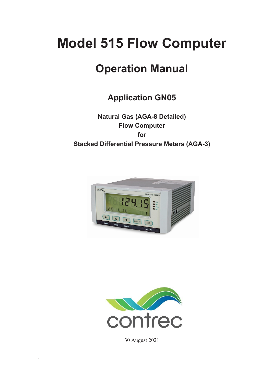# **Model 515 Flow Computer**

# **Operation Manual**

# **Application GN05**

**Natural Gas (AGA-8 Detailed) Flow Computer for Stacked Differential Pressure Meters (AGA-3)**





30 August 2021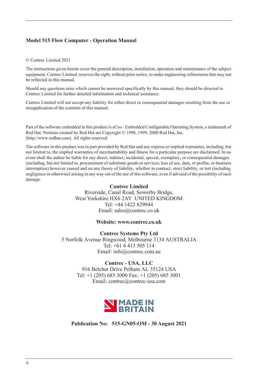#### **Model 515 Flow Computer - Operation Manual**

#### © Contrec Limited 2021

The instructions given herein cover the general description, installation, operation and maintenance of the subject equipment. Contrec Limited. reserves the right, without prior notice, to make engineering refinements that may not be reflected in this manual.

Should any questions arise which cannot be answered specifically by this manual, they should be directed to Contrec Limited for further detailed information and technical assistance.

Contrec Limited will not accept any liability for either direct or consequential damages resulting from the use or misapplication of the contents of this manual.

Part of the software embedded in this product is eCos - Embedded Configurable Operating System, a trademark of Red Hat. Portions created by Red Hat are Copyright © 1998, 1999, 2000 Red Hat, Inc. (http://www.redhat.com). All rights reserved

The software in this product was in part provided by Red Hat and any express or implied warranties, including, but not limited to, the implied warranties of merchantability and fitness for a particular purpose are disclaimed. In no event shall the author be liable for any direct, indirect, incidental, special, exemplary, or consequential damages (including, but not limited to, procurement of substitute goods or services; loss of use, data, or profits; or business interruption) however caused and on any theory of liability, whether in contract, strict liability, or tort (including negligence or otherwise) arising in any way out of the use of this software, even if advised of the possibility of such damage.

#### **Contrec Limited**

Riverside, Canal Road, Sowerby Bridge, West Yorkshire HX6 2AY UNITED KINGDOM Tel: +44 1422 829944 Email: sales@contrec.co.uk

#### **Website: www.contrec.co.uk**

**Contrec Systems Pty Ltd** 5 Norfolk Avenue Ringwood, Melbourne 3134 AUSTRALIA Tel: +61 4 413 505 114 Email: info@contrec.com.au

#### **Contrec - USA, LLC**

916 Belcher Drive Pelham AL 35124 USA Tel: +1 (205) 685 3000 Fax: +1 (205) 685 3001 Email: contrec@contrec-usa.com



**Publication No: 515-GN05-OM - 30 August 2021**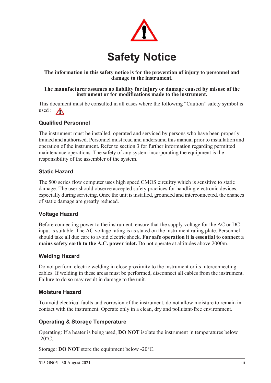

#### **The information in this safety notice is for the prevention of injury to personnel and damage to the instrument.**

#### **The manufacturer assumes no liability for injury or damage caused by misuse of the instrument or for modifications made to the instrument.**

This document must be consulted in all cases where the following "Caution" safety symbol is used :  $\bigwedge$ 

### **Qualified Personnel**

The instrument must be installed, operated and serviced by persons who have been properly trained and authorised. Personnel must read and understand this manual prior to installation and operation of the instrument. Refer to section 3 for further information regarding permitted maintenance operations. The safety of any system incorporating the equipment is the responsibility of the assembler of the system.

#### **Static Hazard**

The 500 series flow computer uses high speed CMOS circuitry which is sensitive to static damage. The user should observe accepted safety practices for handling electronic devices, especially during servicing. Once the unit is installed, grounded and interconnected, the chances of static damage are greatly reduced.

#### **Voltage Hazard**

Before connecting power to the instrument, ensure that the supply voltage for the AC or DC input is suitable. The AC voltage rating is as stated on the instrument rating plate. Personnel should take all due care to avoid electric shock. **For safe operation it is essential to connect a mains safety earth to the A.C. power inlet.** Do not operate at altitudes above 2000m.

#### **Welding Hazard**

Do not perform electric welding in close proximity to the instrument or its interconnecting cables. If welding in these areas must be performed, disconnect all cables from the instrument. Failure to do so may result in damage to the unit.

#### **Moisture Hazard**

To avoid electrical faults and corrosion of the instrument, do not allow moisture to remain in contact with the instrument. Operate only in a clean, dry and pollutant-free environment.

#### **Operating & Storage Temperature**

Operating: If a heater is being used, **DO NOT** isolate the instrument in temperatures below  $-20^{\circ}$ C.

Storage: **DO NOT** store the equipment below -20°C.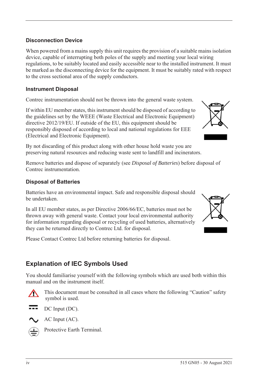#### **Disconnection Device**

When powered from a mains supply this unit requires the provision of a suitable mains isolation device, capable of interrupting both poles of the supply and meeting your local wiring regulations, to be suitably located and easily accessible near to the installed instrument. It must be marked as the disconnecting device for the equipment. It must be suitably rated with respect to the cross sectional area of the supply conductors.

#### **Instrument Disposal**

Contrec instrumentation should not be thrown into the general waste system.

If within EU member states, this instrument should be disposed of according to the guidelines set by the WEEE (Waste Electrical and Electronic Equipment) directive 2012/19/EU. If outside of the EU, this equipment should be responsibly disposed of according to local and national regulations for EEE (Electrical and Electronic Equipment).

By not discarding of this product along with other house hold waste you are preserving natural resources and reducing waste sent to landfill and incinerators.

Remove batteries and dispose of separately (see *Disposal of Batteries*) before disposal of Contrec instrumentation.

#### **Disposal of Batteries**

Batteries have an environmental impact. Safe and responsible disposal should be undertaken.

In all EU member states, as per Directive 2006/66/EC, batteries must not be thrown away with general waste. Contact your local environmental authority for information regarding disposal or recycling of used batteries, alternatively they can be returned directly to Contrec Ltd. for disposal.

Please Contact Contrec Ltd before returning batteries for disposal.

# **Explanation of IEC Symbols Used**

You should familiarise yourself with the following symbols which are used both within this manual and on the instrument itself.



 This document must be consulted in all cases where the following "Caution" safety symbol is used.



AC Input (AC).



Protective Earth Terminal.



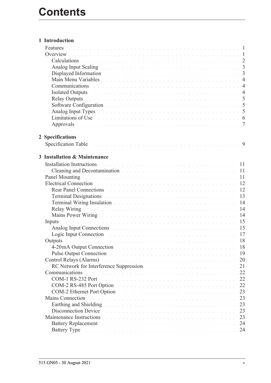| 1 Introduction                                                                                                                                                                                                                      |  |  |  |  |  |  |  |  |    |
|-------------------------------------------------------------------------------------------------------------------------------------------------------------------------------------------------------------------------------------|--|--|--|--|--|--|--|--|----|
| Features                                                                                                                                                                                                                            |  |  |  |  |  |  |  |  |    |
|                                                                                                                                                                                                                                     |  |  |  |  |  |  |  |  |    |
| Calculations de la communication de la communication de la communication de la communication de la communication                                                                                                                    |  |  |  |  |  |  |  |  |    |
|                                                                                                                                                                                                                                     |  |  |  |  |  |  |  |  |    |
| Displayed Information and a contract of the contract of the contract of the contract of the 3                                                                                                                                       |  |  |  |  |  |  |  |  |    |
|                                                                                                                                                                                                                                     |  |  |  |  |  |  |  |  |    |
| Communications experience and the contract of the contract of the contract of the contract of the contract of the contract of the contract of the contract of the contract of the contract of the contract of the contract of       |  |  |  |  |  |  |  |  |    |
| Isolated Outputs and a contract the contract of the contract of the contract of the contract of the 4                                                                                                                               |  |  |  |  |  |  |  |  |    |
| Relay Outputs in the contract of the contract of the contract of the contract of the contract of the S                                                                                                                              |  |  |  |  |  |  |  |  |    |
|                                                                                                                                                                                                                                     |  |  |  |  |  |  |  |  |    |
| Analog Input Types and a contract the contract of the contract of the contract of the 5                                                                                                                                             |  |  |  |  |  |  |  |  |    |
| Limitations of Use the community of the community of the community of the community of the community of the community of the community of the community of the community of the community of the community of the community of      |  |  |  |  |  |  |  |  |    |
| Approvals des de la commune de la commune de la commune de la commune de la commune de la commune de la commun                                                                                                                      |  |  |  |  |  |  |  |  |    |
| 2 Specifications                                                                                                                                                                                                                    |  |  |  |  |  |  |  |  |    |
|                                                                                                                                                                                                                                     |  |  |  |  |  |  |  |  |    |
|                                                                                                                                                                                                                                     |  |  |  |  |  |  |  |  |    |
| 3 Installation & Maintenance                                                                                                                                                                                                        |  |  |  |  |  |  |  |  |    |
| . The set of the set of the set of the set of the set of the set of the set of $\mathbb{R}^2$<br><b>Installation Instructions</b>                                                                                                   |  |  |  |  |  |  |  |  |    |
| Cleaning and Decontamination and the contract of the contract of the contract of the contract of the contract of the contract of the contract of the contract of the contract of the contract of the contract of the contract       |  |  |  |  |  |  |  |  | 11 |
| Panel Mounting and a contract the contract of the contract of the contract of the contract of                                                                                                                                       |  |  |  |  |  |  |  |  | 11 |
| Electrical Connection and a construction of the contract of the contract of the contract of the contract of the                                                                                                                     |  |  |  |  |  |  |  |  | 12 |
| Rear Panel Connections and the contract of the contract of the contract of the contract of the contract of the contract of the contract of the contract of the contract of the contract of the contract of the contract of the      |  |  |  |  |  |  |  |  | 12 |
| Terminal Designations and a contract the contract of the contract of the contract of the contract of the contract of the contract of the contract of the contract of the contract of the contract of the contract of the contr      |  |  |  |  |  |  |  |  | 13 |
| Terminal Wiring Insulation and a contract of the contract of the contract of the contract of the contract of the contract of the contract of the contract of the contract of the contract of the contract of the contract of t      |  |  |  |  |  |  |  |  | 14 |
|                                                                                                                                                                                                                                     |  |  |  |  |  |  |  |  | 14 |
| Mains Power Wiring <b>Experience Communication</b> Contract Communication Communication Communication Communication Communication Communication Communication Communication Communication Communication Communication Communication |  |  |  |  |  |  |  |  | 14 |
| a constitución de la caractería de la caractería de la caractería de la caractería de la caractería de la cara<br>Inputs                                                                                                            |  |  |  |  |  |  |  |  | 15 |
| Analog Input Connections and a contract the contract of the contract of the contract of the contract of the contract of the contract of the contract of the contract of the contract of the contract of the contract of the co      |  |  |  |  |  |  |  |  | 15 |
| Logic Input Connection and a construction of the contract of the contract of the Connection of the contract of the contract of the contract of the contract of the contract of the contract of the contract of the contract of      |  |  |  |  |  |  |  |  |    |
|                                                                                                                                                                                                                                     |  |  |  |  |  |  |  |  |    |
| 4-20 mA Output Connection and a construction of the contract of the contract of the contract of the contract of the contract of the contract of the contract of the contract of the contract of the contract of the contract o      |  |  |  |  |  |  |  |  | 18 |
| Pulse Output Connection and and a connection of the connection of the connection of the connection of the connection                                                                                                                |  |  |  |  |  |  |  |  | 19 |
| Control Relays (Alarms) and a control of the control of the control of the control of the control of the control of the control of the control of the control of the control of the control of the control of the control of t      |  |  |  |  |  |  |  |  | 20 |
| RC Network for Interference Suppression and a contract to the contract of the contract of the contract of the contract of the contract of the contract of the contract of the contract of the contract of the contract of the       |  |  |  |  |  |  |  |  | 21 |
| Communications<br>.<br>The second contract of the second contract of the second contract of the second contract of the second contract                                                                                              |  |  |  |  |  |  |  |  | 22 |
|                                                                                                                                                                                                                                     |  |  |  |  |  |  |  |  | 22 |
| COM-2 RS-485 Port Option                                                                                                                                                                                                            |  |  |  |  |  |  |  |  | 22 |
| COM-2 Ethernet Port Option                                                                                                                                                                                                          |  |  |  |  |  |  |  |  | 23 |
| Mains Connection<br>.<br>In the second complete state of the second complete state of the second complete state of the second complete                                                                                              |  |  |  |  |  |  |  |  | 23 |
| Earthing and Shielding Theorem 2014 Contract of the Contract of the Contract of the Contract of the Contract of the Contract of the Contract of the Contract of the Contract of the Contract of the Contract of the Contract o      |  |  |  |  |  |  |  |  | 23 |
| Disconnection Device                                                                                                                                                                                                                |  |  |  |  |  |  |  |  | 23 |
| Maintenance Instructions<br>.<br>In the company of the company of the company of the company of the company of the company of the company of th                                                                                     |  |  |  |  |  |  |  |  | 23 |
| Battery Replacement and the contract of the contract of the contract of the contract of the contract of the contract of the contract of the contract of the contract of the contract of the contract of the contract of the co      |  |  |  |  |  |  |  |  | 24 |
| Battery Type and a substantial contract the contract of the contract of the contract of the contract of the contract of the contract of the contract of the contract of the contract of the contract of the contract of the co      |  |  |  |  |  |  |  |  | 24 |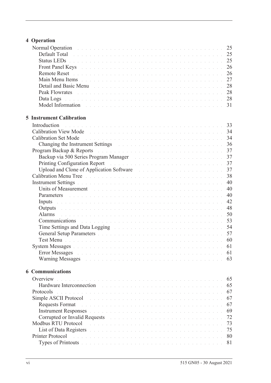# **[4 Operation](#page-34-0)**

| Normal Operation and a contract the contract of the contract of the contract of the 25                                                                                                                                         |  |  |  |  |  |  |  |  |    |
|--------------------------------------------------------------------------------------------------------------------------------------------------------------------------------------------------------------------------------|--|--|--|--|--|--|--|--|----|
| Default Total de la commune de la commune de la commune de la commune de la commune de 25                                                                                                                                      |  |  |  |  |  |  |  |  |    |
| Status LEDs <b>Election Community 25</b> Status Leader Community 25                                                                                                                                                            |  |  |  |  |  |  |  |  |    |
| Front Panel Keys and a construction of the construction of the construction of 26                                                                                                                                              |  |  |  |  |  |  |  |  |    |
|                                                                                                                                                                                                                                |  |  |  |  |  |  |  |  |    |
| Main Menu Items de la communicación de la communicación de la communicación 27                                                                                                                                                 |  |  |  |  |  |  |  |  |    |
|                                                                                                                                                                                                                                |  |  |  |  |  |  |  |  |    |
|                                                                                                                                                                                                                                |  |  |  |  |  |  |  |  |    |
| Data Logs de la component de la component de la component de la component de 28                                                                                                                                                |  |  |  |  |  |  |  |  |    |
|                                                                                                                                                                                                                                |  |  |  |  |  |  |  |  |    |
|                                                                                                                                                                                                                                |  |  |  |  |  |  |  |  |    |
| <b>5 Instrument Calibration</b>                                                                                                                                                                                                |  |  |  |  |  |  |  |  |    |
| Introduction                                                                                                                                                                                                                   |  |  |  |  |  |  |  |  |    |
|                                                                                                                                                                                                                                |  |  |  |  |  |  |  |  |    |
|                                                                                                                                                                                                                                |  |  |  |  |  |  |  |  |    |
| Changing the Instrument Settings and a contract of the contract of the settings of the contract of the contract of the contract of the contract of the contract of the contract of the contract of the contract of the contrac |  |  |  |  |  |  |  |  |    |
| Program Backup & Reports and a contract the contract of the contract of the contract of                                                                                                                                        |  |  |  |  |  |  |  |  | 37 |
|                                                                                                                                                                                                                                |  |  |  |  |  |  |  |  |    |
| Printing Configuration Report environment and the contract of the contract of the 37                                                                                                                                           |  |  |  |  |  |  |  |  |    |
| Upload and Clone of Application Software and a substitution of Application Software                                                                                                                                            |  |  |  |  |  |  |  |  | 37 |
|                                                                                                                                                                                                                                |  |  |  |  |  |  |  |  |    |
|                                                                                                                                                                                                                                |  |  |  |  |  |  |  |  |    |
| Units of Measurement                                                                                                                                                                                                           |  |  |  |  |  |  |  |  | 40 |
| Parameters and a construction of the construction of the construction of the construction                                                                                                                                      |  |  |  |  |  |  |  |  | 40 |
| Inputs and a communication of the communication of the communication of the communication of the communication of the communication of the communication of the communication of the communication of the communication of the |  |  |  |  |  |  |  |  | 42 |
| Outputs and a construction of the construction of the construction of the construction of the construction of the construction of the construction of the construction of the construction of the construction of the construc |  |  |  |  |  |  |  |  | 48 |
| Alarms                                                                                                                                                                                                                         |  |  |  |  |  |  |  |  | 50 |
| Communications de la communication de la communication de la communication de la communication de la communication de la communication de S3                                                                                   |  |  |  |  |  |  |  |  |    |
| Time Settings and Data Logging and all and the contract of the settings and Data Logging and all and the contract of the settings of the S4                                                                                    |  |  |  |  |  |  |  |  |    |
| General Setup Parameters and a construction of the construction of the set of the ST                                                                                                                                           |  |  |  |  |  |  |  |  |    |
| Test Menu de la componentación de la componentación de la componentación de la componentación de la componentación de la componentación de la componentación de la componentación de la componentación de la componentación de |  |  |  |  |  |  |  |  |    |
| System Messages with a community of the community of the set of the community of the community of the community of the community of the community of the community of the community of the community of the community of the c |  |  |  |  |  |  |  |  | 61 |
| <b>Error Messages</b><br>.<br>In the second contract of the contract of the contract of the contract of the contract of the contract of the                                                                                    |  |  |  |  |  |  |  |  | 61 |
| Warning Messages entertainment and the contract of the contract of the contract of the contract of the contract of the contract of the contract of the contract of the contract of the contract of the contract of the contrac |  |  |  |  |  |  |  |  | 63 |
| <b>6 Communications</b>                                                                                                                                                                                                        |  |  |  |  |  |  |  |  |    |
| Overview<br>.<br>In the second complete the second complete state of the second complete state of the second complete state of                                                                                                 |  |  |  |  |  |  |  |  | 65 |
| Hardware Interconnection<br>.<br>The contract of the contract of the contract of the contract of the contract of the contract of the contract of                                                                               |  |  |  |  |  |  |  |  | 65 |
| Protocols<br>a constitución de la constitución de la constitución de la constitución de la constitución de la constitución                                                                                                     |  |  |  |  |  |  |  |  | 67 |
| Simple ASCII Protocol<br>.<br>In the company of the company of the company of the company of the company of the company of the company of th                                                                                   |  |  |  |  |  |  |  |  | 67 |
| <b>Requests Format</b>                                                                                                                                                                                                         |  |  |  |  |  |  |  |  | 67 |
| Instrument Responses and a construction of the construction of the construction of the construction of the construction of the construction of the construction of the construction of the construction of the construction of |  |  |  |  |  |  |  |  | 69 |
| Corrupted or Invalid Requests and the contract of the contract of the contract of the contract of the contract of the contract of the contract of the contract of the contract of the contract of the contract of the contract |  |  |  |  |  |  |  |  | 72 |
| Modbus RTU Protocol<br>والمتعاون والمتعاون والمتعاون والمتعاونة والمتعاونة والمتعاونة والمتعاونة والمتعاونة والمتعاونة والمتعاونات                                                                                             |  |  |  |  |  |  |  |  | 73 |
| List of Data Registers and a conservation of the conservation of the conservation of the conservation of the conservation of the conservation of the conservation of the conservation of the conservation of the conservation  |  |  |  |  |  |  |  |  | 75 |
| Printer Protocol<br>.<br>In the second complete the second complete second complete the second complete second complete second complete                                                                                        |  |  |  |  |  |  |  |  | 80 |
| Types of Printouts and a contract of the contract of the contract of the contract of the contract of the contract of the contract of the contract of the contract of the contract of the contract of the contract of the contr |  |  |  |  |  |  |  |  | 81 |
|                                                                                                                                                                                                                                |  |  |  |  |  |  |  |  |    |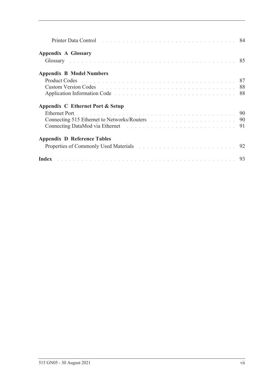| <b>Appendix A Glossary</b>                                                                                                                                                                                                           |  |
|--------------------------------------------------------------------------------------------------------------------------------------------------------------------------------------------------------------------------------------|--|
| Glossary and a contract the contract of the contract of the contract of the S5                                                                                                                                                       |  |
| <b>Appendix B Model Numbers</b>                                                                                                                                                                                                      |  |
|                                                                                                                                                                                                                                      |  |
| <b>Custom Version Codes Contained All Contained All Contained All Contained All Contained All Contained All Contained All Contained All Contained All Contained All Contained All Contained All Contained All Contained All Co</b>   |  |
| Application Information Code enterity and the contract of the contract of the state of the S88                                                                                                                                       |  |
| Appendix C Ethernet Port & Setup                                                                                                                                                                                                     |  |
| Ethernet Port <b>Executive Contract Contract Contract Contract Contract Contract Contract Contract Contract Contract Contract Contract Contract Contract Contract Contract Contract Contract Contract Contract Contract Contract</b> |  |
| Connecting 515 Ethernet to Networks/Routers and a connection of the settlement of the 190                                                                                                                                            |  |
|                                                                                                                                                                                                                                      |  |
| <b>Appendix D Reference Tables</b>                                                                                                                                                                                                   |  |
| Properties of Commonly Used Materials and a contract the contract of Commonly Used Materials                                                                                                                                         |  |
| Index resources a construction of the contract of the construction of the 193                                                                                                                                                        |  |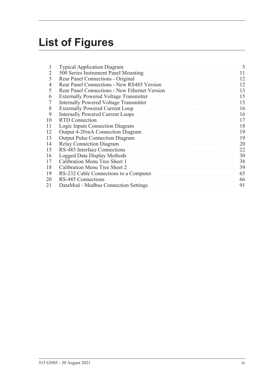# **List of Figures**

| T              | Typical Application Diagram and a contract of the contract of the contract of the 5                                                                                                                                            |    |
|----------------|--------------------------------------------------------------------------------------------------------------------------------------------------------------------------------------------------------------------------------|----|
| 2              | 500 Series Instrument Panel Mounting and a contract of the series of the 11                                                                                                                                                    |    |
| 3              | Rear Panel Connections - Original entrepreneur and a series of the series of the 12                                                                                                                                            |    |
| $\overline{4}$ | Rear Panel Connections - New RS485 Version                                                                                                                                                                                     | 12 |
| 5              | Rear Panel Connections - New Ethernet Version                                                                                                                                                                                  | 13 |
| 6              | Externally Powered Voltage Transmitter North State Land and American State Land                                                                                                                                                | 15 |
| 7              | Internally Powered Voltage Transmitter March 2014 and State and State and State and                                                                                                                                            | 15 |
| 8              |                                                                                                                                                                                                                                | 16 |
| 9              | Internally Powered Current Loops and a substitution of the state of the state of the                                                                                                                                           | 16 |
| 10             |                                                                                                                                                                                                                                | 17 |
| 11             | Logic Inputs Connection Diagram and a connection of the Connection of the Connection of the Connection of the Connection of the Connection of the Connection of the Connection of the Connection of the Connection of the Conn | 18 |
| 12             |                                                                                                                                                                                                                                | 19 |
| 13             | Output Pulse Connection Diagram and a constant of the contract of the contract of the connection of the connection of the connection of the connection of the connection of the connection of the connection of the connection | 19 |
| 14             | Relay Connection Diagram Albert and Albert and Albert and Albert and Albert and Albert and Albert and Albert and                                                                                                               | 20 |
| 15             |                                                                                                                                                                                                                                | 22 |
| 16             | Logged Data Display Methods and a contract the contract of the contract of the contract of the contract of the                                                                                                                 | 30 |
| 17             |                                                                                                                                                                                                                                | 38 |
| 18             | Calibration Menu Tree Sheet 2 and the contract of the contract of the contract of the Contract of the Contract of the Contract of the Contract of the Contract of the Contract of the Contract of the Contract of the Contract | 39 |
| 19             | RS-232 Cable Connections to a Computer and a substitution of the connection of the Connection of the Connection of the Connection of the Connection of the Connection of the Connection of the Connection of the Connection of | 65 |
| 20             |                                                                                                                                                                                                                                | 66 |
| 21             | DataMod - Modbus Connection Settings and the connection of the connection of the connection of the connection of the connection of the connection of the connection of the connection of the connection of the connection of t | 91 |
|                |                                                                                                                                                                                                                                |    |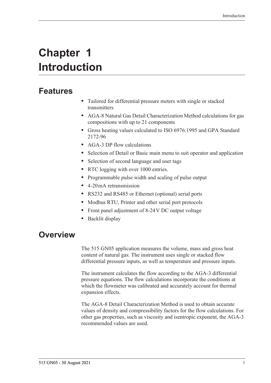# <span id="page-10-0"></span>**Chapter 1 Introduction**

# <span id="page-10-1"></span>**Features**

- **•** Tailored for differential pressure meters with single or stacked transmitters
- **•** AGA-8 Natural Gas Detail Characterization Method calculations for gas compositions with up to 21 components
- **•** Gross heating values calculated to ISO 6976:1995 and GPA Standard 2172-96
- **•** AGA-3 DP flow calculations
- **•** Selection of Detail or Basic main menu to suit operator and application
- **•** Selection of second language and user tags
- RTC logging with over 1000 entries.
- **•** Programmable pulse width and scaling of pulse output
- **•** 4-20 mA retransmission
- **•** RS232 and RS485 or Ethernet (optional) serial ports
- **•** Modbus RTU, Printer and other serial port protocols
- **•** Front panel adjustment of 8-24 V DC output voltage
- **•** Backlit display

# <span id="page-10-2"></span>**Overview**

The 515 GN05 application measures the volume, mass and gross heat content of natural gas. The instrument uses single or stacked flow differential pressure inputs, as well as temperature and pressure inputs.

The instrument calculates the flow according to the AGA-3 differential pressure equations. The flow calculations incorporate the conditions at which the flowmeter was calibrated and accurately account for thermal expansion effects.

The AGA-8 Detail Characterization Method is used to obtain accurate values of density and compressibility factors for the flow calculations. For other gas properties, such as viscosity and isentropic exponent, the AGA-3 recommended values are used.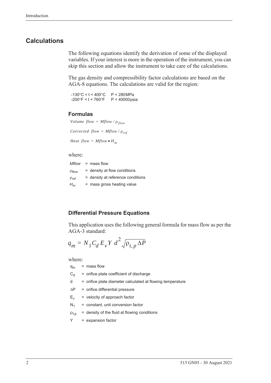#### <span id="page-11-0"></span>**Calculations**

The following equations identify the derivation of some of the displayed variables. If your interest is more in the operation of the instrument, you can skip this section and allow the instrument to take care of the calculations.

The gas density and compressibility factor calculations are based on the AGA-8 equations. The calculations are valid for the region:

 $-130^{\circ}$ C < t < 400 $^{\circ}$ C -200F < t < 760F P < 280 MPa P < 40000 psia

#### **Formulas**

```
Volume flow = Mflow / \rho_{flow}Corrected flow = Mflow / \rho_{ref}
```
*Heat flow =*  $Mflow \cdot H_m$ 

#### where:

|                  | $Mflow = mass flow$               |
|------------------|-----------------------------------|
| $P$ flow         | $=$ density at flow conditions    |
| Pr <sub>ef</sub> | = density at reference conditions |
| $H_m$            | $=$ mass gross heating value      |

#### **Differential Pressure Equations**

This application uses the following general formula for mass flow as per the AGA-3 standard:

$$
q_m = N_1 C_d E_v Y d^2 \sqrt{\rho_{t,p} \Delta P}
$$

where:

- $q_m$  = mass flow  $C_d$  = orifice plate coefficient of discharge d = orifice plate diameter calculated at flowing temperature  $\Delta P$  = orifice differential pressure  $E_v$  = velocity of approach factor  $N_1$  = constant, unit conversion factor
- $p_{t,p}$  = density of the fluid at flowing conditions
- Y = expansion factor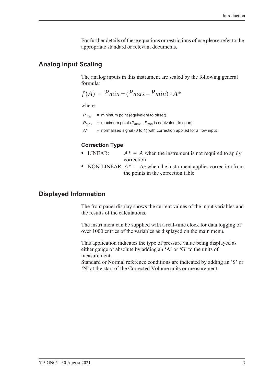For further details of these equations or restrictions of use please refer to the appropriate standard or relevant documents.

### <span id="page-12-0"></span>**Analog Input Scaling**

The analog inputs in this instrument are scaled by the following general formula:

$$
f(A) = P_{min} + (P_{max} - P_{min}) \cdot A^*
$$

where:

*Pmin* = minimum point (equivalent to offset)

 $P_{\text{max}}$  = maximum point ( $P_{\text{max}} - P_{\text{min}}$  is equivalent to span)

*A\** = normalised signal (0 to 1) with correction applied for a flow input

#### **Correction Type**

- LINEAR:  $A^* = A$  when the instrument is not required to apply correction
- NON-LINEAR:  $A^* = A_c$  when the instrument applies correction from the points in the correction table

# <span id="page-12-1"></span>**Displayed Information**

The front panel display shows the current values of the input variables and the results of the calculations.

The instrument can be supplied with a real-time clock for data logging of over 1000 entries of the variables as displayed on the main menu.

This application indicates the type of pressure value being displayed as either gauge or absolute by adding an 'A' or 'G' to the units of measurement.

Standard or Normal reference conditions are indicated by adding an 'S' or 'N' at the start of the Corrected Volume units or measurement.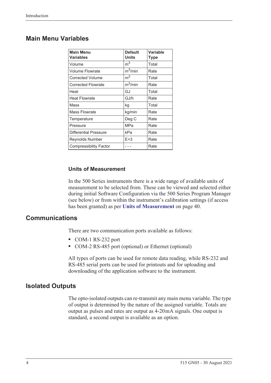# <span id="page-13-0"></span>**Main Menu Variables**

| <b>Main Menu</b><br><b>Variables</b> | <b>Default</b><br><b>Units</b> | <b>Variable</b><br>Type |
|--------------------------------------|--------------------------------|-------------------------|
| Volume                               | m <sup>3</sup>                 | Total                   |
| <b>Volume Flowrate</b>               | $m^3/m$ in                     | Rate                    |
| <b>Corrected Volume</b>              | m <sup>3</sup>                 | Total                   |
| <b>Corrected Flowrate</b>            | $m^3/m$ in                     | Rate                    |
| Heat                                 | GJ                             | Total                   |
| <b>Heat Flowrate</b>                 | GJ/h                           | Rate                    |
| Mass                                 | kg                             | Total                   |
| <b>Mass Flowrate</b>                 | kg/min                         | Rate                    |
| Temperature                          | Deg C                          | Rate                    |
| Pressure                             | MPa                            | Rate                    |
| <b>Differential Pressure</b>         | kPa                            | Rate                    |
| Reynolds Number                      | $E+3$                          | Rate                    |
| <b>Compressibility Factor</b>        |                                | Rate                    |

#### **Units of Measurement**

In the 500 Series instruments there is a wide range of available units of measurement to be selected from. These can be viewed and selected either during initial Software Configuration via the 500 Series Program Manager (see below) or from within the instrument's calibration settings (if access has been granted) as per **[Units of Measurement](#page-49-3)** on page 40.

## <span id="page-13-1"></span>**Communications**

There are two communication ports available as follows:

- **•** COM-1 RS-232 port
- **•** COM-2 RS-485 port (optional) or Ethernet (optional)

All types of ports can be used for remote data reading, while RS-232 and RS-485 serial ports can be used for printouts and for uploading and downloading of the application software to the instrument.

#### <span id="page-13-2"></span>**Isolated Outputs**

The opto-isolated outputs can re-transmit any main menu variable. The type of output is determined by the nature of the assigned variable. Totals are output as pulses and rates are output as 4-20 mA signals. One output is standard, a second output is available as an option.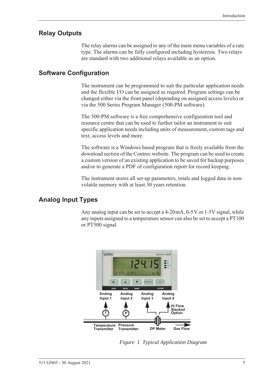## <span id="page-14-0"></span>**Relay Outputs**

The relay alarms can be assigned to any of the main menu variables of a rate type. The alarms can be fully configured including hysteresis. Two relays are standard with two additional relays available as an option.

## <span id="page-14-1"></span>**Software Configuration**

The instrument can be programmed to suit the particular application needs and the flexible I/O can be assigned as required. Program settings can be changed either via the front panel (depending on assigned access levels) or via the 500 Series Program Manager (500-PM software).

The 500-PM software is a free comprehensive configuration tool and resource centre that can be used to further tailor an instrument to suit specific application needs including units of measurement, custom tags and text, access levels and more.

The software is a Windows based program that is freely available from the download section of the Contrec website. The program can be used to create a custom version of an existing application to be saved for backup purposes and/or to generate a PDF of configuration report for record keeping.

The instrument stores all set-up parameters, totals and logged data in nonvolatile memory with at least 30 years retention.

# <span id="page-14-2"></span>**Analog Input Types**

Any analog input can be set to accept a 4-20 mA, 0-5 V or 1-5 V signal, while any inputs assigned to a temperature sensor can also be set to accept a PT100 or PT500 signal.

<span id="page-14-3"></span>

*Figure 1 Typical Application Diagram*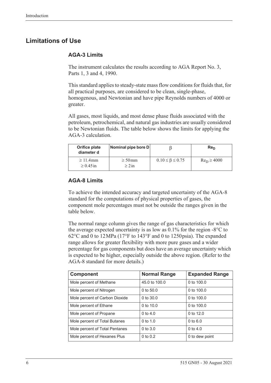# <span id="page-15-0"></span>**Limitations of Use**

#### **AGA-3 Limits**

The instrument calculates the results according to AGA Report No. 3, Parts 1, 3 and 4, 1990.

This standard applies to steady-state mass flow conditions for fluids that, for all practical purposes, are considered to be clean, single-phase, homogenous, and Newtonian and have pipe Reynolds numbers of 4000 or greater.

All gases, most liquids, and most dense phase fluids associated with the petroleum, petrochemical, and natural gas industries are usually considered to be Newtonian fluids. The table below shows the limits for applying the AGA-3 calculation.

| Orifice plate<br>diameter d  | Nominal pipe bore D         |                             | Re <sub>D</sub> |
|------------------------------|-----------------------------|-----------------------------|-----------------|
| $>11.4$ mm<br>$\geq 0.45$ in | $\geq 50$ mm<br>$\geq 2$ in | $0.10 \leq \beta \leq 0.75$ | $Re_D \ge 4000$ |

#### **AGA-8 Limits**

To achieve the intended accuracy and targeted uncertainty of the AGA-8 standard for the computations of physical properties of gases, the component mole percentages must not be outside the ranges given in the table below.

The normal range column gives the range of gas characteristics for which the average expected uncertainty is as low as  $0.1\%$  for the region -8 $\degree$ C to  $62^{\circ}$ C and 0 to 12 MPa (17°F to 143°F and 0 to 1250 psia). The expanded range allows for greater flexibility with more pure gases and a wider percentage for gas components but does have an average uncertainty which is expected to be higher, especially outside the above region. (Refer to the AGA-8 standard for more details.)

| <b>Component</b>               | <b>Normal Range</b> | <b>Expanded Range</b> |
|--------------------------------|---------------------|-----------------------|
| Mole percent of Methane        | 45.0 to 100.0       | 0 to $100.0$          |
| Mole percent of Nitrogen       | 0 to $50.0$         | 0 to $100.0$          |
| Mole percent of Carbon Dioxide | 0 to $30.0$         | 0 to $100.0$          |
| Mole percent of Ethane         | 0 to $10.0$         | 0 to $100.0$          |
| Mole percent of Propane        | 0 to $4.0$          | 0 to 12.0             |
| Mole percent of Total Butanes  | $0$ to 1.0          | $0$ to $6.0$          |
| Mole percent of Total Pentanes | $0$ to $3.0$        | 0 to $4.0$            |
| Mole percent of Hexanes Plus   | $0$ to $0.2$        | 0 to dew point        |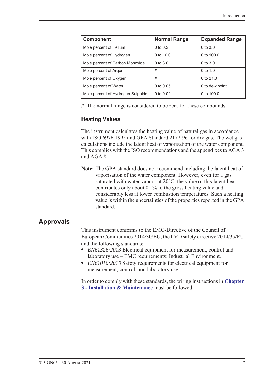| <b>Component</b>                  | <b>Normal Range</b> | <b>Expanded Range</b> |
|-----------------------------------|---------------------|-----------------------|
| Mole percent of Helium            | $0$ to $0.2$        | $0$ to $3.0$          |
| Mole percent of Hydrogen          | 0 to $10.0$         | 0 to 100.0            |
| Mole percent of Carbon Monoxide   | $0$ to $3.0$        | $0$ to $3.0$          |
| Mole percent of Argon             | #                   | $0$ to $1.0$          |
| Mole percent of Oxygen            | #                   | 0 to $21.0$           |
| Mole percent of Water             | 0 to $0.05$         | 0 to dew point        |
| Mole percent of Hydrogen Sulphide | 0 to $0.02$         | 0 to 100.0            |

# The normal range is considered to be zero for these compounds.

#### **Heating Values**

The instrument calculates the heating value of natural gas in accordance with ISO 6976:1995 and GPA Standard 2172-96 for dry gas. The wet gas calculations include the latent heat of vaporisation of the water component. This complies with the ISO recommendations and the appendixes to AGA 3 and AGA 8.

**Note:** The GPA standard does not recommend including the latent heat of vaporisation of the water component. However, even for a gas saturated with water vapour at  $20^{\circ}$ C, the value of this latent heat contributes only about 0.1% to the gross heating value and considerably less at lower combustion temperatures. Such a heating value is within the uncertainties of the properties reported in the GPA standard.

#### <span id="page-16-0"></span>**Approvals**

This instrument conforms to the EMC-Directive of the Council of European Communities 2014/30/EU, the LVD safety directive 2014/35/EU and the following standards:

- **•** *EN61326:2013* Electrical equipment for measurement, control and laboratory use – EMC requirements: Industrial Environment.
- **•** *EN61010:2010* Safety requirements for electrical equipment for measurement, control, and laboratory use.

In order to comply with these standards, the wiring instructions in **[Chapter](#page-20-5)  [3 - Installation & Maintenance](#page-20-5)** must be followed.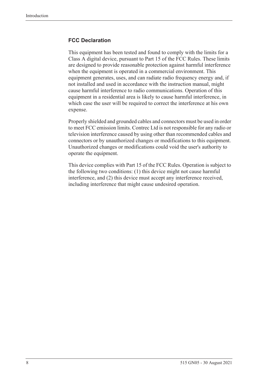#### **FCC Declaration**

This equipment has been tested and found to comply with the limits for a Class A digital device, pursuant to Part 15 of the FCC Rules. These limits are designed to provide reasonable protection against harmful interference when the equipment is operated in a commercial environment. This equipment generates, uses, and can radiate radio frequency energy and, if not installed and used in accordance with the instruction manual, might cause harmful interference to radio communications. Operation of this equipment in a residential area is likely to cause harmful interference, in which case the user will be required to correct the interference at his own expense.

Properly shielded and grounded cables and connectors must be used in order to meet FCC emission limits. Contrec Ltd is not responsible for any radio or television interference caused by using other than recommended cables and connectors or by unauthorized changes or modifications to this equipment. Unauthorized changes or modifications could void the user's authority to operate the equipment.

This device complies with Part 15 of the FCC Rules. Operation is subject to the following two conditions: (1) this device might not cause harmful interference, and (2) this device must accept any interference received, including interference that might cause undesired operation.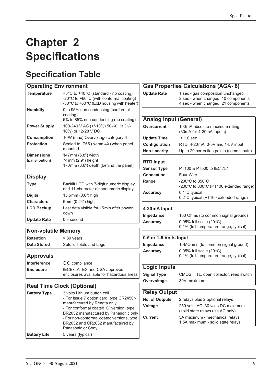# <span id="page-18-0"></span>**Chapter 2 Specifications**

# <span id="page-18-1"></span>**Specification Table**

| <b>Operating Environment</b>        |                                                                                                                              | <b>Gas Properties Calculations (AGA-8)</b> |                                                                                                                 |  |  |  |  |
|-------------------------------------|------------------------------------------------------------------------------------------------------------------------------|--------------------------------------------|-----------------------------------------------------------------------------------------------------------------|--|--|--|--|
| <b>Temperature</b>                  | +5°C to +40°C (standard - no coating)<br>-20°C to +60°C (with conformal coating)<br>-30°C to +60°C (ExD housing with heater) | <b>Update Rate</b>                         | 1 sec - gas composition unchanged<br>2 sec - when changed, 10 components<br>4 sec - when changed, 21 components |  |  |  |  |
| <b>Humidity</b>                     | 0 to 95% non condensing (conformal<br>coating)                                                                               |                                            |                                                                                                                 |  |  |  |  |
|                                     | 5% to 85% non condensing (no coating)                                                                                        | <b>Analog Input (General)</b>              |                                                                                                                 |  |  |  |  |
| <b>Power Supply</b>                 | 100-240 V AC (+/-10%) 50-60 Hz (+/-<br>10%) or 12-28 V DC                                                                    | <b>Overcurrent</b>                         | 100mA absolute maximum rating<br>(30mA for 4-20mA inputs)                                                       |  |  |  |  |
| <b>Consumption</b>                  | 10W (max) Overvoltage category II                                                                                            | <b>Update Time</b>                         | $< 1.0$ sec                                                                                                     |  |  |  |  |
| <b>Protection</b>                   | Sealed to IP65 (Nema 4X) when panel                                                                                          | Configuration                              | RTD, 4-20mA, 0-5V and 1-5V input                                                                                |  |  |  |  |
|                                     | mounted                                                                                                                      | <b>Non-linearity</b>                       | Up to 20 correction points (some inputs)                                                                        |  |  |  |  |
| <b>Dimensions</b><br>(panel option) | 147mm (5.8") width<br>74mm (2.9") height                                                                                     |                                            |                                                                                                                 |  |  |  |  |
|                                     | 170mm (6.6") depth (behind the panel)                                                                                        | <b>RTD Input</b>                           |                                                                                                                 |  |  |  |  |
|                                     |                                                                                                                              | <b>Sensor Type</b>                         | PT100 & PT500 to IEC 751                                                                                        |  |  |  |  |
| <b>Display</b>                      |                                                                                                                              | <b>Connection</b>                          | Four Wire                                                                                                       |  |  |  |  |
| <b>Type</b>                         | Backlit LCD with 7-digit numeric display<br>and 11-character alphanumeric display                                            | Range                                      | -200 $^{\circ}$ C to 350 $^{\circ}$ C<br>-200°C to 800°C (PT100 extended range)                                 |  |  |  |  |
| <b>Digits</b>                       | 15.5mm (0.6") high                                                                                                           | <b>Accuracy</b>                            | 0.1°C typical                                                                                                   |  |  |  |  |
| <b>Characters</b>                   | 6mm (0.24") high                                                                                                             |                                            | 0.2°C typical (PT100 extended range)                                                                            |  |  |  |  |
| <b>LCD Backup</b>                   | Last data visible for 15 min after power<br>down                                                                             | 4-20mA Input                               |                                                                                                                 |  |  |  |  |
| <b>Update Rate</b>                  | 0.3 second                                                                                                                   | Impedance<br><b>Accuracy</b>               | 100 Ohms (to common signal ground)<br>0.05% full scale $(20^{\circ}C)$                                          |  |  |  |  |
| <b>Non-volatile Memory</b>          |                                                                                                                              |                                            | 0.1% (full temperature range, typical)                                                                          |  |  |  |  |
| <b>Retention</b>                    | > 30 years                                                                                                                   | 0-5 or 1-5 Volts Input                     |                                                                                                                 |  |  |  |  |
| <b>Data Stored</b>                  | Setup, Totals and Logs                                                                                                       | Impedance                                  | 10MOhms (to common signal ground)                                                                               |  |  |  |  |
|                                     |                                                                                                                              | <b>Accuracy</b>                            | 0.05% full scale $(20^{\circ}C)$                                                                                |  |  |  |  |
| <b>Approvals</b>                    |                                                                                                                              |                                            | 0.1% (full temperature range, typical)                                                                          |  |  |  |  |
| Interference                        | $C \in \mathbb{C}$ compliance                                                                                                |                                            |                                                                                                                 |  |  |  |  |
| <b>Enclosure</b>                    | IECEx, ATEX and CSA approved                                                                                                 | <b>Logic Inputs</b>                        |                                                                                                                 |  |  |  |  |
|                                     | enclosures available for hazardous areas                                                                                     | <b>Signal Type</b>                         | CMOS, TTL, open collector, reed switch                                                                          |  |  |  |  |
|                                     |                                                                                                                              | Overvoltage                                | 30V maximum                                                                                                     |  |  |  |  |
|                                     | <b>Real Time Clock (Optional)</b>                                                                                            |                                            |                                                                                                                 |  |  |  |  |
| <b>Battery Type</b>                 | 3 volts Lithium button cell                                                                                                  | <b>Relay Output</b>                        |                                                                                                                 |  |  |  |  |
|                                     | - For Issue 7 option card, type CR2450N<br>manufactured by Renata only                                                       | No. of Outputs                             | 2 relays plus 2 optional relays                                                                                 |  |  |  |  |
|                                     | - For conformal coated 'C' version, type                                                                                     | Voltage                                    | 250 volts AC, 30 volts DC maximum                                                                               |  |  |  |  |
|                                     | BR2032 manufactured by Panasonic only                                                                                        |                                            | (solid state relays use AC only)                                                                                |  |  |  |  |
|                                     | - For non-conformal coated versions, type<br>BR2032 and CR2032 manufactured by<br>Panasonic or Sony                          | <b>Current</b>                             | 3A maximum - mechanical relays<br>1.5A maximum - solid state relays                                             |  |  |  |  |
| <b>Battery Life</b>                 | 5 years (typical)                                                                                                            |                                            |                                                                                                                 |  |  |  |  |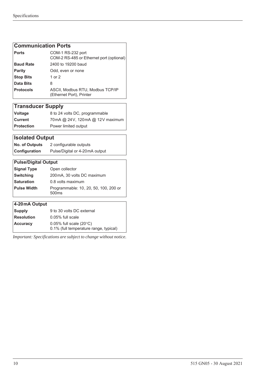#### **Communication Ports**

| <b>Ports</b>     | COM-1 RS-232 port<br>COM-2 RS-485 or Ethernet port (optional) |
|------------------|---------------------------------------------------------------|
| <b>Baud Rate</b> | 2400 to 19200 baud                                            |
| <b>Parity</b>    | Odd, even or none                                             |
| <b>Stop Bits</b> | 1 or 2                                                        |
| Data Bits        | 8                                                             |
| <b>Protocols</b> | ASCII, Modbus RTU, Modbus TCP/IP<br>(Ethernet Port), Printer  |

# **Transducer Supply**

| <b>Voltage</b>    | 8 to 24 volts DC, programmable  |
|-------------------|---------------------------------|
| Current           | 70mA @ 24V, 120mA @ 12V maximum |
| <b>Protection</b> | Power limited output            |

# **Isolated Output**

| <b>No. of Outputs</b> | 2 configurable outputs         |  |
|-----------------------|--------------------------------|--|
| Configuration         | Pulse/Digital or 4-20mA output |  |

### **Pulse/Digital Output Signal Type** Open collector **Switching** 200mA, 30 volts DC maximum **Saturation** 0.8 volts maximum **Pulse Width** Programmable: 10 , 20, 50, 100, 200 or 500ms **4-20 mA Output**

| <b>Supply</b>     | 9 to 30 volts DC external              |
|-------------------|----------------------------------------|
| <b>Resolution</b> | $0.05\%$ full scale                    |
| <b>Accuracy</b>   | $0.05\%$ full scale (20 $\degree$ C)   |
|                   | 0.1% (full temperature range, typical) |

*Important: Specifications are subject to change without notice.*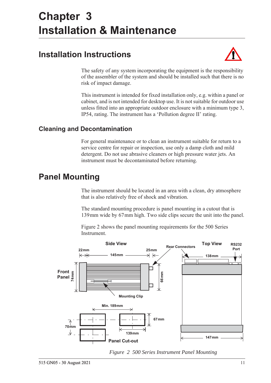# <span id="page-20-5"></span><span id="page-20-0"></span>**Chapter 3 Installation & Maintenance**

# <span id="page-20-1"></span>**Installation Instructions**



The safety of any system incorporating the equipment is the responsibility of the assembler of the system and should be installed such that there is no risk of impact damage.

This instrument is intended for fixed installation only, e.g. within a panel or cabinet, and is not intended for desktop use. It is not suitable for outdoor use unless fitted into an appropriate outdoor enclosure with a minimum type 3, IP54, rating. The instrument has a 'Pollution degree II' rating.

# <span id="page-20-2"></span>**Cleaning and Decontamination**

For general maintenance or to clean an instrument suitable for return to a service centre for repair or inspection, use only a damp cloth and mild detergent. Do not use abrasive cleaners or high pressure water jets. An instrument must be decontaminated before returning.

# <span id="page-20-3"></span>**Panel Mounting**

The instrument should be located in an area with a clean, dry atmosphere that is also relatively free of shock and vibration.

The standard mounting procedure is panel mounting in a cutout that is 139 mm wide by 67 mm high. Two side clips secure the unit into the panel.

[Figure 2](#page-20-4) shows the panel mounting requirements for the 500 Series Instrument.



<span id="page-20-4"></span>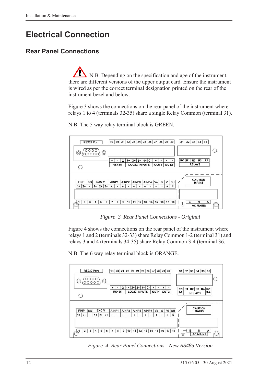# <span id="page-21-0"></span>**Electrical Connection**

# <span id="page-21-1"></span>**Rear Panel Connections**

N.B. Depending on the specification and age of the instrument, there are different versions of the upper output card. Ensure the instrument is wired as per the correct terminal designation printed on the rear of the instrument bezel and below.

[Figure 3](#page-21-2) shows the connections on the rear panel of the instrument where relays 1 to 4 (terminals 32-35) share a single Relay Common (terminal 31).



N.B. The 5 way relay terminal block is GREEN.

*Figure 3 Rear Panel Connections - Original*

<span id="page-21-2"></span>[Figure 4](#page-21-3) shows the connections on the rear panel of the instrument where relays 1 and 2 (terminals 32-33) share Relay Common 1-2 (terminal 31) and relays 3 and 4 (terminals 34-35) share Relay Common 3-4 (terminal 36.

N.B. The 6 way relay terminal block is ORANGE.



<span id="page-21-3"></span>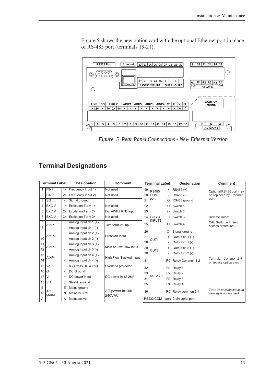[Figure 5](#page-22-1) shows the new option card with the optional Ethernet port in place of RS-485 port (terminals 19-21).



<span id="page-22-1"></span>*Figure 5 Rear Panel Connections - New Ethernet Version*

# <span id="page-22-0"></span>**Terminal Designations**

| <b>Terminal Label</b> |                    |                          | Designation               | <b>Comment</b>          | <b>Terminal Label</b> |                  |                | Designation                        | <b>Comment</b>                                     |
|-----------------------|--------------------|--------------------------|---------------------------|-------------------------|-----------------------|------------------|----------------|------------------------------------|----------------------------------------------------|
| 1                     | <b>FINP</b>        | $1+$                     | Frequency Input 1+        | Not used                | 19                    | <b>RS485</b>     | $\ddot{}$      | RS485 (+)                          | Optional RS485 port may                            |
| 2                     | <b>FINP</b>        | $2+$                     | Frequency Input 2+        | Not used                | 20                    | COM-2            |                | RS485(-)                           | be replaced by Ethernet                            |
| 3                     | SG                 | $\overline{\phantom{a}}$ | Signal ground             |                         | 21                    | port             | G              | RS485 ground                       | port.                                              |
| 4                     | EXC V              | $1+$                     | <b>Excitation Term 1+</b> | Not used                | 22                    |                  | $1+$           | Switch 1                           |                                                    |
| 5                     | EXC V              | $2+$                     | <b>Excitation Term 2+</b> | For AINP1 RTD Input     | 23                    |                  | $2+$           | Switch 2                           |                                                    |
| 6                     | <b>EXC V</b>       | $3+$                     | <b>Excitation Term 3+</b> | Not used                | 24                    | <b>LOGIC</b>     | $3+$           | Switch 3                           | <b>Remote Reset</b>                                |
| $\overline{7}$        | AINP1              | $\ddot{}$                | Analog Input ch $1 (+)$   |                         |                       | <b>INPUTS</b>    | $4+$           | Switch 4                           | CAL Switch - In field                              |
| 8                     |                    |                          | Analog Input ch 1 (-)     | Temperature Input       | 25                    |                  |                |                                    | access protection                                  |
| 9                     |                    | $\ddot{}$                | Analog Input ch $2 (+)$   | Pressure Input          | 26                    |                  | $C-$           | Signal ground                      |                                                    |
| 10                    | AINP <sub>2</sub>  |                          | Analog Input ch 2 (-)     |                         | $\overline{27}$       | OUT <sub>1</sub> | $+$            | Output ch $1 (+)$                  |                                                    |
| 11                    |                    | $\ddot{}$                | Analog Input ch $3 (+)$   | Main or Low Flow Input  | 28                    |                  |                | Output $ch 1$ (-)                  |                                                    |
| 12                    | AINP3              | $\overline{\phantom{a}}$ | Analog Input ch 3 (-)     |                         | 29                    | OUT <sub>2</sub> | $\ddot{}$      | Output ch $2 (+)$                  |                                                    |
| $\overline{13}$       |                    | $\ddot{}$                | Analog Input ch $4 (+)$   |                         | 30                    |                  |                | Output $ch 2$ (-)                  |                                                    |
| 14                    | AINP4              |                          | Analog Input ch 4 (-)     | High Flow Stacked Input | 31                    |                  | <b>RC</b>      | Relay Common 1-2                   | Term 31 - Common 1-4<br>on legacy option card      |
| 15                    | Vo                 | $\ddot{}$                | 8-24 volts DC output      | Overload protected      | 32                    |                  | R <sub>1</sub> | Relay 1                            |                                                    |
| 16                    | G                  | $\overline{\phantom{a}}$ | <b>DC</b> Ground          |                         | 33                    |                  | R2             | Relay 2                            |                                                    |
| 17                    | Vi                 | $\ddot{}$                | DC power input            | DC power in 12-28V      | $\overline{34}$       | <b>RELAYS</b>    | R3             | Relay 3                            |                                                    |
| 18                    | <b>SH</b>          | E                        | Shield terminal           |                         |                       | 35               | R4             | Relay 4                            |                                                    |
| Ε                     |                    | Ε                        | Mains ground              |                         |                       |                  |                |                                    |                                                    |
| N                     | AC<br><b>MAINS</b> | N                        | Mains neutral             | AC power in 100-        | 36                    |                  | RC             | Relay common 3-4                   | Term 36 only available on<br>new style option card |
| A                     |                    | Α                        | Mains active              | <b>240VAC</b>           |                       |                  |                | RS232 COM-1 port 9-pin serial port |                                                    |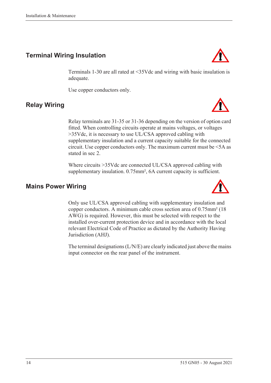# <span id="page-23-0"></span>**Terminal Wiring Insulation**

Terminals 1-30 are all rated at <35Vdc and wiring with basic insulation is adequate.

Use copper conductors only.

stated in sec 2.

# <span id="page-23-1"></span>**Relay Wiring**

Relay terminals are 31-35 or 31-36 depending on the version of option card fitted. When controlling circuits operate at mains voltages, or voltages >35Vdc, it is necessary to use UL/CSA approved cabling with supplementary insulation and a current capacity suitable for the connected circuit. Use copper conductors only. The maximum current must be <5A as

Where circuits >35Vdc are connected UL/CSA approved cabling with supplementary insulation. 0.75mm<sup>2</sup>, 6A current capacity is sufficient.

## <span id="page-23-2"></span>**Mains Power Wiring**

Only use UL/CSA approved cabling with supplementary insulation and copper conductors. A minimum cable cross section area of 0.75mm² (18 AWG) is required. However, this must be selected with respect to the installed over-current protection device and in accordance with the local relevant Electrical Code of Practice as dictated by the Authority Having Jurisdiction (AHJ).

The terminal designations (L/N/E) are clearly indicated just above the mains input connector on the rear panel of the instrument.





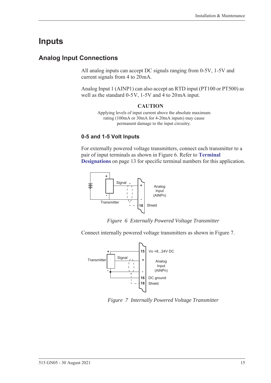# <span id="page-24-0"></span>**Inputs**

# <span id="page-24-1"></span>**Analog Input Connections**

All analog inputs can accept DC signals ranging from 0-5V, 1-5V and current signals from 4 to 20 mA.

Analog Input 1 (AINP1) can also accept an RTD input (PT100 or PT500) as well as the standard  $0-5V$ ,  $1-5V$  and  $4$  to  $20mA$  input.

#### **CAUTION**

Applying levels of input current above the absolute maximum rating (100mA or 30mA for 4-20mA inputs) may cause permanent damage to the input circuitry.

#### **0-5 and 1-5 Volt Inputs**

For externally powered voltage transmitters, connect each transmitter to a pair of input terminals as shown in [Figure 6.](#page-24-2) Refer to **[Terminal](#page-22-0)  [Designations](#page-22-0)** on page 13 for specific terminal numbers for this application.



*Figure 6 Externally Powered Voltage Transmitter*

<span id="page-24-2"></span>Connect internally powered voltage transmitters as shown in [Figure 7.](#page-24-3)



<span id="page-24-3"></span>*Figure 7 Internally Powered Voltage Transmitter*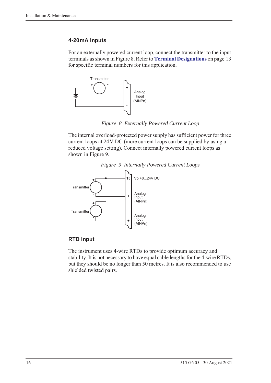#### **4-20 mA Inputs**

For an externally powered current loop, connect the transmitter to the input terminals as shown in [Figure 8](#page-25-0). Refer to **[Terminal Designations](#page-22-0)** on page 13 for specific terminal numbers for this application.



*Figure 8 Externally Powered Current Loop*

<span id="page-25-0"></span>The internal overload-protected power supply has sufficient power for three current loops at 24 V DC (more current loops can be supplied by using a reduced voltage setting). Connect internally powered current loops as shown in [Figure 9](#page-25-1).



<span id="page-25-1"></span>

#### **RTD Input**

The instrument uses 4-wire RTDs to provide optimum accuracy and stability. It is not necessary to have equal cable lengths for the 4-wire RTDs, but they should be no longer than 50 metres. It is also recommended to use shielded twisted pairs.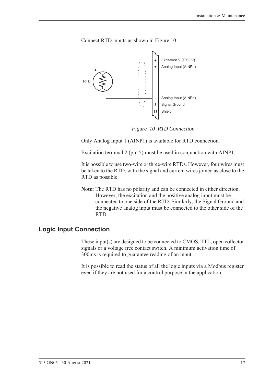

Connect RTD inputs as shown in [Figure 10.](#page-26-1)

*Figure 10 RTD Connection*

<span id="page-26-1"></span>Only Analog Input 1 (AINP1) is available for RTD connection.

Excitation terminal 2 (pin 5) must be used in conjunction with AINP1.

It is possible to use two-wire or three-wire RTDs. However, four wires must be taken to the RTD, with the signal and current wires joined as close to the RTD as possible.

**Note:** The RTD has no polarity and can be connected in either direction. However, the excitation and the positive analog input must be connected to one side of the RTD. Similarly, the Signal Ground and the negative analog input must be connected to the other side of the RTD.

#### <span id="page-26-0"></span>**Logic Input Connection**

These input(s) are designed to be connected to CMOS, TTL, open collector signals or a voltage free contact switch. A minimum activation time of 300ms is required to guarantee reading of an input.

It is possible to read the status of all the logic inputs via a Modbus register even if they are not used for a control purpose in the application.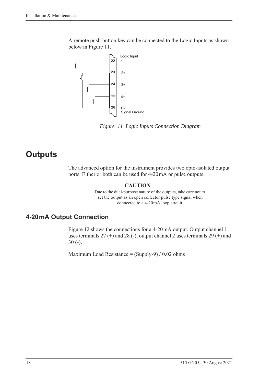A remote push-button key can be connected to the Logic Inputs as shown below in [Figure 11](#page-27-2).



<span id="page-27-2"></span>*Figure 11 Logic Inputs Connection Diagram*

# <span id="page-27-0"></span>**Outputs**

The advanced option for the instrument provides two opto-isolated output ports. Either or both can be used for 4-20 mA or pulse outputs.

#### **CAUTION**

Due to the dual-purpose nature of the outputs, take care not to set the output as an open collector pulse type signal when connected to a 4-20 mA loop circuit.

# <span id="page-27-1"></span>**4-20 mA Output Connection**

[Figure 12](#page-28-1) shows the connections for a 4-20 mA output. Output channel 1 uses terminals  $27 (+)$  and  $28 (-)$ , output channel 2 uses terminals  $29 (+)$  and 30 (-).

Maximum Load Resistance =  $(Supply-9) / 0.02$  ohms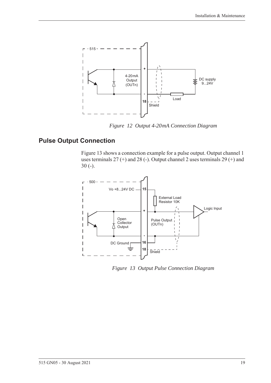

*Figure 12 Output 4-20 mA Connection Diagram*

# <span id="page-28-0"></span>**Pulse Output Connection**

<span id="page-28-1"></span>[Figure 13](#page-28-2) shows a connection example for a pulse output. Output channel 1 uses terminals 27 (+) and 28 (-). Output channel 2 uses terminals 29 (+) and 30 (-).



<span id="page-28-2"></span>*Figure 13 Output Pulse Connection Diagram*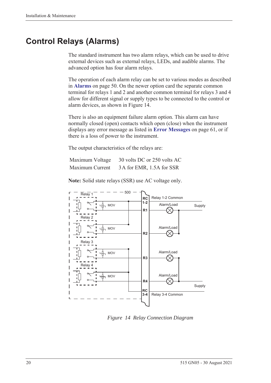# <span id="page-29-0"></span>**Control Relays (Alarms)**

The standard instrument has two alarm relays, which can be used to drive external devices such as external relays, LEDs, and audible alarms. The advanced option has four alarm relays.

The operation of each alarm relay can be set to various modes as described in **Alarms** [on page 50](#page-59-1). On the newer option card the separate common terminal for relays 1 and 2 and another common terminal for relays 3 and 4 allow for different signal or supply types to be connected to the control or alarm devices, as shown in [Figure 14.](#page-29-1)

There is also an equipment failure alarm option. This alarm can have normally closed (open) contacts which open (close) when the instrument displays any error message as listed in **[Error Messages](#page-70-2)** on page 61, or if there is a loss of power to the instrument.

The output characteristics of the relays are:

| Maximum Voltage | 30 volts DC or 250 volts AC |
|-----------------|-----------------------------|
| Maximum Current | 3A for EMR, 1.5A for SSR    |

**Note:** Solid state relays (SSR) use AC voltage only.



<span id="page-29-1"></span>*Figure 14 Relay Connection Diagram*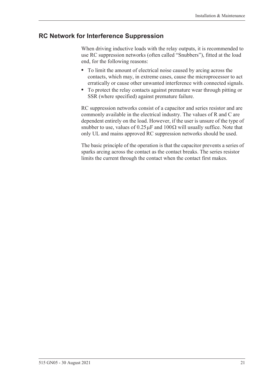## <span id="page-30-0"></span>**RC Network for Interference Suppression**

When driving inductive loads with the relay outputs, it is recommended to use RC suppression networks (often called "Snubbers"), fitted at the load end, for the following reasons:

- **•** To limit the amount of electrical noise caused by arcing across the contacts, which may, in extreme cases, cause the microprocessor to act erratically or cause other unwanted interference with connected signals.
- **•** To protect the relay contacts against premature wear through pitting or SSR (where specified) against premature failure.

RC suppression networks consist of a capacitor and series resistor and are commonly available in the electrical industry. The values of R and C are dependent entirely on the load. However, if the user is unsure of the type of snubber to use, values of  $0.25 \mu$ F and  $100 \Omega$  will usually suffice. Note that only UL and mains approved RC suppression networks should be used.

The basic principle of the operation is that the capacitor prevents a series of sparks arcing across the contact as the contact breaks. The series resistor limits the current through the contact when the contact first makes.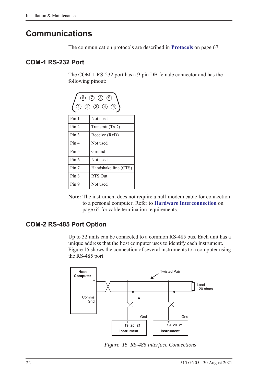# <span id="page-31-0"></span>**Communications**

The communication protocols are described in **Protocols** [on page 67.](#page-76-3)

## <span id="page-31-1"></span>**COM-1 RS-232 Port**

The COM-1 RS-232 port has a 9-pin DB female connector and has the following pinout:



**Note:** The instrument does not require a null-modem cable for connection to a personal computer. Refer to **[Hardware Interconnection](#page-74-4)** on [page 65](#page-74-4) for cable termination requirements.

# <span id="page-31-2"></span>**COM-2 RS-485 Port Option**

Up to 32 units can be connected to a common RS-485 bus. Each unit has a unique address that the host computer uses to identify each instrument. [Figure 15](#page-31-3) shows the connection of several instruments to a computer using the RS-485 port.



<span id="page-31-3"></span>*Figure 15 RS-485 Interface Connections*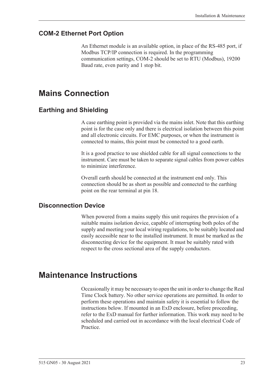## <span id="page-32-0"></span>**COM-2 Ethernet Port Option**

An Ethernet module is an available option, in place of the RS-485 port, if Modbus TCP/IP connection is required. In the programming communication settings, COM-2 should be set to RTU (Modbus), 19200 Baud rate, even parity and 1 stop bit.

# <span id="page-32-1"></span>**Mains Connection**

## <span id="page-32-2"></span>**Earthing and Shielding**

A case earthing point is provided via the mains inlet. Note that this earthing point is for the case only and there is electrical isolation between this point and all electronic circuits. For EMC purposes, or when the instrument is connected to mains, this point must be connected to a good earth.

It is a good practice to use shielded cable for all signal connections to the instrument. Care must be taken to separate signal cables from power cables to minimize interference.

Overall earth should be connected at the instrument end only. This connection should be as short as possible and connected to the earthing point on the rear terminal at pin 18.

## <span id="page-32-3"></span>**Disconnection Device**

When powered from a mains supply this unit requires the provision of a suitable mains isolation device, capable of interrupting both poles of the supply and meeting your local wiring regulations, to be suitably located and easily accessible near to the installed instrument. It must be marked as the disconnecting device for the equipment. It must be suitably rated with respect to the cross sectional area of the supply conductors.

# <span id="page-32-4"></span>**Maintenance Instructions**

Occasionally it may be necessary to open the unit in order to change the Real Time Clock battery. No other service operations are permitted. In order to perform these operations and maintain safety it is essential to follow the instructions below. If mounted in an ExD enclosure, before proceeding, refer to the ExD manual for further information. This work may need to be scheduled and carried out in accordance with the local electrical Code of Practice.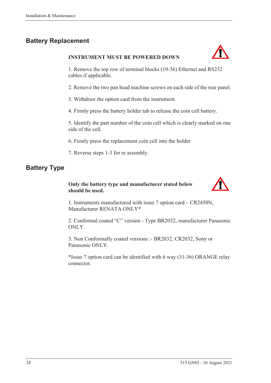# <span id="page-33-0"></span>**Battery Replacement**

#### **INSTRUMENT MUST BE POWERED DOWN**



1. Remove the top row of terminal blocks (19-36) Ethernet and RS232 cables if applicable.

2. Remove the two pan head machine screws on each side of the rear panel.

3. Withdraw the option card from the instrument.

4. Firmly press the battery holder tab to release the coin cell battery.

5. Identify the part number of the coin cell which is clearly marked on one side of the cell.

6. Firmly press the replacement coin cell into the holder

7. Reverse steps 1-3 for re assembly.

# <span id="page-33-1"></span>**Battery Type**

#### **Only the battery type and manufacturer stated below should be used.**



1. Instruments manufactured with issue 7 option card – CR2450N, Manufacturer RENATA ONLY\*

2. Conformal coated "C" version - Type BR2032, manufacturer Panasonic ONLY.

3. Non Conformally coated versions :- BR2032, CR2032, Sony or Panasonic ONLY.

\*Issue 7 option card can be identified with 6 way (31-36) ORANGE relay connector.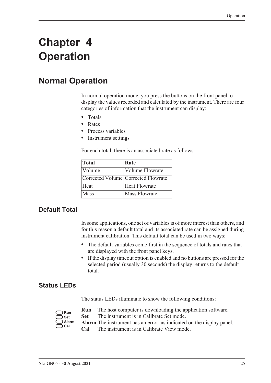# <span id="page-34-0"></span>**Chapter 4 Operation**

# <span id="page-34-1"></span>**Normal Operation**

In normal operation mode, you press the buttons on the front panel to display the values recorded and calculated by the instrument. There are four categories of information that the instrument can display:

- **•** Totals
- **•** Rates
- **•** Process variables
- **•** Instrument settings

For each total, there is an associated rate as follows:

| Total                       | Rate                                |
|-----------------------------|-------------------------------------|
| <i><u><b>Nolume</b></u></i> | <b>Volume Flowrate</b>              |
|                             | Corrected Volume Corrected Flowrate |
| Heat                        | <b>Heat Flowrate</b>                |
| Mass                        | <b>Mass Flowrate</b>                |

# <span id="page-34-2"></span>**Default Total**

In some applications, one set of variables is of more interest than others, and for this reason a default total and its associated rate can be assigned during instrument calibration. This default total can be used in two ways:

- **•** The default variables come first in the sequence of totals and rates that are displayed with the front panel keys.
- **•** If the display timeout option is enabled and no buttons are pressed for the selected period (usually 30 seconds) the display returns to the default total.

## <span id="page-34-3"></span>**Status LEDs**

The status LEDs illuminate to show the following conditions:

| Run   |
|-------|
| Set   |
| Alarm |
| Cal   |

- **Run** The host computer is downloading the application software.
- **Set** The instrument is in Calibrate Set mode.
- **Alarm** The instrument has an error, as indicated on the display panel.
	- **Cal** The instrument is in Calibrate View mode.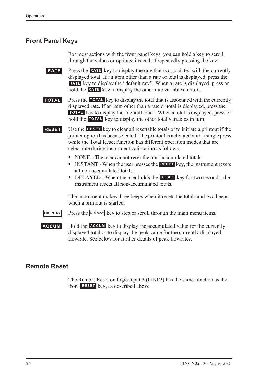## <span id="page-35-0"></span>**Front Panel Keys**

For most actions with the front panel keys, you can hold a key to scroll through the values or options, instead of repeatedly pressing the key.

**RATE** Press the **RATE** key to display the rate that is associated with the currently displayed total. If an item other than a rate or total is displayed, press the RATE key to display the "default rate". When a rate is displayed, press or hold the **RATE** key to display the other rate variables in turn.

**TOTAL** Press the TOTAL key to display the total that is associated with the currently displayed rate. If an item other than a rate or total is displayed, press the **TOTAL** key to display the "default total". When a total is displayed, press or hold the **TOTAL** key to display the other total variables in turn.

**RESET** Use the **RESET** key to clear all resettable totals or to initiate a printout if the printer option has been selected. The printout is activated with a single press while the Total Reset function has different operation modes that are selectable during instrument calibration as follows:

- NONE The user cannot reset the non-accumulated totals.
- INSTANT When the user presses the **RESET** key, the instrument resets all non-accumulated totals.
- DELAYED When the user holds the **RESET** key for two seconds, the instrument resets all non-accumulated totals.

The instrument makes three beeps when it resets the totals and two beeps when a printout is started.

**DISPLAY** Press the **DISPLAY** key to step or scroll through the main menu items.

**ACCUM** Hold the **ACCUM** key to display the accumulated value for the currently displayed total or to display the peak value for the currently displayed flowrate. See below for further details of peak flowrates.

## <span id="page-35-1"></span>**Remote Reset**

The Remote Reset on logic input 3 (LINP3) has the same function as the front **RESET** key, as described above.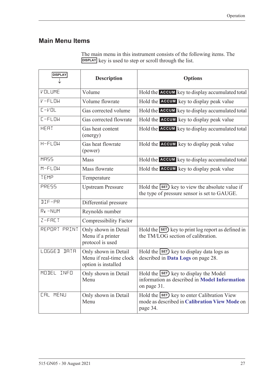# **Main Menu Items**

| The main menu in this instrument consists of the following items. The |
|-----------------------------------------------------------------------|
| DISPLAY key is used to step or scroll through the list.               |

| <b>DISPLAY</b>              | <b>Description</b>                                                     | <b>Options</b>                                                                                           |
|-----------------------------|------------------------------------------------------------------------|----------------------------------------------------------------------------------------------------------|
| VOLUME                      | Volume                                                                 | Hold the ACCUM key to display accumulated total                                                          |
| $V$ -FLOW                   | Volume flowrate                                                        | Hold the ACCUM key to display peak value                                                                 |
| $L - VDL$                   | Gas corrected volume                                                   | Hold the ACCUM key to display accumulated total                                                          |
| $L-FLOW$                    | Gas corrected flowrate                                                 | Hold the <b>ACCUM</b> key to display peak value                                                          |
| <b>HEAT</b>                 | Gas heat content<br>(energy)                                           | Hold the ACCUM key to display accumulated total                                                          |
| $H-FLDW$                    | Gas heat flowrate<br>(power)                                           | Hold the ACCUM key to display peak value                                                                 |
| MR55                        | Mass                                                                   | Hold the ACCUM key to display accumulated total                                                          |
| $M-FLDW$                    | Mass flowrate                                                          | Hold the ACCUM key to display peak value                                                                 |
| TEMP                        | Temperature                                                            |                                                                                                          |
| PRESS                       | <b>Upstream Pressure</b>                                               | Hold the SET) key to view the absolute value if<br>the type of pressure sensor is set to GAUGE.          |
| $\overline{\text{II}}$ F-PR | Differential pressure                                                  |                                                                                                          |
| $Re - NLM$                  | Reynolds number                                                        |                                                                                                          |
| $Z-FHLT$                    | <b>Compressibility Factor</b>                                          |                                                                                                          |
| REPORT PRINT                | Only shown in Detail<br>Menu if a printer<br>protocol is used          | Hold the SET) key to print log report as defined in<br>the TM/LOG section of calibration.                |
| LOGGED<br><b>IRTR</b>       | Only shown in Detail<br>Menu if real-time clock<br>option is installed | Hold the <b>SET</b> ) key to display data logs as<br>described in Data Logs on page 28.                  |
| MODEL<br>INFO               | Only shown in Detail<br>Menu                                           | Hold the SET key to display the Model<br>information as described in Model Information<br>on page 31.    |
| <b>CAL MENU</b>             | Only shown in Detail<br>Menu                                           | Hold the SET) key to enter Calibration View<br>mode as described in Calibration View Mode on<br>page 34. |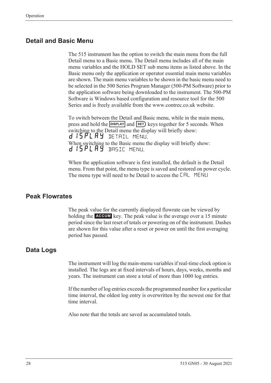### **Detail and Basic Menu**

The 515 instrument has the option to switch the main menu from the full Detail menu to a Basic menu. The Detail menu includes all of the main menu variables and the HOLD SET sub menu items as listed above. In the Basic menu only the application or operator essential main menu variables are shown. The main menu variables to be shown in the basic menu need to be selected in the 500 Series Program Manager (500-PM Software) prior to the application software being downloaded to the instrument. The 500-PM Software is Windows based configuration and resource tool for the 500 Series and is freely available from the www.contrec.co.uk website.

To switch between the Detail and Basic menu, while in the main menu, press and hold the **DISPLAY** and **SET**) keys together for 5 seconds. When switching to the Detail menu the display will briefly show: d 15 PL A Y DETAIL MENU. When switching to the Basic menu the display will briefly show: d 15PLAY BASIC MENU.

When the application software is first installed, the default is the Detail menu. From that point, the menu type is saved and restored on power cycle. The menu type will need to be Detail to access the CAL MENU

### **Peak Flowrates**

The peak value for the currently displayed flowrate can be viewed by holding the **ACCUM** key. The peak value is the average over a 15 minute period since the last reset of totals or powering on of the instrument. Dashes are shown for this value after a reset or power on until the first averaging period has passed.

#### <span id="page-37-0"></span>**Data Logs**

The instrument will log the main-menu variables if real-time clock option is installed. The logs are at fixed intervals of hours, days, weeks, months and years. The instrument can store a total of more than 1000 log entries.

If the number of log entries exceeds the programmed number for a particular time interval, the oldest log entry is overwritten by the newest one for that time interval.

Also note that the totals are saved as accumulated totals.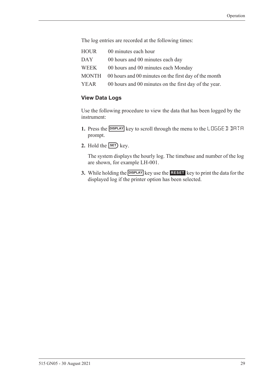The log entries are recorded at the following times:

HOUR 00 minutes each hour DAY 00 hours and 00 minutes each day WEEK 00 hours and 00 minutes each Monday MONTH 00 hours and 00 minutes on the first day of the month YEAR 00 hours and 00 minutes on the first day of the year.

#### **View Data Logs**

Use the following procedure to view the data that has been logged by the instrument:

- **1.** Press the **DISPLAY** key to scroll through the menu to the LOGGE D DATA prompt.
- **2.** Hold the  $\overline{\text{SET}}$  key.

The system displays the hourly log. The timebase and number of the log are shown, for example LH-001.

**3.** While holding the **DISPLAY** key use the **RESET** key to print the data for the displayed log if the printer option has been selected.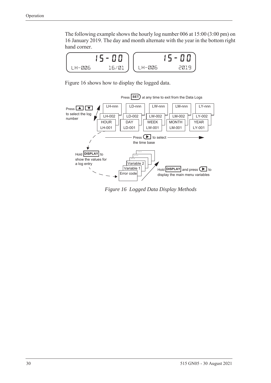The following example shows the hourly log number 006 at 15:00 (3:00 pm) on 16 January 2019. The day and month alternate with the year in the bottom right hand corner.



[Figure 16](#page-39-0) shows how to display the logged data.



<span id="page-39-0"></span>*Figure 16 Logged Data Display Methods*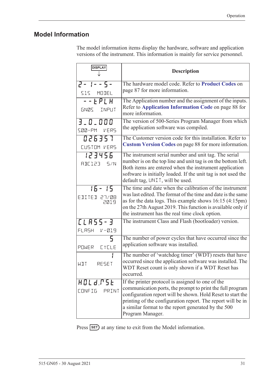# <span id="page-40-1"></span><span id="page-40-0"></span>**Model Information**

The model information items display the hardware, software and application versions of the instrument. This information is mainly for service personnel.

| <b>DISPLAY</b>                     | <b>Description</b>                                                                                                                                                                                                                                                                                                      |  |
|------------------------------------|-------------------------------------------------------------------------------------------------------------------------------------------------------------------------------------------------------------------------------------------------------------------------------------------------------------------------|--|
| $2 - 1 - 5 -$<br>SIS MODEL         | The hardware model code. Refer to Product Codes on<br>page 87 for more information.                                                                                                                                                                                                                                     |  |
| $  EPLH$<br>GNØS INPUT             | The Application number and the assignment of the inputs.<br>Refer to Application Information Code on page 88 for<br>more information.                                                                                                                                                                                   |  |
| 3.0.000<br>SØØ-PM VERS             | The version of 500-Series Program Manager from which<br>the application software was compiled.                                                                                                                                                                                                                          |  |
| 026357<br>CUSTOM VERS              | The Customer version code for this installation. Refer to<br><b>Custom Version Codes on page 88 for more information.</b>                                                                                                                                                                                               |  |
| 123456<br>RBE123 5/N               | The instrument serial number and unit tag. The serial<br>number is on the top line and unit tag is on the bottom left.<br>Both items are entered when the instrument application<br>software is initially loaded. If the unit tag is not used the<br>default tag, UNIT, will be used.                                   |  |
| $15 - 15$<br>EDITED 27/08<br>2019  | The time and date when the calibration of the instrument<br>was last edited. The format of the time and date is the same<br>as for the data logs. This example shows $16:15(4:15pm)$<br>on the 27th August 2019. This function is available only if<br>the instrument has the real time clock option.                   |  |
| [LA55-3<br>FLASH<br>$V - 219$      | The instrument Class and Flash (bootloader) version.                                                                                                                                                                                                                                                                    |  |
| 5<br>POWER EYELE                   | The number of power cycles that have occurred since the<br>application software was installed.                                                                                                                                                                                                                          |  |
| RESET<br>WIT                       | The number of 'watchdog timer' (WDT) resets that have<br>occurred since the application software was installed. The<br>WDT Reset count is only shown if a WDT Reset has<br>occurred.                                                                                                                                    |  |
| HOLd.PSE<br><b>CONFIG</b><br>PRINT | If the printer protocol is assigned to one of the<br>communication ports, the prompt to print the full program<br>configuration report will be shown. Hold Reset to start the<br>printing of the configuration report. The report will be in<br>a similar format to the report generated by the 500<br>Program Manager. |  |

Press **SET**) at any time to exit from the Model information.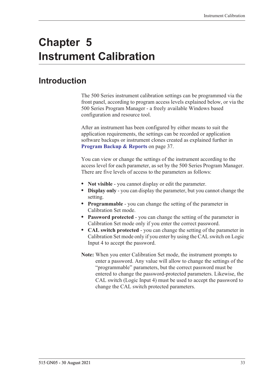# **Chapter 5 Instrument Calibration**

# **Introduction**

The 500 Series instrument calibration settings can be programmed via the front panel, according to program access levels explained below, or via the 500 Series Program Manager - a freely available Windows based configuration and resource tool.

After an instrument has been configured by either means to suit the application requirements, the settings can be recorded or application software backups or instrument clones created as explained further in **[Program Backup & Reports](#page-46-0)** on page 37.

You can view or change the settings of the instrument according to the access level for each parameter, as set by the 500 Series Program Manager. There are five levels of access to the parameters as follows:

- **• Not visible** you cannot display or edit the parameter.
- **• Display only** you can display the parameter, but you cannot change the setting.
- **• Programmable** you can change the setting of the parameter in Calibration Set mode.
- **• Password protected** you can change the setting of the parameter in Calibration Set mode only if you enter the correct password.
- **• CAL switch protected**  you can change the setting of the parameter in Calibration Set mode only if you enter by using the CAL switch on Logic Input 4 to accept the password.
- **Note:** When you enter Calibration Set mode, the instrument prompts to enter a password. Any value will allow to change the settings of the "programmable" parameters, but the correct password must be entered to change the password-protected parameters. Likewise, the CAL switch (Logic Input 4) must be used to accept the password to change the CAL switch protected parameters.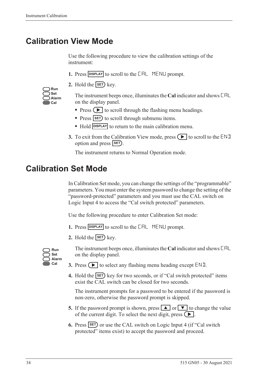# <span id="page-43-0"></span>**Calibration View Mode**

Use the following procedure to view the calibration settings of the instrument:

- 1. Press **DISPLAY** to scroll to the **CAL** MENLI prompt.
- **2.** Hold the  $\overline{\text{SET}}$  key.

| Run   |
|-------|
| Set   |
| Alarm |
| Cal   |

The instrument beeps once, illuminates the **Cal** indicator and shows CAL on the display panel.

- Press  $\left( \blacktriangleright \right)$  to scroll through the flashing menu headings.
- Press **SET**) to scroll through submenu items.
- Hold **DISPLAY** to return to the main calibration menu.
- **3.** To exit from the Calibration View mode, press  $\Box$  to scroll to the END option and press **SET**).

The instrument returns to Normal Operation mode.

# **Calibration Set Mode**

In Calibration Set mode, you can change the settings of the "programmable" parameters. You must enter the system password to change the setting of the "password-protected" parameters and you must use the CAL switch on Logic Input 4 to access the "Cal switch protected" parameters.

Use the following procedure to enter Calibration Set mode:

- **1.** Press **DISPLAY** to scroll to the **CAL** MENLI prompt.
- **2.** Hold the  $\overline{\text{SET}}$  key.



The instrument beeps once, illuminates the **Cal** indicator and shows CAL on the display panel.

- **3.** Press  $\left( \blacktriangleright \right)$  to select any flashing menu heading except END.
- **4.** Hold the **SET** key for two seconds, or if "Cal switch protected" items exist the CAL switch can be closed for two seconds.

The instrument prompts for a password to be entered if the password is non-zero, otherwise the password prompt is skipped.

- **5.** If the password prompt is shown, press  $\boxed{\blacktriangle}$  or  $\boxed{\blacktriangledown}$  to change the value of the current digit. To select the next digit, press  $\left( \blacktriangleright \right)$ .
- **6.** Press **SET** or use the CAL switch on Logic Input 4 (if "Cal switch protected" items exist) to accept the password and proceed.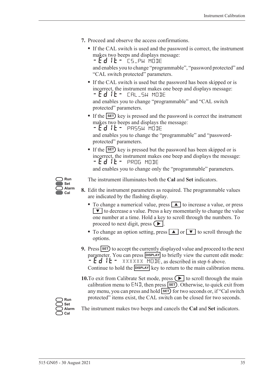- **7.** Proceed and observe the access confirmations.
	- **•** If the CAL switch is used and the password is correct, the instrument makes two beeps and displays message: - Ed IL - CS\_PW MODE

and enables you to change "programmable", "password protected" and "CAL switch protected" parameters.

**•** If the CAL switch is used but the password has been skipped or is incorrect, the instrument makes one beep and displays message: -EDIT- CAL\_SW MODE

and enables you to change "programmable" and "CAL switch protected" parameters.

• If the **SET**) key is pressed and the password is correct the instrument makes two beeps and displays the message:

 $-Ed$  it - PASSW MODE

and enables you to change the "programmable" and "passwordprotected" parameters.

• If the **SET**) key is pressed but the password has been skipped or is incorrect, the instrument makes one beep and displays the message: -EDIT- PROG MODE

and enables you to change only the "programmable" parameters.



The instrument illuminates both the **Cal** and **Set** indicators.

- **8.** Edit the instrument parameters as required. The programmable values are indicated by the flashing display.
	- To change a numerical value, press **A** to increase a value, or press  $\blacktriangledown$  to decrease a value. Press a key momentarily to change the value one number at a time. Hold a key to scroll through the numbers. To proceed to next digit, press  $( \blacktriangleright ).$
	- To change an option setting, press **A** or  $\bullet$  to scroll through the options.
- **9.** Press **SET** to accept the currently displayed value and proceed to the next parameter. You can press **DISPLAY** to briefly view the current edit mode:  $-Ed$   $E - \frac{2}{x}$  XXXXXX MODE, as described in step 6 above. Continue to hold the **DISPLAY** key to return to the main calibration menu.
- **10.**To exit from Calibrate Set mode, press  $\left( \blacktriangleright \right)$  to scroll through the main calibration menu to  $ENI$ , then press  $SET$ . Otherwise, to quick exit from any menu, you can press and hold **SET** for two seconds or, if "Cal switch protected" items exist, the CAL switch can be closed for two seconds.

**Run Set Alarm Cal**

The instrument makes two beeps and cancels the **Cal** and **Set** indicators.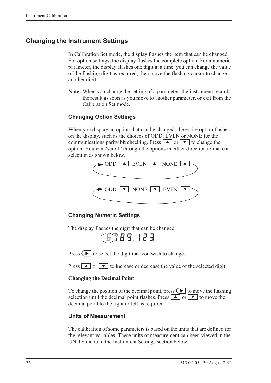# **Changing the Instrument Settings**

In Calibration Set mode, the display flashes the item that can be changed. For option settings, the display flashes the complete option. For a numeric parameter, the display flashes one digit at a time, you can change the value of the flashing digit as required, then move the flashing cursor to change another digit.

**Note:** When you change the setting of a parameter, the instrument records the result as soon as you move to another parameter, or exit from the Calibration Set mode.

### **Changing Option Settings**

When you display an option that can be changed, the entire option flashes on the display, such as the choices of ODD, EVEN or NONE for the communications parity bit checking. Press  $\boxed{\blacktriangle}$  or  $\boxed{\blacktriangledown}$  to change the option. You can "scroll" through the options in either direction to make a selection as shown below.



#### **Changing Numeric Settings**

The display flashes the digit that can be changed.

第第89.123

Press  $\left( \blacktriangleright \right)$  to select the digit that you wish to change.

Press  $\boxed{\blacktriangle}$  or  $\boxed{\blacktriangledown}$  to increase or decrease the value of the selected digit.

#### **Changing the Decimal Point**

To change the position of the decimal point, press  $\Box$  to move the flashing selection until the decimal point flashes. Press  $\boxed{\blacktriangle}$  or  $\boxed{\blacktriangledown}$  to move the decimal point to the right or left as required.

#### **Units of Measurement**

The calibration of some parameters is based on the units that are defined for the relevant variables. These units of measurement can been viewed in the UNITS menu in the Instrument Settings section below.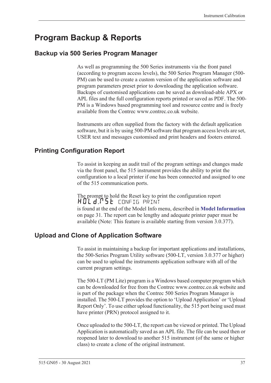# <span id="page-46-0"></span>**Program Backup & Reports**

### **Backup via 500 Series Program Manager**

As well as programming the 500 Series instruments via the front panel (according to program access levels), the 500 Series Program Manager (500- PM) can be used to create a custom version of the application software and program parameters preset prior to downloading the application software. Backups of customised applications can be saved as download-able APX or APL files and the full configuration reports printed or saved as PDF. The 500- PM is a Windows based programming tool and resource centre and is freely available from the Contrec www.contrec.co.uk website.

Instruments are often supplied from the factory with the default application software, but it is by using 500-PM software that program access levels are set, USER text and messages customised and print headers and footers entered.

### **Printing Configuration Report**

To assist in keeping an audit trail of the program settings and changes made via the front panel, the 515 instrument provides the ability to print the configuration to a local printer if one has been connected and assigned to one of the 515 communication ports.

The prompt to hold the Reset key to print the configuration report HOLd:P5E config print is found at the end of the Model Info menu, described in **[Model Information](#page-40-1)** [on page 31](#page-40-1). The report can be lengthy and adequate printer paper must be available (Note: This feature is available starting from version 3.0.377).

### **Upload and Clone of Application Software**

To assist in maintaining a backup for important applications and installations, the 500-Series Program Utility software (500-LT, version 3.0.377 or higher) can be used to upload the instruments application software with all of the current program settings.

The 500-LT (PM Lite) program is a Windows based computer program which can be downloaded for free from the Contrec www.contrec.co.uk website and is part of the package when the Contrec 500 Series Program Manager is installed. The 500-LT provides the option to 'Upload Application' or 'Upload Report Only'. To use either upload functionality, the 515 port being used must have printer (PRN) protocol assigned to it.

Once uploaded to the 500-LT, the report can be viewed or printed. The Upload Application is automatically saved as an APL file. The file can be used then or reopened later to download to another 515 instrument (of the same or higher class) to create a clone of the original instrument.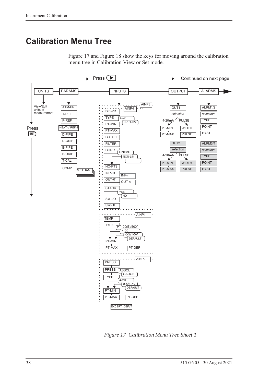# **Calibration Menu Tree**





<span id="page-47-0"></span>*Figure 17 Calibration Menu Tree Sheet 1*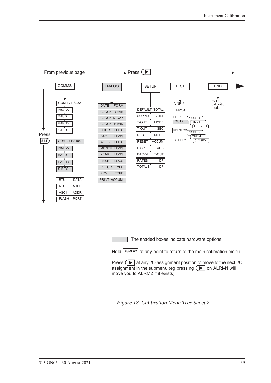![](_page_48_Figure_1.jpeg)

The shaded boxes indicate hardware options

Hold **DISPLAY** at any point to return to the main calibration menu.

Press  $\Box$  at any I/O assignment position to move to the next I/O assignment in the submenu (eg pressing  $\left( \blacktriangleright \right)$  on ALRM1 will move you to ALRM2 if it exists)

<span id="page-48-0"></span>*Figure 18 Calibration Menu Tree Sheet 2*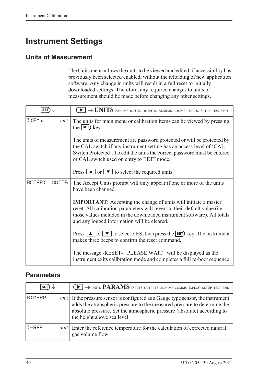# **Instrument Settings**

# **Units of Measurement**

The Units menu allows the units to be viewed and edited, if accessibility has previously been selected/enabled, without the reloading of new application software. Any change in units will result in a full reset to initially downloaded settings. Therefore, any required changes to units of measurement should be made before changing any other settings.

| <b>SET</b>             | $\blacktriangleright$ $\rightarrow$ UNITS params inputs outputs alarms comms tm/log setup test end                                                                                                                                                                              |  |
|------------------------|---------------------------------------------------------------------------------------------------------------------------------------------------------------------------------------------------------------------------------------------------------------------------------|--|
| ITEMn<br>unit          | The units for main menu or calibration items can be viewed by pressing<br>the $\left  \text{set} \right $ key.                                                                                                                                                                  |  |
|                        | The units of measurement are password protected or will be protected by<br>the CAL switch if any instrument setting has an access level of 'CAL<br>Switch Protected'. To edit the units the correct password must be entered<br>or CAL switch used on entry to EDIT mode.       |  |
|                        | Press $\boxed{\blacktriangle}$ or $\boxed{\blacktriangledown}$ to select the required units.                                                                                                                                                                                    |  |
| <b>ACCEPT</b><br>UNIT5 | The Accept Units prompt will only appear if one or more of the units<br>have been changed.                                                                                                                                                                                      |  |
|                        | <b>IMPORTANT:</b> Accepting the change of units will initiate a master<br>reset. All calibration parameters will revert to their default value (i.e.<br>those values included in the downloaded instrument software). All totals<br>and any logged information will be cleared. |  |
|                        | Press $\Box$ or $\nabla$ to select YES, then press the <b>SET</b> ) key. The instrument<br>makes three beeps to confirm the reset command.                                                                                                                                      |  |
|                        | The message -RESET- PLEASE WAIT will be displayed as the<br>instrument exits calibration mode and completes a full re-boot sequence.                                                                                                                                            |  |

### **Parameters**

| <b>SET</b> |      | $\left(\blacktriangleright\right)\rightarrow$ units PARAMS inputs outputs alarms comms tm/log setup test end                                                                                                                                                                 |
|------------|------|------------------------------------------------------------------------------------------------------------------------------------------------------------------------------------------------------------------------------------------------------------------------------|
| IATM-PR    |      | <i>unit</i> If the pressure sensor is configured as a Gauge type sensor, the instrument<br>adds the atmospheric pressure to the measured pressure to determine the<br>absolute pressure. Set the atmospheric pressure (absolute) according to<br>the height above sea level. |
| $T-RFF$    | unit | Enter the reference temperature for the calculation of corrected natural<br>gas volume flow.                                                                                                                                                                                 |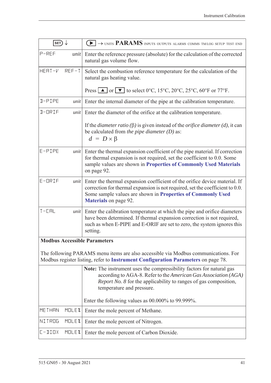| SET)                                | $\blacktriangleright$ $\rightarrow$ units PARAMS inputs outputs alarms comms tm/log setup test end                                                                                                                                                         |  |  |
|-------------------------------------|------------------------------------------------------------------------------------------------------------------------------------------------------------------------------------------------------------------------------------------------------------|--|--|
| P-REF<br>unit                       | Enter the reference pressure (absolute) for the calculation of the corrected<br>natural gas volume flow.                                                                                                                                                   |  |  |
| HERT-V<br>$REF-T$                   | Select the combustion reference temperature for the calculation of the<br>natural gas heating value.                                                                                                                                                       |  |  |
|                                     | Press $\blacksquare$ or $\blacksquare$ to select 0°C, 15°C, 20°C, 25°C, 60°F or 77°F.                                                                                                                                                                      |  |  |
| D-PIPE<br>unit                      | Enter the internal diameter of the pipe at the calibration temperature.                                                                                                                                                                                    |  |  |
| D-ORIF<br>unit                      | Enter the diameter of the orifice at the calibration temperature.                                                                                                                                                                                          |  |  |
|                                     | If the <i>diameter ratio</i> ( $\beta$ ) is given instead of the <i>orifice diameter</i> ( <i>d</i> ), it can<br>be calculated from the pipe diameter $(D)$ as:<br>$d = D \times \beta$                                                                    |  |  |
| E-PIPE<br>unit                      | Enter the thermal expansion coefficient of the pipe material. If correction<br>for thermal expansion is not required, set the coefficient to 0.0. Some<br>sample values are shown in Properties of Commonly Used Materials<br>on page 92.                  |  |  |
| $E$ -ORIF<br>unit                   | Enter the thermal expansion coefficient of the orifice device material. If<br>correction for thermal expansion is not required, set the coefficient to 0.0.<br>Some sample values are shown in Properties of Commonly Used<br><b>Materials</b> on page 92. |  |  |
| $T - L H$<br>unit                   | Enter the calibration temperature at which the pipe and orifice diameters<br>have been determined. If thermal expansion correction is not required,<br>such as when E-PIPE and E-ORIF are set to zero, the system ignores this<br>setting.                 |  |  |
| <b>Modbus Accessible Parameters</b> |                                                                                                                                                                                                                                                            |  |  |
|                                     | The following PARAMS menu items are also accessible via Modbus communications. For<br>Modbus register listing, refer to Instrument Configuration Parameters on page 78.                                                                                    |  |  |
|                                     | Note: The instrument uses the compressibility factors for natural gas<br>according to AGA-8. Refer to the American Gas Association (AGA)<br><i>Report No. 8</i> for the applicability to ranges of gas composition,<br>temperature and pressure.           |  |  |
|                                     | Enter the following values as $00.000\%$ to 99.999%.                                                                                                                                                                                                       |  |  |
| MOLEX<br><b>METHAN</b>              | Enter the mole percent of Methane.                                                                                                                                                                                                                         |  |  |
| NITROG<br><b>MOLEX</b>              | Enter the mole percent of Nitrogen.                                                                                                                                                                                                                        |  |  |
| $L - IIIIX$<br><b>MOLE%</b>         | Enter the mole percent of Carbon Dioxide.                                                                                                                                                                                                                  |  |  |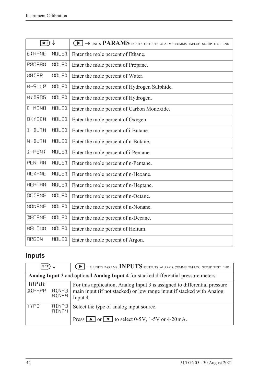| SET)           |              | $\blacktriangleright$ $\rightarrow$ units PARAMS inputs outputs alarms comms tm/log setup test end |
|----------------|--------------|----------------------------------------------------------------------------------------------------|
| ETHANE         | <b>MOLEX</b> | Enter the mole percent of Ethane.                                                                  |
| PROPAN         | <b>MOLEX</b> | Enter the mole percent of Propane.                                                                 |
| WRTER          | MOLEX        | Enter the mole percent of Water.                                                                   |
| $H - SLLP$     | MOLEX        | Enter the mole percent of Hydrogen Sulphide.                                                       |
| <b>HY JROG</b> | <b>MOLEX</b> | Enter the mole percent of Hydrogen.                                                                |
| $L-MING$       | <b>MOLEX</b> | Enter the mole percent of Carbon Monoxide.                                                         |
| OXYGEN         | <b>MOLEX</b> | Enter the mole percent of Oxygen.                                                                  |
| I-BUIN         | <b>MOLEX</b> | Enter the mole percent of i-Butane.                                                                |
| N-BUIN         | MOLEX        | Enter the mole percent of n-Butane.                                                                |
| I-PENT         | <b>MOLEX</b> | Enter the mole percent of i-Pentane.                                                               |
| PENTAN         | <b>MOLEX</b> | Enter the mole percent of n-Pentane.                                                               |
| <b>HEXANE</b>  | <b>MOLEX</b> | Enter the mole percent of n-Hexane.                                                                |
| <b>HEPTAN</b>  | <b>MOLEX</b> | Enter the mole percent of n-Heptane.                                                               |
| OCTANE         | <b>MOLEX</b> | Enter the mole percent of n-Octane.                                                                |
| <b>NONANE</b>  | <b>MOLEX</b> | Enter the mole percent of n-Nonane.                                                                |
| <b>JECHNE</b>  | <b>MOLEX</b> | Enter the mole percent of n-Decane.                                                                |
| HELIUM         | <b>MOLEX</b> | Enter the mole percent of Helium.                                                                  |
| <b>ARGON</b>   | <b>MOLEX</b> | Enter the mole percent of Argon.                                                                   |

# **Inputs**

| <b>SET</b>                                                                                 |                              | $\text{L}\rightarrow$ UNITS PARAMS INPUTS OUTPUTS ALARMS COMMS TM/LOG SETUP TEST END                                                                           |  |
|--------------------------------------------------------------------------------------------|------------------------------|----------------------------------------------------------------------------------------------------------------------------------------------------------------|--|
| <b>Analog Input 3 and optional Analog Input 4 for stacked differential pressure meters</b> |                              |                                                                                                                                                                |  |
| <b>INPUE</b><br>DIF-PR                                                                     | RINP3<br><b>AINP4</b>        | For this application, Analog Input 3 is assigned to differential pressure<br>main input (if not stacked) or low range input if stacked with Analog<br>Input 4. |  |
| TYPE                                                                                       | <b>AINP3</b><br><b>AINP4</b> | Select the type of analog input source.<br>Press $\boxed{\blacktriangle}$ or $\boxed{\blacktriangledown}$ to select 0-5V, 1-5V or 4-20mA.                      |  |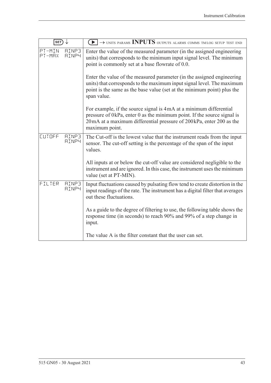| $ \textsf{set}\rangle$ |                              | $\textcolor{blue}{\blacktriangleright} \rightarrow$ units params INPUTS outputs alarms comms tm/log setup test end                                                                                                                         |  |
|------------------------|------------------------------|--------------------------------------------------------------------------------------------------------------------------------------------------------------------------------------------------------------------------------------------|--|
| PT-MIN<br>PT-MAX       | <b>AINP3</b><br><b>AINP4</b> | Enter the value of the measured parameter (in the assigned engineering<br>units) that corresponds to the minimum input signal level. The minimum<br>point is commonly set at a base flowrate of 0.0.                                       |  |
|                        |                              | Enter the value of the measured parameter (in the assigned engineering<br>units) that corresponds to the maximum input signal level. The maximum<br>point is the same as the base value (set at the minimum point) plus the<br>span value. |  |
|                        |                              | For example, if the source signal is 4mA at a minimum differential<br>pressure of 0kPa, enter 0 as the minimum point. If the source signal is<br>20mA at a maximum differential pressure of 200kPa, enter 200 as the<br>maximum point.     |  |
| CUTOFF                 | <b>AINP3</b><br><b>AINP4</b> | The Cut-off is the lowest value that the instrument reads from the input<br>sensor. The cut-off setting is the percentage of the span of the input<br>values.                                                                              |  |
|                        |                              | All inputs at or below the cut-off value are considered negligible to the<br>instrument and are ignored. In this case, the instrument uses the minimum<br>value (set at PT-MIN).                                                           |  |
| FILTER                 | <b>AINP3</b><br><b>AINP4</b> | Input fluctuations caused by pulsating flow tend to create distortion in the<br>input readings of the rate. The instrument has a digital filter that averages<br>out these fluctuations.                                                   |  |
|                        |                              | As a guide to the degree of filtering to use, the following table shows the<br>response time (in seconds) to reach 90% and 99% of a step change in<br>input.                                                                               |  |
|                        |                              | The value A is the filter constant that the user can set.                                                                                                                                                                                  |  |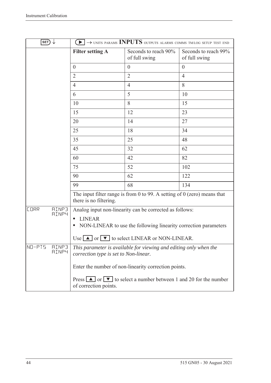| SET)                                        |                                                                                                            | $\left\lceil\blacktriangleright\right\rceil\to$ units params INPUTS outputs alarms comms tmlog setup test end |                                       |
|---------------------------------------------|------------------------------------------------------------------------------------------------------------|---------------------------------------------------------------------------------------------------------------|---------------------------------------|
|                                             | <b>Filter setting A</b>                                                                                    | Seconds to reach 90%<br>of full swing                                                                         | Seconds to reach 99%<br>of full swing |
|                                             | $\overline{0}$                                                                                             | $\overline{0}$                                                                                                | $\overline{0}$                        |
|                                             | $\overline{2}$                                                                                             | $\overline{2}$                                                                                                | $\overline{4}$                        |
|                                             | 4                                                                                                          | $\overline{4}$                                                                                                | 8                                     |
|                                             | 6                                                                                                          | 5                                                                                                             | 10                                    |
|                                             | 10                                                                                                         | 8                                                                                                             | 15                                    |
|                                             | 15                                                                                                         | 12                                                                                                            | 23                                    |
|                                             | 20                                                                                                         | 14                                                                                                            | 27                                    |
|                                             | 25                                                                                                         | 18                                                                                                            | 34                                    |
|                                             | 35                                                                                                         | 25                                                                                                            | 48                                    |
|                                             | 45                                                                                                         | 32                                                                                                            | 62                                    |
|                                             | 60                                                                                                         | 42                                                                                                            | 82                                    |
|                                             | 75                                                                                                         | 52                                                                                                            | 102                                   |
|                                             | 90                                                                                                         | 62                                                                                                            | 122                                   |
|                                             | 99                                                                                                         | 68                                                                                                            | 134                                   |
|                                             | there is no filtering.                                                                                     | The input filter range is from 0 to 99. A setting of $0$ (zero) means that                                    |                                       |
| <b>CORR</b><br><b>AINP3</b><br><b>AINP4</b> |                                                                                                            | Analog input non-linearity can be corrected as follows:                                                       |                                       |
|                                             | <b>LINEAR</b>                                                                                              | NON-LINEAR to use the following linearity correction parameters                                               |                                       |
|                                             |                                                                                                            | Use $\Box$ or $\nabla$ to select LINEAR or NON-LINEAR.                                                        |                                       |
| NO-PIS<br><b>AINP3</b><br><b>AINP4</b>      | This parameter is available for viewing and editing only when the<br>correction type is set to Non-linear. |                                                                                                               |                                       |
|                                             |                                                                                                            | Enter the number of non-linearity correction points.                                                          |                                       |
|                                             | of correction points.                                                                                      | Press $\Box$ or $\nabla$ to select a number between 1 and 20 for the number                                   |                                       |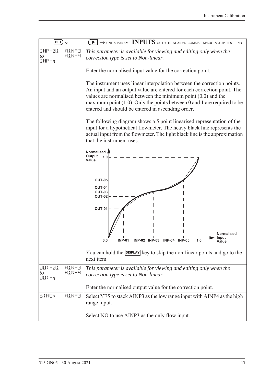| SET)                                                          | $\rightarrow$ units params INPUTS outputs alarms comms tm/log setup test end                                                                                                                                                                                                                                                                             |  |  |
|---------------------------------------------------------------|----------------------------------------------------------------------------------------------------------------------------------------------------------------------------------------------------------------------------------------------------------------------------------------------------------------------------------------------------------|--|--|
| $INP - Q1$<br><b>AINP3</b><br><b>AINP4</b><br>to<br>$INP - n$ | This parameter is available for viewing and editing only when the<br>correction type is set to Non-linear.                                                                                                                                                                                                                                               |  |  |
|                                                               | Enter the normalised input value for the correction point.                                                                                                                                                                                                                                                                                               |  |  |
|                                                               | The instrument uses linear interpolation between the correction points.<br>An input and an output value are entered for each correction point. The<br>values are normalised between the minimum point $(0.0)$ and the<br>maximum point $(1.0)$ . Only the points between 0 and 1 are required to be<br>entered and should be entered in ascending order. |  |  |
|                                                               | The following diagram shows a 5 point linearised representation of the<br>input for a hypothetical flowmeter. The heavy black line represents the<br>actual input from the flowmeter. The light black line is the approximation<br>that the instrument uses.                                                                                             |  |  |
|                                                               | Normalised<br>Output<br>1.0<br>Value                                                                                                                                                                                                                                                                                                                     |  |  |
|                                                               | <b>OUT-05</b><br>OUT-04<br><b>OUT-03</b><br><b>OUT-02</b>                                                                                                                                                                                                                                                                                                |  |  |
|                                                               | <b>OUT-01</b><br>Normalised                                                                                                                                                                                                                                                                                                                              |  |  |
|                                                               | Input<br><b>INP-01</b><br><b>INP-03</b><br>0.0<br><b>INP-02</b><br><b>INP-04</b><br><b>INP-05</b><br>1.0<br>Value                                                                                                                                                                                                                                        |  |  |
|                                                               | You can hold the <b>DISPLAY</b> key to skip the non-linear points and go to the<br>next item.                                                                                                                                                                                                                                                            |  |  |
| $OUT-01$<br><b>AINP3</b><br><b>AINP4</b><br>to<br>[[]]        | This parameter is available for viewing and editing only when the<br>correction type is set to Non-linear.                                                                                                                                                                                                                                               |  |  |
|                                                               | Enter the normalised output value for the correction point.                                                                                                                                                                                                                                                                                              |  |  |
| <b>STACK</b><br><b>AINP3</b>                                  | Select YES to stack AINP3 as the low range input with AINP4 as the high<br>range input.                                                                                                                                                                                                                                                                  |  |  |
|                                                               | Select NO to use AINP3 as the only flow input.                                                                                                                                                                                                                                                                                                           |  |  |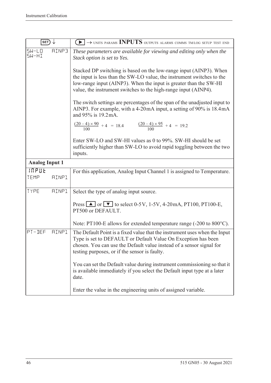| SET)                                 | $\blacktriangleright$ $\rightarrow$ units params INPUTS outputs alarms comms tm/log setup test end                                                                                                                                                                                   |
|--------------------------------------|--------------------------------------------------------------------------------------------------------------------------------------------------------------------------------------------------------------------------------------------------------------------------------------|
| $5W-L0$<br>RINP3<br>5W-HI            | These parameters are available for viewing and editing only when the<br>Stack option is set to Yes.                                                                                                                                                                                  |
|                                      | Stacked DP switching is based on the low-range input (AINP3). When<br>the input is less than the SW-LO value, the instrument switches to the<br>low-range input (AINP3). When the input is greater than the SW-HI<br>value, the instrument switches to the high-range input (AINP4). |
|                                      | The switch settings are percentages of the span of the unadjusted input to<br>AINP3. For example, with a 4-20mA input, a setting of 90% is 18.4mA<br>and 95% is 19.2 mA.                                                                                                             |
|                                      | $\frac{(20-4)\times 90}{100} + 4 = 18.4$ $\frac{(20-4)\times 95}{100} + 4 = 19.2$                                                                                                                                                                                                    |
|                                      | Enter SW-LO and SW-HI values as 0 to 99%. SW-HI should be set<br>sufficiently higher than SW-LO to avoid rapid toggling between the two<br>inputs.                                                                                                                                   |
| <b>Analog Input 1</b>                |                                                                                                                                                                                                                                                                                      |
| <b>INPUL</b><br>TEMP<br><b>AINP1</b> | For this application, Analog Input Channel 1 is assigned to Temperature.                                                                                                                                                                                                             |
| <b>AINP1</b><br>TYPE                 | Select the type of analog input source.                                                                                                                                                                                                                                              |
|                                      | Press $\Box$ or $\nabla$ to select 0-5V, 1-5V, 4-20mA, PT100, PT100-E,<br>PT500 or DEFAULT.                                                                                                                                                                                          |
|                                      | Note: PT100-E allows for extended temperature range (-200 to 800 °C).                                                                                                                                                                                                                |
| PT-DEF<br><b>AINP1</b>               | The Default Point is a fixed value that the instrument uses when the Input<br>Type is set to DEFAULT or Default Value On Exception has been<br>chosen. You can use the Default value instead of a sensor signal for<br>testing purposes, or if the sensor is faulty.                 |
|                                      | You can set the Default value during instrument commissioning so that it<br>is available immediately if you select the Default input type at a later<br>date.                                                                                                                        |
|                                      | Enter the value in the engineering units of assigned variable.                                                                                                                                                                                                                       |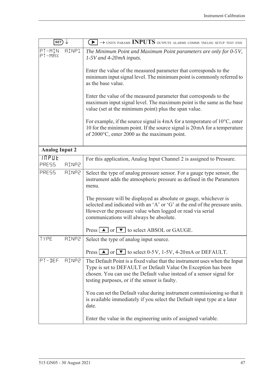| SET)                                  | $\blacktriangleright$ $\rightarrow$ units params INPUTS outputs alarms comms tm/log setup test end                                                                                                                                                                   |
|---------------------------------------|----------------------------------------------------------------------------------------------------------------------------------------------------------------------------------------------------------------------------------------------------------------------|
| PT-MIN<br><b>AINP1</b><br>$PT-MAX$    | The Minimum Point and Maximum Point parameters are only for 0-5V,<br>$1-5V$ and 4-20mA inputs.                                                                                                                                                                       |
|                                       | Enter the value of the measured parameter that corresponds to the<br>minimum input signal level. The minimum point is commonly referred to<br>as the base value.                                                                                                     |
|                                       | Enter the value of the measured parameter that corresponds to the<br>maximum input signal level. The maximum point is the same as the base<br>value (set at the minimum point) plus the span value.                                                                  |
|                                       | For example, if the source signal is $4mA$ for a temperature of $10^{\circ}$ C, enter<br>10 for the minimum point. If the source signal is 20 mA for a temperature<br>of 2000°C, enter 2000 as the maximum point.                                                    |
| <b>Analog Input 2</b>                 |                                                                                                                                                                                                                                                                      |
| <b>INPUE</b><br>PRESS<br><b>AINP2</b> | For this application, Analog Input Channel 2 is assigned to Pressure.                                                                                                                                                                                                |
| PRESS<br><b>AINP2</b>                 | Select the type of analog pressure sensor. For a gauge type sensor, the<br>instrument adds the atmospheric pressure as defined in the Parameters<br>menu.                                                                                                            |
|                                       | The pressure will be displayed as absolute or gauge, whichever is<br>selected and indicated with an 'A' or 'G' at the end of the pressure units.<br>However the pressure value when logged or read via serial<br>communications will always be absolute.             |
|                                       | Press $\boxed{\blacktriangle}$ or $\boxed{\blacktriangledown}$ to select ABSOL or GAUGE.                                                                                                                                                                             |
| TYPE<br><b>AINP2</b>                  | Select the type of analog input source.                                                                                                                                                                                                                              |
|                                       | Press $\blacksquare$ or $\blacksquare$ to select 0-5V, 1-5V, 4-20mA or DEFAULT.                                                                                                                                                                                      |
| PT-DEF<br><b>AINP2</b>                | The Default Point is a fixed value that the instrument uses when the Input<br>Type is set to DEFAULT or Default Value On Exception has been<br>chosen. You can use the Default value instead of a sensor signal for<br>testing purposes, or if the sensor is faulty. |
|                                       | You can set the Default value during instrument commissioning so that it<br>is available immediately if you select the Default input type at a later<br>date.                                                                                                        |
|                                       | Enter the value in the engineering units of assigned variable.                                                                                                                                                                                                       |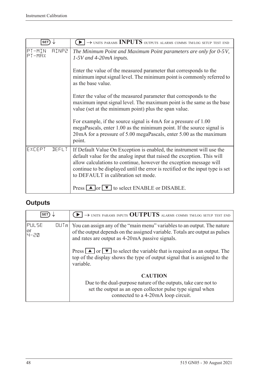| <b>SET</b>                       | $\blacktriangleright$ $\rightarrow$ units params INPUTS outputs alarms comms tm/log setup test end                                                                                                                                                                                                                                              |
|----------------------------------|-------------------------------------------------------------------------------------------------------------------------------------------------------------------------------------------------------------------------------------------------------------------------------------------------------------------------------------------------|
| PT-MIN<br><b>AINP2</b><br>PT-MAX | The Minimum Point and Maximum Point parameters are only for 0-5V,<br>$1-5V$ and 4-20mA inputs.                                                                                                                                                                                                                                                  |
|                                  | Enter the value of the measured parameter that corresponds to the<br>minimum input signal level. The minimum point is commonly referred to<br>as the base value.                                                                                                                                                                                |
|                                  | Enter the value of the measured parameter that corresponds to the<br>maximum input signal level. The maximum point is the same as the base<br>value (set at the minimum point) plus the span value.                                                                                                                                             |
|                                  | For example, if the source signal is 4mA for a pressure of 1.00<br>megaPascals, enter 1.00 as the minimum point. If the source signal is<br>20 mA for a pressure of 5.00 megaPascals, enter 5.00 as the maximum<br>point.                                                                                                                       |
| EXCEPT<br><b>DEFLT</b>           | If Default Value On Exception is enabled, the instrument will use the<br>default value for the analog input that raised the exception. This will<br>allow calculations to continue, however the exception message will<br>continue to be displayed until the error is rectified or the input type is set<br>to DEFAULT in calibration set mode. |
|                                  | Press $\Box$ or $\nabla$ to select ENABLE or DISABLE.                                                                                                                                                                                                                                                                                           |

# **Outputs**

| <b>SET</b>                                    | $\rightarrow$ units params inputs OUTPUTS alarms comms tm/log setup test end                                                                                                                                |
|-----------------------------------------------|-------------------------------------------------------------------------------------------------------------------------------------------------------------------------------------------------------------|
| <b>PULSE</b><br>$[[] \cup [n]$<br>or<br> 4-근M | You can assign any of the "main menu" variables to an output. The nature<br>of the output depends on the assigned variable. Totals are output as pulses<br>and rates are output as 4-20 mA passive signals. |
|                                               | Press $\Box$ or $\nabla$ to select the variable that is required as an output. The<br>top of the display shows the type of output signal that is assigned to the<br>variable.                               |
|                                               | <b>CAUTION</b><br>Due to the dual-purpose nature of the outputs, take care not to<br>set the output as an open collector pulse type signal when<br>connected to a 4-20mA loop circuit.                      |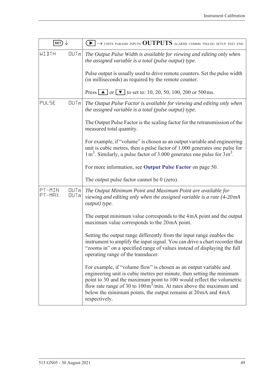| SET)             |              | $\blacktriangleright$ $\rightarrow$ units params inputs <b>OUTPUTS</b> alarms comms tm/log setup test end                                                                                                                                                                                                                                                                                     |
|------------------|--------------|-----------------------------------------------------------------------------------------------------------------------------------------------------------------------------------------------------------------------------------------------------------------------------------------------------------------------------------------------------------------------------------------------|
| WIJTH            | QUTn         | The Output Pulse Width is available for viewing and editing only when<br>the assigned variable is a total (pulse output) type.                                                                                                                                                                                                                                                                |
|                  |              | Pulse output is usually used to drive remote counters. Set the pulse width<br>(in milliseconds) as required by the remote counter.                                                                                                                                                                                                                                                            |
|                  |              | Press $\boxed{\triangle}$ or $\boxed{\triangledown}$ to set to: 10, 20, 50, 100, 200 or 500 ms.                                                                                                                                                                                                                                                                                               |
| PULSE            | QUTn         | The Output Pulse Factor is available for viewing and editing only when<br>the assigned variable is a total (pulse output) type.                                                                                                                                                                                                                                                               |
|                  |              | The Output Pulse Factor is the scaling factor for the retransmission of the<br>measured total quantity.                                                                                                                                                                                                                                                                                       |
|                  |              | For example, if "volume" is chosen as an output variable and engineering<br>unit is cubic metres, then a pulse factor of 1.000 generates one pulse for<br>$1 m3$ . Similarly, a pulse factor of 3.000 generates one pulse for $3 m3$ .                                                                                                                                                        |
|                  |              | For more information, see Output Pulse Factor on page 50.                                                                                                                                                                                                                                                                                                                                     |
|                  |              | The output pulse factor cannot be $0$ (zero).                                                                                                                                                                                                                                                                                                                                                 |
| PT-MIN<br>PT-MRX | QUTn<br>QUTn | The Output Minimum Point and Maximum Point are available for<br>viewing and editing only when the assigned variable is a rate (4-20mA<br>output) type.                                                                                                                                                                                                                                        |
|                  |              | The output minimum value corresponds to the 4mA point and the output<br>maximum value corresponds to the 20mA point.                                                                                                                                                                                                                                                                          |
|                  |              | Setting the output range differently from the input range enables the<br>instrument to amplify the input signal. You can drive a chart recorder that<br>"zooms in" on a specified range of values instead of displaying the full<br>operating range of the transducer.                                                                                                                        |
|                  |              | For example, if "volume flow" is chosen as an output variable and<br>engineering unit is cubic metres per minute, then setting the minimum<br>point to 30 and the maximum point to 100 would reflect the volumetric<br>flow rate range of 30 to $100 \text{m}^3/\text{min}$ . At rates above the maximum and<br>below the minimum points, the output remains at 20mA and 4mA<br>respectively. |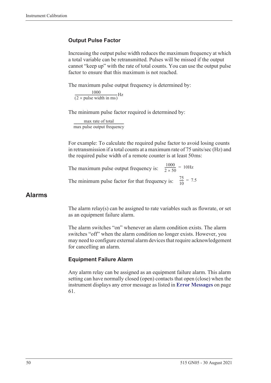#### <span id="page-59-0"></span>**Output Pulse Factor**

Increasing the output pulse width reduces the maximum frequency at which a total variable can be retransmitted. Pulses will be missed if the output cannot "keep up" with the rate of total counts. You can use the output pulse factor to ensure that this maximum is not reached.

The maximum pulse output frequency is determined by:

 $\frac{1000}{(2 \times \text{pulse width in ms})} \text{Hz}$ 

The minimum pulse factor required is determined by:

max rate of total max pulse output frequency ------------------------------------------------------------------

For example: To calculate the required pulse factor to avoid losing counts in retransmission if a total counts at a maximum rate of 75 units/sec (Hz) and the required pulse width of a remote counter is at least 50 ms:

The maximum pulse output frequency is:  $\frac{1000}{2 \times 50}$  = 10Hz The minimum pulse factor for that frequency is:  $\frac{75}{10}$  $\frac{73}{10}$  = 7.5

#### **Alarms**

The alarm relay(s) can be assigned to rate variables such as flowrate, or set as an equipment failure alarm.

The alarm switches "on" whenever an alarm condition exists. The alarm switches "off" when the alarm condition no longer exists. However, you may need to configure external alarm devices that require acknowledgement for cancelling an alarm.

#### **Equipment Failure Alarm**

Any alarm relay can be assigned as an equipment failure alarm. This alarm setting can have normally closed (open) contacts that open (close) when the instrument displays any error message as listed in **[Error Messages](#page-70-0)** on page [61](#page-70-0).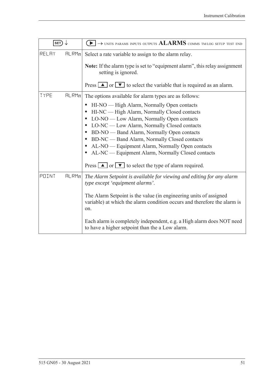| SET)  |       | $\rightarrow$ units params inputs outputs $ALARMS$ comms tm/log setup test end                                                                       |
|-------|-------|------------------------------------------------------------------------------------------------------------------------------------------------------|
| RELAY | HLRMn | Select a rate variable to assign to the alarm relay.                                                                                                 |
|       |       | Note: If the alarm type is set to "equipment alarm", this relay assignment<br>setting is ignored.                                                    |
|       |       | Press $\boxed{\blacktriangle}$ or $\boxed{\blacktriangledown}$ to select the variable that is required as an alarm.                                  |
| TYPE  | HLRMn | The options available for alarm types are as follows:                                                                                                |
|       |       | HI-NO — High Alarm, Normally Open contacts<br>$\bullet$                                                                                              |
|       |       | HI-NC — High Alarm, Normally Closed contacts                                                                                                         |
|       |       | LO-NO — Low Alarm, Normally Open contacts<br>$\bullet$                                                                                               |
|       |       | LO-NC — Low Alarm, Normally Closed contacts                                                                                                          |
|       |       | BD-NO — Band Alarm, Normally Open contacts<br>BD-NC — Band Alarm, Normally Closed contacts<br>٠                                                      |
|       |       | AL-NO — Equipment Alarm, Normally Open contacts                                                                                                      |
|       |       | AL-NC — Equipment Alarm, Normally Closed contacts                                                                                                    |
|       |       | Press $\Box$ or $\nabla$ to select the type of alarm required.                                                                                       |
| POINT | HLRMn | The Alarm Setpoint is available for viewing and editing for any alarm<br>type except 'equipment alarms'.                                             |
|       |       | The Alarm Setpoint is the value (in engineering units of assigned<br>variable) at which the alarm condition occurs and therefore the alarm is<br>on. |
|       |       | Each alarm is completely independent, e.g. a High alarm does NOT need<br>to have a higher setpoint than the a Low alarm.                             |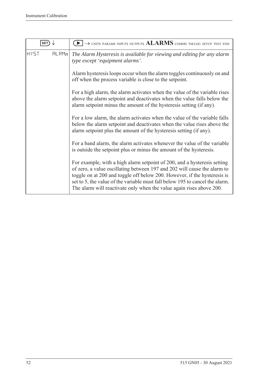| SET                  | $\rightarrow$ units params inputs outputs $ALARMS$ comms tm/log setup test end                                                                                                                                                                                                                                                                                                           |
|----------------------|------------------------------------------------------------------------------------------------------------------------------------------------------------------------------------------------------------------------------------------------------------------------------------------------------------------------------------------------------------------------------------------|
| <b>HY5T</b><br>FLRMn | The Alarm Hysteresis is available for viewing and editing for any alarm<br>type except 'equipment alarms'.                                                                                                                                                                                                                                                                               |
|                      | Alarm hysteresis loops occur when the alarm toggles continuously on and<br>off when the process variable is close to the setpoint.                                                                                                                                                                                                                                                       |
|                      | For a high alarm, the alarm activates when the value of the variable rises<br>above the alarm setpoint and deactivates when the value falls below the<br>alarm setpoint minus the amount of the hysteresis setting (if any).                                                                                                                                                             |
|                      | For a low alarm, the alarm activates when the value of the variable falls<br>below the alarm setpoint and deactivates when the value rises above the<br>alarm setpoint plus the amount of the hysteresis setting (if any).                                                                                                                                                               |
|                      | For a band alarm, the alarm activates whenever the value of the variable<br>is outside the setpoint plus or minus the amount of the hysteresis.                                                                                                                                                                                                                                          |
|                      | For example, with a high alarm setpoint of 200, and a hysteresis setting<br>of zero, a value oscillating between 197 and 202 will cause the alarm to<br>toggle on at 200 and toggle off below 200. However, if the hysteresis is<br>set to 5, the value of the variable must fall below 195 to cancel the alarm.<br>The alarm will reactivate only when the value again rises above 200. |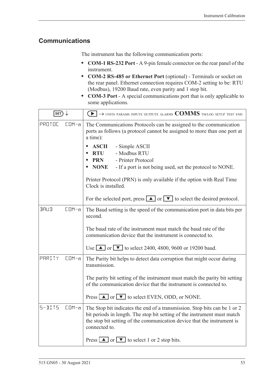### **Communications**

The instrument has the following communication ports:

- **• COM-1 RS-232 Port** A 9-pin female connector on the rear panel of the instrument.
- **• COM-2 RS-485 or Ethernet Port** (optional) Terminals or socket on the rear panel. Ethernet connection requires COM-2 setting to be: RTU (Modbus), 19200 Baud rate, even parity and 1 stop bit.
- **• COM-3 Port** A special communications port that is only applicable to some applications.

| $\ket{\texttt{SET}} \downarrow$ |           | $\textcolor{blue}{\blacktriangleright} \rightarrow$ units params inputs outputs alarms $\textcolor{blue}{\mathbf{COMMS}}$ tmlog setup test end                                                                                                    |
|---------------------------------|-----------|---------------------------------------------------------------------------------------------------------------------------------------------------------------------------------------------------------------------------------------------------|
| PROTOC                          | $CDM - n$ | The Communications Protocols can be assigned to the communication<br>ports as follows (a protocol cannot be assigned to more than one port at<br>a time):                                                                                         |
|                                 |           | <b>ASCII</b><br>- Simple ASCII<br>- Modbus RTU<br><b>RTU</b>                                                                                                                                                                                      |
|                                 |           | - Printer Protocol<br><b>PRN</b>                                                                                                                                                                                                                  |
|                                 |           | <b>NONE</b><br>- If a port is not being used, set the protocol to NONE.                                                                                                                                                                           |
|                                 |           | Printer Protocol (PRN) is only available if the option with Real Time<br>Clock is installed.                                                                                                                                                      |
|                                 |           | For the selected port, press $\boxed{\blacktriangle}$ or $\boxed{\blacktriangledown}$ to select the desired protocol.                                                                                                                             |
| <b>BRUD</b>                     | $CDM - n$ | The Baud setting is the speed of the communication port in data bits per<br>second.                                                                                                                                                               |
|                                 |           | The baud rate of the instrument must match the baud rate of the<br>communication device that the instrument is connected to.                                                                                                                      |
|                                 |           | Use $\blacksquare$ or $\blacksquare$ to select 2400, 4800, 9600 or 19200 baud.                                                                                                                                                                    |
| PARITY                          | $CDM - n$ | The Parity bit helps to detect data corruption that might occur during<br>transmission.                                                                                                                                                           |
|                                 |           | The parity bit setting of the instrument must match the parity bit setting<br>of the communication device that the instrument is connected to.                                                                                                    |
|                                 |           | Press $\Box$ or $\nabla$ to select EVEN, ODD, or NONE.                                                                                                                                                                                            |
| $5 - B1T5$                      | $CDM - n$ | The Stop bit indicates the end of a transmission. Stop bits can be 1 or 2<br>bit periods in length. The stop bit setting of the instrument must match<br>the stop bit setting of the communication device that the instrument is<br>connected to. |
|                                 |           | Press $\boxed{\blacktriangle}$ or $\boxed{\blacktriangledown}$ to select 1 or 2 stop bits.                                                                                                                                                        |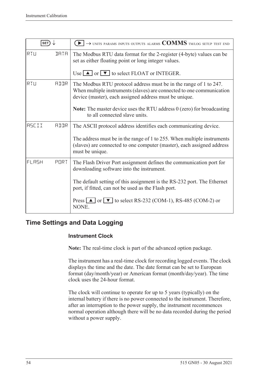| SET)         |             | $\rightarrow$ units params inputs outputs alarms $\text{COMMS}$ tm/log setup test end                                                                                                                |
|--------------|-------------|------------------------------------------------------------------------------------------------------------------------------------------------------------------------------------------------------|
| RTU          | <b>IRTR</b> | The Modbus RTU data format for the 2-register (4-byte) values can be<br>set as either floating point or long integer values.                                                                         |
|              |             | Use $\Box$ or $\nabla$ to select FLOAT or INTEGER.                                                                                                                                                   |
| RTU          | AIIR        | The Modbus RTU protocol address must be in the range of 1 to 247.<br>When multiple instruments (slaves) are connected to one communication<br>device (master), each assigned address must be unique. |
|              |             | <b>Note:</b> The master device uses the RTU address $0$ (zero) for broadcasting<br>to all connected slave units.                                                                                     |
| <b>RSCII</b> | <b>ATTR</b> | The ASCII protocol address identifies each communicating device.                                                                                                                                     |
|              |             | The address must be in the range of 1 to 255. When multiple instruments<br>(slaves) are connected to one computer (master), each assigned address<br>must be unique.                                 |
| FLASH        | PORT        | The Flash Driver Port assignment defines the communication port for<br>downloading software into the instrument.                                                                                     |
|              |             | The default setting of this assignment is the RS-232 port. The Ethernet<br>port, if fitted, can not be used as the Flash port.                                                                       |
|              |             | Press $\Box$ or $\nabla$ to select RS-232 (COM-1), RS-485 (COM-2) or<br>NONE.                                                                                                                        |

# **Time Settings and Data Logging**

#### **Instrument Clock**

**Note:** The real-time clock is part of the advanced option package.

The instrument has a real-time clock for recording logged events. The clock displays the time and the date. The date format can be set to European format (day/month/year) or American format (month/day/year). The time clock uses the 24-hour format.

The clock will continue to operate for up to 5 years (typically) on the internal battery if there is no power connected to the instrument. Therefore, after an interruption to the power supply, the instrument recommences normal operation although there will be no data recorded during the period without a power supply.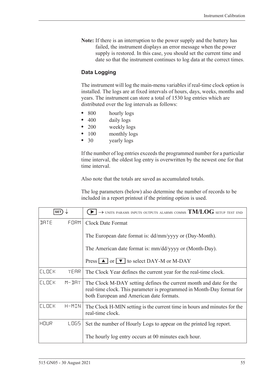**Note:** If there is an interruption to the power supply and the battery has failed, the instrument displays an error message when the power supply is restored. In this case, you should set the current time and date so that the instrument continues to log data at the correct times.

#### **Data Logging**

The instrument will log the main-menu variables if real-time clock option is installed. The logs are at fixed intervals of hours, days, weeks, months and years. The instrument can store a total of 1530 log entries which are distributed over the log intervals as follows:

- **•** 800 hourly logs
- 400 daily logs
- **•** 200 weekly logs
- 100 monthly logs
- **•** 30 yearly logs

If the number of log entries exceeds the programmed number for a particular time interval, the oldest log entry is overwritten by the newest one for that time interval.

Also note that the totals are saved as accumulated totals.

The log parameters (below) also determine the number of records to be included in a report printout if the printing option is used.

| <b>SET</b>   |           | $\rightarrow$ units params inputs outputs alarms comms $\mathrm{TM/LOG}$ setup test end                                                                                                 |
|--------------|-----------|-----------------------------------------------------------------------------------------------------------------------------------------------------------------------------------------|
| <b>JRTE</b>  | FORM      | Clock Date Format                                                                                                                                                                       |
|              |           | The European date format is: dd/mm/yyyy or (Day-Month).                                                                                                                                 |
|              |           | The American date format is: mm/dd/yyyy or (Month-Day).                                                                                                                                 |
|              |           | Press $\boxed{\blacktriangle}$ or $\boxed{\blacktriangledown}$ to select DAY-M or M-DAY                                                                                                 |
| <b>CLOCK</b> | YEAR      | The Clock Year defines the current year for the real-time clock.                                                                                                                        |
| <b>CLOCK</b> | $M - JHY$ | The Clock M-DAY setting defines the current month and date for the<br>real-time clock. This parameter is programmed in Month-Day format for<br>both European and American date formats. |
| <b>CLOCK</b> | H-MIN     | The Clock H-MIN setting is the current time in hours and minutes for the<br>real-time clock.                                                                                            |
| HOUR         | LOGS.     | Set the number of Hourly Logs to appear on the printed log report.                                                                                                                      |
|              |           | The hourly log entry occurs at 00 minutes each hour.                                                                                                                                    |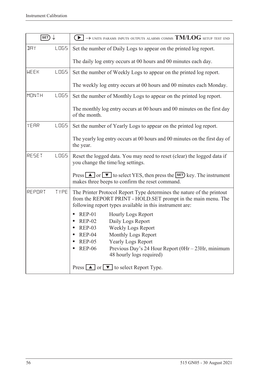| SET)         |             | $\rightarrow$ units params inputs outputs alarms comms $TM/LOG$ setup test end<br>$\blacktriangleright$                                                                                                                                                                                                                 |
|--------------|-------------|-------------------------------------------------------------------------------------------------------------------------------------------------------------------------------------------------------------------------------------------------------------------------------------------------------------------------|
| <b>JAY</b>   | <b>LOGS</b> | Set the number of Daily Logs to appear on the printed log report.                                                                                                                                                                                                                                                       |
|              |             | The daily log entry occurs at 00 hours and 00 minutes each day.                                                                                                                                                                                                                                                         |
| <b>WEEK</b>  | <b>LOGS</b> | Set the number of Weekly Logs to appear on the printed log report.                                                                                                                                                                                                                                                      |
|              |             | The weekly log entry occurs at 00 hours and 00 minutes each Monday.                                                                                                                                                                                                                                                     |
| <b>MONTH</b> | <b>LOGS</b> | Set the number of Monthly Logs to appear on the printed log report.                                                                                                                                                                                                                                                     |
|              |             | The monthly log entry occurs at 00 hours and 00 minutes on the first day<br>of the month.                                                                                                                                                                                                                               |
| YEAR         | <b>LOGS</b> | Set the number of Yearly Logs to appear on the printed log report.                                                                                                                                                                                                                                                      |
|              |             | The yearly log entry occurs at 00 hours and 00 minutes on the first day of<br>the year.                                                                                                                                                                                                                                 |
| RESET        | <b>LOGS</b> | Reset the logged data. You may need to reset (clear) the logged data if<br>you change the time/log settings.                                                                                                                                                                                                            |
|              |             | Press $\Box$ or $\nabla$ to select YES, then press the <b>SET</b> ) key. The instrument<br>makes three beeps to confirm the reset command.                                                                                                                                                                              |
| REPORT       | TYPE        | The Printer Protocol Report Type determines the nature of the printout<br>from the REPORT PRINT - HOLD.SET prompt in the main menu. The<br>following report types available in this instrument are:                                                                                                                     |
|              |             | <b>REP-01</b><br><b>Hourly Logs Report</b><br>Daily Logs Report<br><b>REP-02</b><br><b>REP-03</b><br><b>Weekly Logs Report</b><br><b>REP-04</b><br>Monthly Logs Report<br><b>REP-05</b><br><b>Yearly Logs Report</b><br><b>REP-06</b><br>Previous Day's 24 Hour Report (0Hr – 23Hr, minimum<br>48 hourly logs required) |
|              |             | Press $\boxed{\blacktriangle}$ or $\boxed{\blacktriangledown}$ to select Report Type.                                                                                                                                                                                                                                   |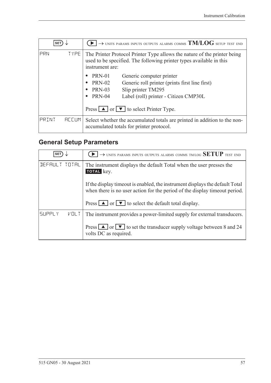| <b>SET</b> |                   | $\rightarrow$ units params inputs outputs alarms comms $\mathrm{TM/LOG}$ setup test end                                                                            |
|------------|-------------------|--------------------------------------------------------------------------------------------------------------------------------------------------------------------|
| PRN        | TYPE <sup>1</sup> | The Printer Protocol Printer Type allows the nature of the printer being<br>used to be specified. The following printer types available in this<br>instrument are: |
|            |                   | <b>PRN-01</b><br>Generic computer printer                                                                                                                          |
|            |                   | <b>PRN-02</b><br>Generic roll printer (prints first line first)                                                                                                    |
|            |                   | Slip printer TM295<br><b>PRN-03</b><br>$\bullet$                                                                                                                   |
|            |                   | <b>PRN-04</b><br>Label (roll) printer - Citizen CMP30L<br>٠                                                                                                        |
|            |                   | Press $\boxed{\blacktriangle}$ or $\boxed{\blacktriangledown}$ to select Printer Type.                                                                             |
| PRINT      | <b>REEUM</b>      | Select whether the accumulated totals are printed in addition to the non-<br>accumulated totals for printer protocol.                                              |

# <span id="page-66-0"></span>**General Setup Parameters**

| <b>SET</b>    |      | $\rightarrow$ units params inputs outputs alarms comms tm/log SETUP test end                                                                                 |
|---------------|------|--------------------------------------------------------------------------------------------------------------------------------------------------------------|
| DEFAULT TOTAL |      | The instrument displays the default Total when the user presses the<br>TOTAL key.                                                                            |
|               |      | If the display time out is enabled, the instrument displays the default Total<br>when there is no user action for the period of the display time out period. |
|               |      | Press $\boxed{\blacktriangle}$ or $\boxed{\blacktriangledown}$ to select the default total display.                                                          |
| <b>SUPPLY</b> | VOLT | The instrument provides a power-limited supply for external transducers.                                                                                     |
|               |      | Press $\boxed{\blacktriangle}$ or $\boxed{\blacktriangledown}$ to set the transducer supply voltage between 8 and 24<br>volts DC as required.                |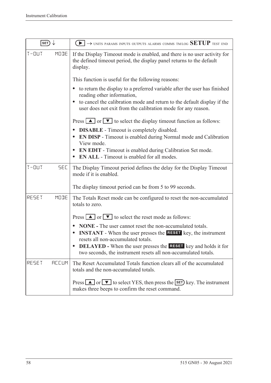| SET)                    | $\rightarrow$ units params inputs outputs alarms comms tm/log SETUP test end                                                                                                                                                                                                                                                                              |
|-------------------------|-----------------------------------------------------------------------------------------------------------------------------------------------------------------------------------------------------------------------------------------------------------------------------------------------------------------------------------------------------------|
| $T - 11T$<br>MODE       | If the Display Timeout mode is enabled, and there is no user activity for<br>the defined timeout period, the display panel returns to the default<br>display.                                                                                                                                                                                             |
|                         | This function is useful for the following reasons:                                                                                                                                                                                                                                                                                                        |
|                         | to return the display to a preferred variable after the user has finished<br>$\bullet$<br>reading other information,                                                                                                                                                                                                                                      |
|                         | to cancel the calibration mode and return to the default display if the<br>$\bullet$<br>user does not exit from the calibration mode for any reason.                                                                                                                                                                                                      |
|                         | Press $\boxed{\blacktriangle}$ or $\boxed{\blacktriangledown}$ to select the display timeout function as follows:                                                                                                                                                                                                                                         |
|                         | <b>DISABLE</b> - Timeout is completely disabled.<br>$\bullet$<br><b>EN DISP</b> - Timeout is enabled during Normal mode and Calibration<br>$\bullet$<br>View mode.                                                                                                                                                                                        |
|                         | EN EDIT - Timeout is enabled during Calibration Set mode.<br>$\bullet$<br><b>EN ALL</b> - Timeout is enabled for all modes.<br>$\bullet$                                                                                                                                                                                                                  |
| $T - 11T$<br><b>SEC</b> | The Display Timeout period defines the delay for the Display Timeout<br>mode if it is enabled.                                                                                                                                                                                                                                                            |
|                         | The display timeout period can be from 5 to 99 seconds.                                                                                                                                                                                                                                                                                                   |
| RESET<br>MODE           | The Totals Reset mode can be configured to reset the non-accumulated<br>totals to zero.                                                                                                                                                                                                                                                                   |
|                         | Press $\boxed{\blacktriangle}$ or $\boxed{\blacktriangledown}$ to select the reset mode as follows:                                                                                                                                                                                                                                                       |
|                         | NONE - The user cannot reset the non-accumulated totals.<br>$\bullet$<br><b>INSTANT</b> - When the user presses the <b>RESET</b> key, the instrument<br>$\bullet$<br>resets all non-accumulated totals.<br><b>DELAYED</b> - When the user presses the <b>RESET</b> key and holds it for<br>two seconds, the instrument resets all non-accumulated totals. |
| <b>REEUM</b>            |                                                                                                                                                                                                                                                                                                                                                           |
| RESET                   | The Reset Accumulated Totals function clears all of the accumulated<br>totals and the non-accumulated totals.                                                                                                                                                                                                                                             |
|                         | Press $\Box$ or $\nabla$ to select YES, then press the <b>SET</b> ) key. The instrument<br>makes three beeps to confirm the reset command.                                                                                                                                                                                                                |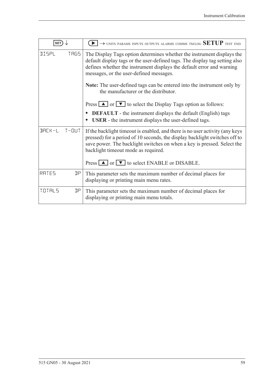| <b>SET</b>   |             | $\rightarrow$ units params inputs outputs alarms comms tm/log SETUP test end                                                                                                                                                                                                                                                                               |
|--------------|-------------|------------------------------------------------------------------------------------------------------------------------------------------------------------------------------------------------------------------------------------------------------------------------------------------------------------------------------------------------------------|
| DISPL        | <b>TRGS</b> | The Display Tags option determines whether the instrument displays the<br>default display tags or the user-defined tags. The display tag setting also<br>defines whether the instrument displays the default error and warning<br>messages, or the user-defined messages.<br><b>Note:</b> The user-defined tags can be entered into the instrument only by |
|              |             | the manufacturer or the distributor.                                                                                                                                                                                                                                                                                                                       |
|              |             | Press $\Box$ or $\nabla$ to select the Display Tags option as follows:                                                                                                                                                                                                                                                                                     |
|              |             | <b>DEFAULT</b> - the instrument displays the default (English) tags<br><b>USER</b> - the instrument displays the user-defined tags.                                                                                                                                                                                                                        |
| BACK-L T-OUT |             | If the backlight timeout is enabled, and there is no user activity (any keys<br>pressed) for a period of 10 seconds, the display backlight switches off to<br>save power. The backlight switches on when a key is pressed. Select the<br>backlight timeout mode as required.                                                                               |
|              |             | Press $\Box$ or $\Box$ to select ENABLE or DISABLE.                                                                                                                                                                                                                                                                                                        |
| RATES        | ηp          | This parameter sets the maximum number of decimal places for<br>displaying or printing main menu rates.                                                                                                                                                                                                                                                    |
| TOTALS       | ηp          | This parameter sets the maximum number of decimal places for<br>displaying or printing main menu totals.                                                                                                                                                                                                                                                   |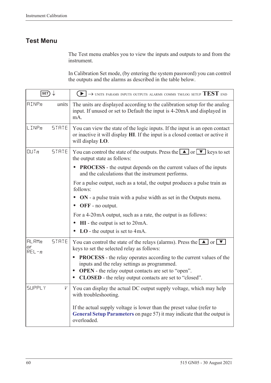# **Test Menu**

The Test menu enables you to view the inputs and outputs to and from the instrument.

In Calibration Set mode, (by entering the system password) you can control the outputs and the alarms as described in the table below.

| $\overline{\text{SET}}$  |              | $\blacktriangleright$ $\blacktriangleright$ UNITS PARAMS INPUTS OUTPUTS ALARMS COMMS TM/LOG SETUP $\text{TEST}$ end                                                                                                                                              |
|--------------------------|--------------|------------------------------------------------------------------------------------------------------------------------------------------------------------------------------------------------------------------------------------------------------------------|
| $\text{HIMP}_n$          | units        | The units are displayed according to the calibration setup for the analog<br>input. If unused or set to Default the input is 4-20mA and displayed in<br>mA.                                                                                                      |
| $L$ INP $n$              | <b>STRTE</b> | You can view the state of the logic inputs. If the input is an open contact<br>or inactive it will display HI. If the input is a closed contact or active it<br>will display LO.                                                                                 |
| UUTn                     | <b>STRTE</b> | You can control the state of the outputs. Press the $\Box$ or $\nabla$ keys to set<br>the output state as follows:                                                                                                                                               |
|                          |              | <b>PROCESS</b> - the output depends on the current values of the inputs<br>and the calculations that the instrument performs.                                                                                                                                    |
|                          |              | For a pulse output, such as a total, the output produces a pulse train as<br>follows:                                                                                                                                                                            |
|                          |              | <b>ON</b> - a pulse train with a pulse width as set in the Outputs menu.<br>OFF - no output.                                                                                                                                                                     |
|                          |              | For a 4-20mA output, such as a rate, the output is as follows:                                                                                                                                                                                                   |
|                          |              | $HI$ - the output is set to $20mA$ .                                                                                                                                                                                                                             |
|                          |              | $LO$ - the output is set to 4mA.                                                                                                                                                                                                                                 |
| HLRMn<br>or<br>$REL - n$ | <b>STRTE</b> | You can control the state of the relays (alarms). Press the $\boxed{\blacktriangle}$ or $\boxed{\blacktriangledown}$<br>keys to set the selected relay as follows:                                                                                               |
|                          |              | <b>PROCESS</b> - the relay operates according to the current values of the<br>inputs and the relay settings as programmed.<br><b>OPEN</b> - the relay output contacts are set to "open".<br>$\bullet$<br>CLOSED - the relay output contacts are set to "closed". |
| <b>SUPPLY</b>            | V            | You can display the actual DC output supply voltage, which may help<br>with troubleshooting.                                                                                                                                                                     |
|                          |              | If the actual supply voltage is lower than the preset value (refer to<br>General Setup Parameters on page 57) it may indicate that the output is<br>overloaded.                                                                                                  |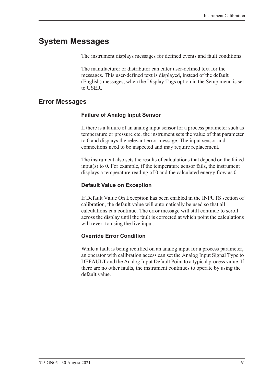# **System Messages**

The instrument displays messages for defined events and fault conditions.

The manufacturer or distributor can enter user-defined text for the messages. This user-defined text is displayed, instead of the default (English) messages, when the Display Tags option in the Setup menu is set to USER.

### <span id="page-70-0"></span>**Error Messages**

#### **Failure of Analog Input Sensor**

If there is a failure of an analog input sensor for a process parameter such as temperature or pressure etc, the instrument sets the value of that parameter to 0 and displays the relevant error message. The input sensor and connections need to be inspected and may require replacement.

The instrument also sets the results of calculations that depend on the failed input(s) to 0. For example, if the temperature sensor fails, the instrument displays a temperature reading of 0 and the calculated energy flow as 0.

### **Default Value on Exception**

If Default Value On Exception has been enabled in the INPUTS section of calibration, the default value will automatically be used so that all calculations can continue. The error message will still continue to scroll across the display until the fault is corrected at which point the calculations will revert to using the live input.

#### **Override Error Condition**

While a fault is being rectified on an analog input for a process parameter, an operator with calibration access can set the Analog Input Signal Type to DEFAULT and the Analog Input Default Point to a typical process value. If there are no other faults, the instrument continues to operate by using the default value.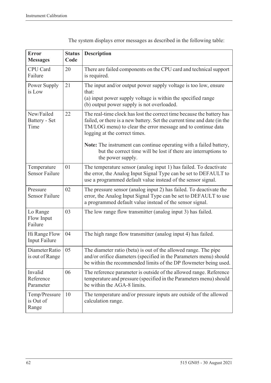| <b>Error</b><br><b>Messages</b>      | <b>Status</b><br>Code | <b>Description</b>                                                                                                                                                                                                                                                                                                                                                                                               |
|--------------------------------------|-----------------------|------------------------------------------------------------------------------------------------------------------------------------------------------------------------------------------------------------------------------------------------------------------------------------------------------------------------------------------------------------------------------------------------------------------|
| CPU Card<br>Failure                  | 20                    | There are failed components on the CPU card and technical support<br>is required.                                                                                                                                                                                                                                                                                                                                |
| Power Supply<br>is Low               | 21                    | The input and/or output power supply voltage is too low, ensure<br>that:<br>(a) input power supply voltage is within the specified range<br>(b) output power supply is not overloaded.                                                                                                                                                                                                                           |
| New/Failed<br>Battery - Set<br>Time  | 22                    | The real-time clock has lost the correct time because the battery has<br>failed, or there is a new battery. Set the current time and date (in the<br>TM/LOG menu) to clear the error message and to continue data<br>logging at the correct times.<br>Note: The instrument can continue operating with a failed battery,<br>but the correct time will be lost if there are interruptions to<br>the power supply. |
| Temperature<br><b>Sensor Failure</b> | 01                    | The temperature sensor (analog input 1) has failed. To deactivate<br>the error, the Analog Input Signal Type can be set to DEFAULT to<br>use a programmed default value instead of the sensor signal.                                                                                                                                                                                                            |
| Pressure<br><b>Sensor Failure</b>    | 02                    | The pressure sensor (analog input 2) has failed. To deactivate the<br>error, the Analog Input Signal Type can be set to DEFAULT to use<br>a programmed default value instead of the sensor signal.                                                                                                                                                                                                               |
| Lo Range<br>Flow Input<br>Failure    | 03                    | The low range flow transmitter (analog input 3) has failed.                                                                                                                                                                                                                                                                                                                                                      |
| Hi Range Flow<br>Input Failure       | 04                    | The high range flow transmitter (analog input 4) has failed.                                                                                                                                                                                                                                                                                                                                                     |
| Diameter Ratio<br>is out of Range    | 05                    | The diameter ratio (beta) is out of the allowed range. The pipe<br>and/or orifice diameters (specified in the Parameters menu) should<br>be within the recommended limits of the DP flowmeter being used.                                                                                                                                                                                                        |
| Invalid<br>Reference<br>Parameter    | 06                    | The reference parameter is outside of the allowed range. Reference<br>temperature and pressure (specified in the Parameters menu) should<br>be within the AGA-8 limits.                                                                                                                                                                                                                                          |
| Temp/Pressure<br>is Out of<br>Range  | 10                    | The temperature and/or pressure inputs are outside of the allowed<br>calculation range.                                                                                                                                                                                                                                                                                                                          |

The system displays error messages as described in the following table: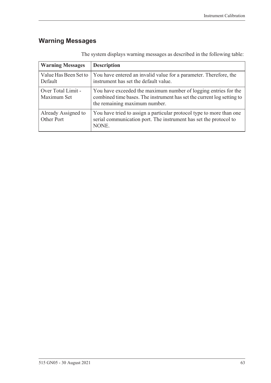# <span id="page-72-0"></span>**Warning Messages**

| <b>Warning Messages</b>           | <b>Description</b>                                                                                                                                                         |
|-----------------------------------|----------------------------------------------------------------------------------------------------------------------------------------------------------------------------|
| Value Has Been Set to<br>Default  | You have entered an invalid value for a parameter. Therefore, the<br>instrument has set the default value.                                                                 |
| Over Total Limit -<br>Maximum Set | You have exceeded the maximum number of logging entries for the<br>combined time bases. The instrument has set the current log setting to<br>the remaining maximum number. |
| Already Assigned to<br>Other Port | You have tried to assign a particular protocol type to more than one<br>serial communication port. The instrument has set the protocol to<br>NONE.                         |

The system displays warning messages as described in the following table: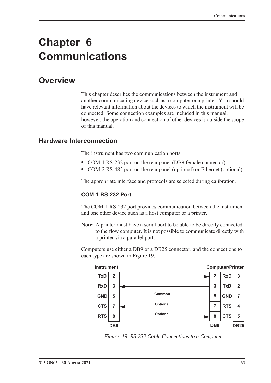# **Chapter 6 Communications**

# **Overview**

<span id="page-74-2"></span>This chapter describes the communications between the instrument and another communicating device such as a computer or a printer. You should have relevant information about the devices to which the instrument will be connected. Some connection examples are included in this manual, however, the operation and connection of other devices is outside the scope of this manual.

# **Hardware Interconnection**

<span id="page-74-3"></span>The instrument has two communication ports:

- **•** COM-1 RS-232 port on the rear panel (DB9 female connector)
- **•** COM-2 RS-485 port on the rear panel (optional) or Ethernet (optional)

The appropriate interface and protocols are selected during calibration.

#### <span id="page-74-1"></span>**COM-1 RS-232 Port**

The COM-1 RS-232 port provides communication between the instrument and one other device such as a host computer or a printer.

**Note:** A printer must have a serial port to be able to be directly connected to the flow computer. It is not possible to communicate directly with a printer via a parallel port.

Computers use either a DB9 or a DB25 connector, and the connections to each type are shown in [Figure 19.](#page-74-0)



<span id="page-74-0"></span>*Figure 19 RS-232 Cable Connections to a Computer*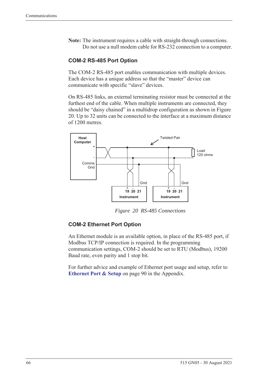**Note:** The instrument requires a cable with straight-through connections. Do not use a null modem cable for RS-232 connection to a computer.

#### <span id="page-75-1"></span>**COM-2 RS-485 Port Option**

The COM-2 RS-485 port enables communication with multiple devices. Each device has a unique address so that the "master" device can communicate with specific "slave" devices.

On RS-485 links, an external terminating resistor must be connected at the furthest end of the cable. When multiple instruments are connected, they should be "daisy chained" in a multidrop configuration as shown in Figure [20](#page-75-0). Up to 32 units can be connected to the interface at a maximum distance of 1200 metres.



<span id="page-75-2"></span>*Figure 20 RS-485 Connections*

#### <span id="page-75-0"></span>**COM-2 Ethernet Port Option**

An Ethernet module is an available option, in place of the RS-485 port, if Modbus TCP/IP connection is required. In the programming communication settings, COM-2 should be set to RTU (Modbus), 19200 Baud rate, even parity and 1 stop bit.

For further advice and example of Ethernet port usage and setup, refer to **[Ethernet Port & Setup](#page-99-0)** on page 90 in the Appendix.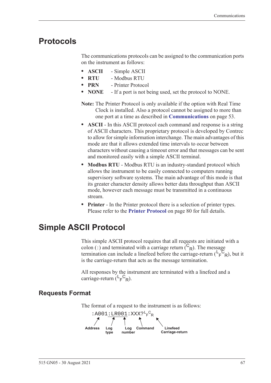# **Protocols**

<span id="page-76-1"></span>The communications protocols can be assigned to the communication ports on the instrument as follows:

- **• ASCII** Simple ASCII
- **• RTU** Modbus RTU
- **• PRN** Printer Protocol
- **• NONE** If a port is not being used, set the protocol to NONE.
- **Note:** The Printer Protocol is only available if the option with Real Time Clock is installed. Also a protocol cannot be assigned to more than one port at a time as described in **[Communications](#page-62-0)** on page 53.
- **• ASCII** In this ASCII protocol each command and response is a string of ASCII characters. This proprietary protocol is developed by Contrec to allow for simple information interchange. The main advantages of this mode are that it allows extended time intervals to occur between characters without causing a timeout error and that messages can be sent and monitored easily with a simple ASCII terminal.
- **• Modbus RTU** Modbus RTU is an industry-standard protocol which allows the instrument to be easily connected to computers running supervisory software systems. The main advantage of this mode is that its greater character density allows better data throughput than ASCII mode, however each message must be transmitted in a continuous stream.
- <span id="page-76-0"></span>**• Printer** - In the Printer protocol there is a selection of printer types. Please refer to the **[Printer Protocol](#page-89-0)** on page 80 for full details.

# **Simple ASCII Protocol**

This simple ASCII protocol requires that all requests are initiated with a colon (:) and terminated with a carriage return  $\binom{C_R}{R}$ . The message termination can include a linefeed before the carriage-return  $(\mathsf{L}_\mathsf{F}^\mathsf{C}_{\mathsf{R}})$ , but it is the carriage-return that acts as the message termination.

<span id="page-76-2"></span>All responses by the instrument are terminated with a linefeed and a carriage-return  $(L_F^C_R)$ .

# **Requests Format**

The format of a request to the instrument is as follows:

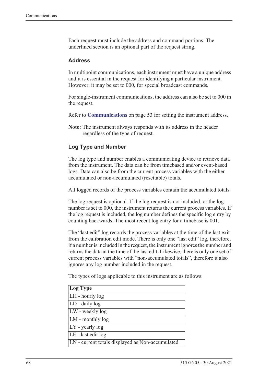Each request must include the address and command portions. The underlined section is an optional part of the request string.

#### <span id="page-77-0"></span>**Address**

In multipoint communications, each instrument must have a unique address and it is essential in the request for identifying a particular instrument. However, it may be set to 000, for special broadcast commands.

For single-instrument communications, the address can also be set to 000 in the request.

Refer to **[Communications](#page-62-0)** on page 53 for setting the instrument address.

**Note:** The instrument always responds with its address in the header regardless of the type of request.

#### **Log Type and Number**

The log type and number enables a communicating device to retrieve data from the instrument. The data can be from timebased and/or event-based logs. Data can also be from the current process variables with the either accumulated or non-accumulated (resettable) totals.

All logged records of the process variables contain the accumulated totals.

The log request is optional. If the log request is not included, or the log number is set to 000, the instrument returns the current process variables. If the log request is included, the log number defines the specific log entry by counting backwards. The most recent log entry for a timebase is 001.

The "last edit" log records the process variables at the time of the last exit from the calibration edit mode. There is only one "last edit" log, therefore, if a number is included in the request, the instrument ignores the number and returns the data at the time of the last edit. Likewise, there is only one set of current process variables with "non-accumulated totals", therefore it also ignores any log number included in the request.

The types of logs applicable to this instrument are as follows:

| Log Type                                         |
|--------------------------------------------------|
| LH - hourly log                                  |
| LD - daily log                                   |
| LW - weekly log                                  |
| LM - monthly log                                 |
| $LY$ - yearly log                                |
| LE - last edit log                               |
| LN - current totals displayed as Non-accumulated |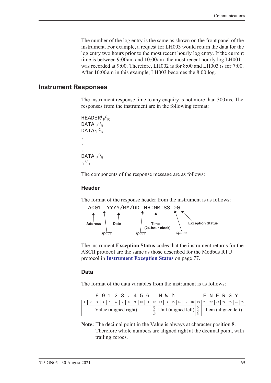The number of the log entry is the same as shown on the front panel of the instrument. For example, a request for LH003 would return the data for the log entry two hours prior to the most recent hourly log entry. If the current time is between 9:00 am and 10:00 am, the most recent hourly log LH001 was recorded at 9:00. Therefore, LH002 is for 8:00 and LH003 is for 7:00. After 10:00 am in this example, LH003 becomes the 8:00 log.

#### **Instrument Responses**

<span id="page-78-1"></span>The instrument response time to any enquiry is not more than 300 ms. The responses from the instrument are in the following format:

```
HEADER<sup>L</sup>F<sup>C</sup>R
DATA<sup>L</sup>F<sup>C</sup>R
DATA<sup>L</sup>F<sup>C</sup>R
.
.
.
DATA<sup>L</sup>F<sup>C</sup>R
L_F^CR
```
The components of the response message are as follows:

#### **Header**

The format of the response header from the instrument is as follows:



<span id="page-78-0"></span>The instrument **Exception Status** codes that the instrument returns for the ASCII protocol are the same as those described for the Modbus RTU protocol in **[Instrument Exception Status](#page-86-0)** on page 77.

#### **Data**

The format of the data variables from the instrument is as follows:

|                       |  |  |  |  | 89123.456 |  |                                                                                                                                                               |  | MW h |  |  |  |  | E N E R G Y |  |  |
|-----------------------|--|--|--|--|-----------|--|---------------------------------------------------------------------------------------------------------------------------------------------------------------|--|------|--|--|--|--|-------------|--|--|
|                       |  |  |  |  |           |  |                                                                                                                                                               |  |      |  |  |  |  |             |  |  |
| Value (aligned right) |  |  |  |  |           |  | $\begin{bmatrix} \frac{8}{9} \\ \frac{8}{9} \end{bmatrix}$ Unit (aligned left) $\begin{bmatrix} \frac{8}{9} \\ \frac{8}{9} \end{bmatrix}$ Item (aligned left) |  |      |  |  |  |  |             |  |  |

**Note:** The decimal point in the Value is always at character position 8. Therefore whole numbers are aligned right at the decimal point, with trailing zeroes.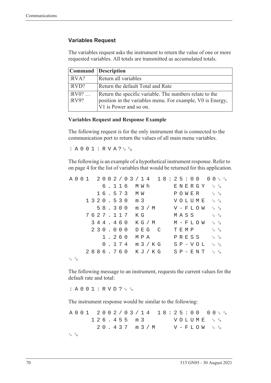#### **Variables Request**

The variables request asks the instrument to return the value of one or more requested variables. All totals are transmitted as accumulated totals.

|                  | Command Description                                                                                                                             |
|------------------|-------------------------------------------------------------------------------------------------------------------------------------------------|
| :RVA?            | Return all variables                                                                                                                            |
| :RVD?            | Return the default Total and Rate                                                                                                               |
| $:RV0?$<br>:RV9? | Return the specific variable. The numbers relate to the<br>position in the variables menu. For example, V0 is Energy,<br>V1 is Power and so on. |

#### **Variables Request and Response Example**

The following request is for the only instrument that is connected to the communication port to return the values of all main menu variables.

:  $A 0 0 1 : R V A ? \frac{c}{r} c_R$ 

The following is an example of a hypothetical instrument response. Refer to [on page 4](#page-13-0) for the list of variables that would be returned for this application.

|             |  |  |  |  |          |  |                  |  |       | $A\ 0\ 0\ 1\quad 2\ 0\ 0\ 2\ / \ 0\ 3\ / \ 1\ 4\quad 1\ 8:2\ 5:0\ 0\quad 0\ 0\ _{F}\ ^{c}{}_{R}$ |  |      |  |               |                                              |                                   |  |
|-------------|--|--|--|--|----------|--|------------------|--|-------|--------------------------------------------------------------------------------------------------|--|------|--|---------------|----------------------------------------------|-----------------------------------|--|
|             |  |  |  |  |          |  | 6.116 MWh        |  |       |                                                                                                  |  |      |  |               | ENERGY 'F <sup>c</sup> r                     |                                   |  |
|             |  |  |  |  |          |  | 16.573 MW        |  |       |                                                                                                  |  |      |  |               | POWER                                        | $L_{F}$ $C_{R}$                   |  |
|             |  |  |  |  |          |  | 1320.530 m 3     |  |       |                                                                                                  |  |      |  |               | VOLUME <sup>L<sub>E</sub>C<sub>R</sub></sup> |                                   |  |
|             |  |  |  |  |          |  |                  |  |       | 58.300 m 3/M                                                                                     |  |      |  |               | $V - F L O W \leftarrow c_R$                 |                                   |  |
|             |  |  |  |  | 7627.117 |  | КG               |  |       |                                                                                                  |  |      |  | MASS          |                                              | $L_F$ $C_R$                       |  |
|             |  |  |  |  | 344.460  |  |                  |  |       | K G / M                                                                                          |  |      |  |               | M – F L O W                                  | $L$ <sub>F</sub> $C$ <sub>R</sub> |  |
|             |  |  |  |  | 230.000  |  |                  |  | DEG C |                                                                                                  |  | TEMP |  |               |                                              | $L_F$ $C_R$                       |  |
|             |  |  |  |  | 1.260    |  | МРА              |  |       |                                                                                                  |  |      |  | PRESS         |                                              | $L_{F}$ $C_{R}$                   |  |
|             |  |  |  |  |          |  | $0.174$ m $3/KG$ |  |       |                                                                                                  |  |      |  | $S P - V O L$ |                                              | $L_{F}$ $C_{R}$                   |  |
|             |  |  |  |  |          |  |                  |  |       | 2886.760 KJ/KG SP-ENT FR                                                                         |  |      |  |               |                                              |                                   |  |
| $L_F$ $C_R$ |  |  |  |  |          |  |                  |  |       |                                                                                                  |  |      |  |               |                                              |                                   |  |

The following message to an instrument, requests the current values for the default rate and total:

: A 0 0 1 : R V D ?  $L_F$   $C_R$ 

The instrument response would be similar to the following:

A001 2002/03/14 18:25:00  $F$   $\circ$ <sub>R</sub>  $126.455 m3$ <sup>F</sup> <sup>C</sup> R  $20.437$  m  $3/M$  $F$   $\circ$ <sub>R</sub> L <sup>F</sup> <sup>C</sup> R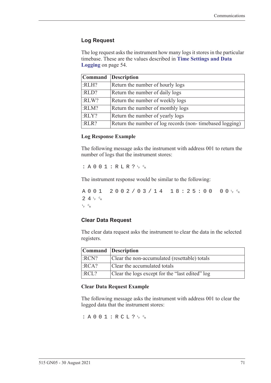#### **Log Request**

The log request asks the instrument how many logs it stores in the particular timebase. These are the values described in **[Time Settings and Data](#page-63-0)  Logging** [on page 54](#page-63-0).

|       | Command Description                                      |
|-------|----------------------------------------------------------|
| :RLH? | Return the number of hourly logs                         |
| :RLD? | Return the number of daily logs                          |
| :RLW? | Return the number of weekly logs                         |
| :RLM? | Return the number of monthly logs                        |
| :RLY? | Return the number of yearly logs                         |
| :RLR? | Return the number of log records (non-timebased logging) |

#### **Log Response Example**

The following message asks the instrument with address 001 to return the number of logs that the instrument stores:

 $: A 0 0 1 : R L R ? \nmid R$ 

The instrument response would be similar to the following:

A001 2002/03/14 18:25:00  $F$   $\circ$ R  $24r$ <sub>F</sub>  $c_R$ L <sup>F</sup> <sup>C</sup> R

#### **Clear Data Request**

The clear data request asks the instrument to clear the data in the selected registers.

| Command Description |                                                 |
|---------------------|-------------------------------------------------|
| :RCN?               | Clear the non-accumulated (resettable) totals   |
| :RCA?               | Clear the accumulated totals                    |
| :RCL?               | Clear the logs except for the "last edited" log |

#### **Clear Data Request Example**

The following message asks the instrument with address 001 to clear the logged data that the instrument stores:

: A 0 0 1 : R C L ?  $L_F$   $c_R$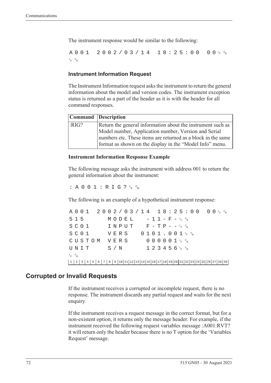The instrument response would be similar to the following:

A001 2002/03/14 18:25:00  $F$   $\circ$ <sub>R</sub> L <sup>F</sup> <sup>C</sup> R

#### **Instrument Information Request**

The Instrument Information request asks the instrument to return the general information about the model and version codes. The instrument exception status is returned as a part of the header as it is with the header for all command responses.

|      | Command Description                                                                                                      |
|------|--------------------------------------------------------------------------------------------------------------------------|
| RIG? | Return the general information about the instrument such as                                                              |
|      | Model number, Application number, Version and Serial                                                                     |
|      | numbers etc. These items are returned as a block in the same<br>format as shown on the display in the "Model Info" menu. |

#### **Instrument Information Response Example**

The following message asks the instrument with address 001 to return the general information about the instrument:

: A 0 0 1 : R I G ?  $L_F$   $C_R$ 

The following is an example of a hypothetical instrument response:

A001 2002/03/14 18:25:00 <sup>F</sup> <sup>C</sup> R  $515$   $MODEL$   $-11-F-F_{R}^{c}$  $S$  C O  $1$  I N P U T F - T P - - <sup>L</sup><sub>F</sub> <sup>C</sup>R  $S$  C O  $1$  V E R S O  $1$  O  $1$  J  $1$  , O  $0$   $1$   $1$   $1$   $6$   $8$ CUSTOM VERS 000001<sup>t</sup>F<sup>c</sup>r  $\texttt{UNIT}$  S/N 123456<sup>L</sup>F <sup>C</sup>R L <sup>F</sup> <sup>C</sup> R 1 2 3 4 5 6 7 8 9 10 11 12 13 14 15 16 17 18 19 20 21 22 23 24 25 26 27 28 29

## **Corrupted or Invalid Requests**

If the instrument receives a corrupted or incomplete request, there is no response. The instrument discards any partial request and waits for the next enquiry.

If the instrument receives a request message in the correct format, but for a non-existent option, it returns only the message header. For example, if the instrument received the following request variables message :A001:RVT? it will return only the header because there is no T option for the 'Variables Request' message.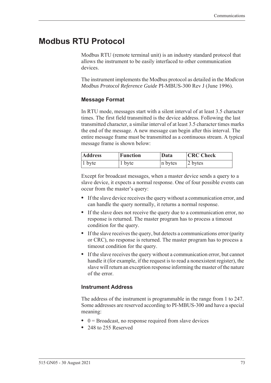# **Modbus RTU Protocol**

<span id="page-82-0"></span>Modbus RTU (remote terminal unit) is an industry standard protocol that allows the instrument to be easily interfaced to other communication devices.

The instrument implements the Modbus protocol as detailed in the *Modicon Modbus Protocol Reference Guide* PI-MBUS-300 Rev J (June 1996).

#### **Message Format**

In RTU mode, messages start with a silent interval of at least 3.5 character times. The first field transmitted is the device address. Following the last transmitted character, a similar interval of at least 3.5 character times marks the end of the message. A new message can begin after this interval. The entire message frame must be transmitted as a continuous stream. A typical message frame is shown below:

| <b>Address</b> | <b>Function</b> | Data    | <b>CRC</b> Check |  |  |  |  |  |
|----------------|-----------------|---------|------------------|--|--|--|--|--|
| $ 1$ byte      | 1 byte          | n bytes | 2 bytes          |  |  |  |  |  |

Except for broadcast messages, when a master device sends a query to a slave device, it expects a normal response. One of four possible events can occur from the master's query:

- **•** If the slave device receives the query without a communication error, and can handle the query normally, it returns a normal response.
- **•** If the slave does not receive the query due to a communication error, no response is returned. The master program has to process a timeout condition for the query.
- **•** If the slave receives the query, but detects a communications error (parity or CRC), no response is returned. The master program has to process a timeout condition for the query.
- **•** If the slave receives the query without a communication error, but cannot handle it (for example, if the request is to read a nonexistent register), the slave will return an exception response informing the master of the nature of the error.

#### **Instrument Address**

The address of the instrument is programmable in the range from 1 to 247. Some addresses are reserved according to PI-MBUS-300 and have a special meaning:

- 0 = Broadcast, no response required from slave devices
- **•** 248 to 255 Reserved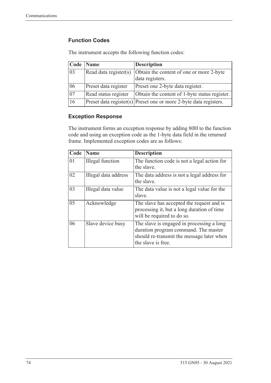# **Function Codes**

| Code            | <b>Name</b>           | <b>Description</b>                                                    |
|-----------------|-----------------------|-----------------------------------------------------------------------|
| 03              | Read data register(s) | Obtain the content of one or more 2-byte<br>data registers.           |
| 06              | Preset data register  | Preset one 2-byte data register.                                      |
| $\overline{07}$ | Read status register  | Obtain the content of 1-byte status register.                         |
| 16              |                       | $ $ Preset data register(s) Preset one or more 2-byte data registers. |

The instrument accepts the following function codes:

#### **Exception Response**

The instrument forms an exception response by adding 80H to the function code and using an exception code as the 1-byte data field in the returned frame. Implemented exception codes are as follows:

| Code | <b>Name</b>             | <b>Description</b>                                                                                                                                   |
|------|-------------------------|------------------------------------------------------------------------------------------------------------------------------------------------------|
| 01   | <b>Illegal</b> function | The function code is not a legal action for<br>the slave.                                                                                            |
| 02   | Illegal data address    | The data address is not a legal address for<br>the slave.                                                                                            |
| 03   | Illegal data value      | The data value is not a legal value for the<br>slave.                                                                                                |
| 05   | Acknowledge             | The slave has accepted the request and is<br>processing it, but a long duration of time<br>will be required to do so.                                |
| 06   | Slave device busy       | The slave is engaged in processing a long<br>duration program command. The master<br>should re-transmit the message later when<br>the slave is free. |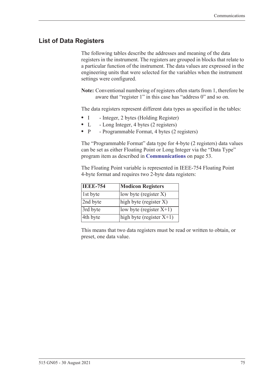# **List of Data Registers**

The following tables describe the addresses and meaning of the data registers in the instrument. The registers are grouped in blocks that relate to a particular function of the instrument. The data values are expressed in the engineering units that were selected for the variables when the instrument settings were configured.

**Note:** Conventional numbering of registers often starts from 1, therefore be aware that "register 1" in this case has "address 0" and so on.

The data registers represent different data types as specified in the tables:

- I Integer, 2 bytes (Holding Register)
- L Long Integer, 4 bytes (2 registers)
- P Programmable Format, 4 bytes (2 registers)

The "Programmable Format" data type for 4-byte (2 registers) data values can be set as either Floating Point or Long Integer via the "Data Type" program item as described in **[Communications](#page-62-0)** on page 53.

The Floating Point variable is represented in IEEE-754 Floating Point 4-byte format and requires two 2-byte data registers:

| <b>IEEE-754</b> | <b>Modicon Registers</b>                       |
|-----------------|------------------------------------------------|
| 1st byte        | low byte (register $X$ )                       |
| 2nd byte        | $\left  \text{high byte (register X)} \right $ |
| 3rd byte        | low byte (register $X+1$ )                     |
| 4th byte        | high byte (register $X+1$ )                    |

This means that two data registers must be read or written to obtain, or preset, one data value.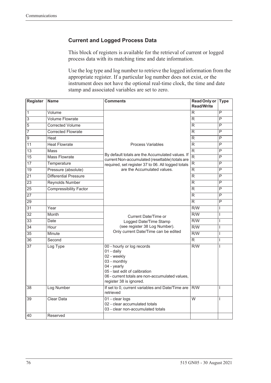# **Current and Logged Process Data**

This block of registers is available for the retrieval of current or logged process data with its matching time and date information.

Use the log type and log number to retrieve the logged information from the appropriate register. If a particular log number does not exist, or the instrument does not have the optional real-time clock, the time and date stamp and associated variables are set to zero.

| <b>Register</b> | <b>Name</b>                   | <b>Comments</b>                                                                                                                                                                                       | <b>Read Only or</b><br><b>Read/Write</b> | <b>Type</b>             |
|-----------------|-------------------------------|-------------------------------------------------------------------------------------------------------------------------------------------------------------------------------------------------------|------------------------------------------|-------------------------|
| $\overline{1}$  | Volume                        |                                                                                                                                                                                                       | R                                        | P                       |
| $\overline{3}$  | <b>Volume Flowrate</b>        |                                                                                                                                                                                                       | R.                                       | P                       |
| 5               | <b>Corrected Volume</b>       |                                                                                                                                                                                                       | R                                        | $\overline{\mathsf{P}}$ |
| 7               | <b>Corrected Flowrate</b>     |                                                                                                                                                                                                       | R.                                       | P                       |
| $\overline{9}$  | Heat                          |                                                                                                                                                                                                       | R                                        | P                       |
| $\overline{11}$ | <b>Heat Flowrate</b>          | <b>Process Variables</b>                                                                                                                                                                              | R                                        | $\overline{\mathsf{P}}$ |
| $\overline{13}$ | Mass                          |                                                                                                                                                                                                       | $\overline{\mathsf{R}}$                  | $\overline{P}$          |
| $\overline{15}$ | <b>Mass Flowrate</b>          | By default totals are the Accumulated values. If<br>current Non-accumulated (resettable) totals are                                                                                                   | $\overline{\mathsf{R}}$                  | $\overline{P}$          |
| $\overline{17}$ | Temperature                   | required, set register 37 to 06. All logged totals                                                                                                                                                    | $\overline{\mathsf{R}}$                  | P                       |
| 19              | Pressure (absolute)           | are the Accumulated values.                                                                                                                                                                           | R.                                       | $\overline{P}$          |
| $\overline{21}$ | Differential Pressure         |                                                                                                                                                                                                       | $\overline{\mathsf{R}}$                  | P                       |
| $\overline{23}$ | <b>Reynolds Number</b>        |                                                                                                                                                                                                       | R                                        | P                       |
| $\overline{25}$ | <b>Compressibility Factor</b> |                                                                                                                                                                                                       | R                                        | P                       |
| 27              |                               |                                                                                                                                                                                                       | R                                        | P                       |
| 29              |                               |                                                                                                                                                                                                       | R.                                       | $\overline{P}$          |
| 31              | Year                          |                                                                                                                                                                                                       | R/W                                      | T                       |
| $\overline{32}$ | <b>Month</b>                  | Current Date/Time or                                                                                                                                                                                  | $\overline{R/W}$                         | L                       |
| $\overline{33}$ | Date                          | Logged Date/Time Stamp                                                                                                                                                                                | $\overline{R/W}$                         | T                       |
| $\overline{34}$ | Hour                          | (see register 38 Log Number).                                                                                                                                                                         | $\overline{R/W}$                         | I                       |
| $\overline{35}$ | Minute                        | Only current Date/Time can be edited                                                                                                                                                                  | $\overline{R/W}$                         | T                       |
| $\overline{36}$ | Second                        |                                                                                                                                                                                                       | $\overline{\mathsf{R}}$                  | $\mathsf{I}$            |
| $\overline{37}$ | Log Type                      | 00 - hourly or log records<br>01 - daily<br>02 - weekly<br>03 - monthly<br>04 - yearly<br>05 - last edit of calibration<br>06 - current totals are non-accumulated values,<br>register 38 is ignored. | R/W                                      | L                       |
| $\overline{38}$ | Log Number                    | If set to 0, current variables and Date/Time are<br>retrieved                                                                                                                                         | R/W                                      | I                       |
| 39              | <b>Clear Data</b>             | 01 - clear logs<br>02 - clear accumulated totals<br>03 - clear non-accumulated totals                                                                                                                 | $\overline{W}$                           | T                       |
| 40              | Reserved                      |                                                                                                                                                                                                       |                                          |                         |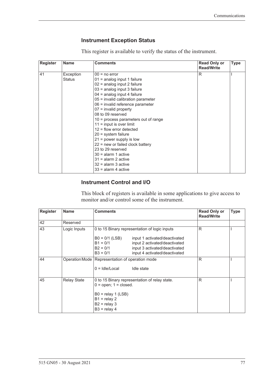# <span id="page-86-1"></span><span id="page-86-0"></span>**Instrument Exception Status**

This register is available to verify the status of the instrument.

| <b>Register</b> | <b>Name</b><br><b>Comments</b> |                                        |   | <b>Read Only or</b><br><b>Read/Write</b> | <b>Type</b> |
|-----------------|--------------------------------|----------------------------------------|---|------------------------------------------|-------------|
| 41              | Exception                      | $00 = no error$                        | R |                                          |             |
|                 | Status                         | $01$ = analog input 1 failure          |   |                                          |             |
|                 |                                | 02 = analog input 2 failure            |   |                                          |             |
|                 |                                | 03 = analog input 3 failure            |   |                                          |             |
|                 |                                | $04$ = analog input 4 failure          |   |                                          |             |
|                 |                                | 05 = invalid calibration parameter     |   |                                          |             |
|                 |                                | 06 = invalid reference parameter       |   |                                          |             |
|                 |                                | $07$ = invalid property                |   |                                          |             |
|                 |                                | 08 to 09 reserved                      |   |                                          |             |
|                 |                                | $10$ = process parameters out of range |   |                                          |             |
|                 |                                | $11 =$ input is over limit             |   |                                          |             |
|                 |                                | $12$ = flow error detected             |   |                                          |             |
|                 |                                | $20 =$ system failure                  |   |                                          |             |
|                 |                                | $21$ = power supply is low             |   |                                          |             |
|                 |                                | $22$ = new or failed clock battery     |   |                                          |             |
|                 |                                | 23 to 29 reserved                      |   |                                          |             |
|                 |                                | $30 =$ alarm 1 active                  |   |                                          |             |
|                 |                                | $31$ = alarm 2 active                  |   |                                          |             |
|                 |                                | $32$ = alarm 3 active                  |   |                                          |             |
|                 |                                | $33$ = alarm 4 active                  |   |                                          |             |

### **Instrument Control and I/O**

This block of registers is available in some applications to give access to monitor and/or control some of the instrument.

| <b>Register</b> | <b>Name</b>        | <b>Comments</b>                                                                                                                                                                                | <b>Read Only or</b><br><b>Read/Write</b> | <b>Type</b> |
|-----------------|--------------------|------------------------------------------------------------------------------------------------------------------------------------------------------------------------------------------------|------------------------------------------|-------------|
| 42              | Reserved           |                                                                                                                                                                                                |                                          |             |
| 43              | Logic Inputs       | 0 to 15 Binary representation of logic inputs                                                                                                                                                  | R                                        |             |
|                 |                    | $B0 = 0/1$ (LSB)<br>input 1 activated/deactivated<br>$B1 = 0/1$<br>input 2 activated/deactivated<br>$B2 = 0/1$<br>input 3 activated/deactivated<br>$B3 = 0/1$<br>input 4 activated/deactivated |                                          |             |
| 44              |                    | Operation Mode   Representation of operation mode<br>$0 =$ Idle/Local<br>Idle state                                                                                                            | R                                        |             |
| 45              | <b>Relay State</b> | 0 to 15 Binary representation of relay state.<br>$0 =$ open; $1 =$ closed.<br>$B0 =$ relay 1 (LSB)<br>$B1 =$ relay 2<br>$B2 =$ relay 3<br>$B3 =$ relay 4                                       | R                                        |             |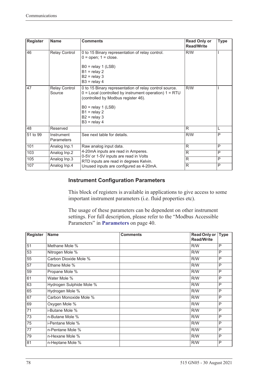| <b>Register</b> | <b>Name</b>              | <b>Comments</b>                                                                                                                                                                                                                           | <b>Read Only or</b><br><b>Read/Write</b> | <b>Type</b> |
|-----------------|--------------------------|-------------------------------------------------------------------------------------------------------------------------------------------------------------------------------------------------------------------------------------------|------------------------------------------|-------------|
| 46              | Relay Control            | 0 to 15 Binary representation of relay control.<br>$0 =$ open; $1 =$ close.<br>$B0 =$ relay 1 (LSB)<br>$B1 =$ relay 2<br>$B2 =$ relay 3<br>$B3 =$ relay 4                                                                                 | R/W                                      |             |
| 47              | Relay Control<br>Source  | 0 to 15 Binary representation of relay control source.<br>$0 =$ Local (controlled by instrument operation) $1 = RTU$<br>(controlled by Modbus register 46).<br>$B0 =$ relay 1 (LSB)<br>$B1 =$ relay 2<br>$B2 =$ relay 3<br>$B3 =$ relay 4 | R/W                                      |             |
| 48              | Reserved                 |                                                                                                                                                                                                                                           | R                                        | L           |
| 51 to 99        | Instrument<br>Parameters | See next table for details.                                                                                                                                                                                                               | R/W                                      | P           |
| 101             | Analog Inp.1             | Raw analog input data.                                                                                                                                                                                                                    | R                                        | P           |
| 103             | Analog Inp.2             | 4-20mA inputs are read in Amperes.<br>0-5V or 1-5V inputs are read in Volts                                                                                                                                                               | R                                        | P           |
| 105             | Analog Inp.3             | RTD inputs are read in degrees Kelvin.                                                                                                                                                                                                    | R                                        | P           |
| 107             | Analog Inp.4             | Unused inputs are configured as 4-20mA.                                                                                                                                                                                                   | R                                        | P           |

## **Instrument Configuration Parameters**

This block of registers is available in applications to give access to some important instrument parameters (i.e. fluid properties etc).

The usage of these parameters can be dependent on other instrument settings. For full description, please refer to the "Modbus Accessible Parameters" in **[Parameters](#page-49-0)** on page 40.

| <b>Register</b> | <b>Name</b>              | <b>Comments</b> | <b>Read Only or</b><br><b>Read/Write</b> | <b>Type</b> |
|-----------------|--------------------------|-----------------|------------------------------------------|-------------|
| 51              | Methane Mole %           |                 | R/W                                      | P           |
| $\overline{53}$ | Nitrogen Mole %          |                 | R/W                                      | P           |
| 55              | Carbon Dioxide Mole %    |                 | R/W                                      | P           |
| 57              | Ethane Mole %            |                 | R/W                                      | P           |
| $\overline{59}$ | Propane Mole %           |                 | R/W                                      | P           |
| 61              | Water Mole %             |                 | R/W                                      | P           |
| 63              | Hydrogen Sulphide Mole % |                 | R/W                                      | P           |
| 65              | Hydrogen Mole %          |                 | R/W                                      | P           |
| 67              | Carbon Monoxide Mole %   |                 | R/W                                      | P           |
| 69              | Oxygen Mole %            |                 | R/W                                      | P           |
| 71              | i-Butane Mole %          |                 | R/W                                      | P           |
| 73              | n-Butane Mole %          |                 | R/W                                      | P           |
| 75              | i-Pentane Mole %         |                 | R/W                                      | P           |
| 77              | n-Pentane Mole %         |                 | R/W                                      | P           |
| 79              | n-Hexane Mole %          |                 | R/W                                      | P           |
| 81              | n-Heptane Mole %         |                 | R/W                                      | P           |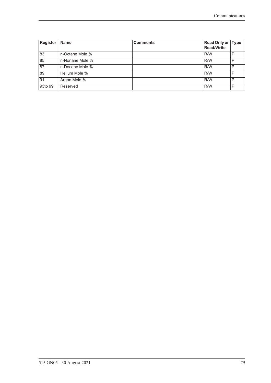| <b>Register</b> | <b>Name</b>     | <b>Comments</b> | Read Only or Type<br><b>Read/Write</b> |   |
|-----------------|-----------------|-----------------|----------------------------------------|---|
| 83              | n-Octane Mole % |                 | R/W                                    | P |
| 85              | n-Nonane Mole % |                 | R/W                                    | P |
| $\overline{8}$  | n-Decane Mole % |                 | R/W                                    | P |
| 89              | Helium Mole %   |                 | R/W                                    | P |
| 91              | Argon Mole %    |                 | R/W                                    | P |
| 93to 99         | Reserved        |                 | R/W                                    | P |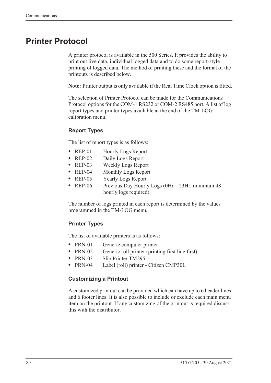# <span id="page-89-0"></span>**Printer Protocol**

<span id="page-89-2"></span>A printer protocol is available in the 500 Series. It provides the ability to print out live data, individual logged data and to do some report-style printing of logged data. The method of printing these and the format of the printouts is described below.

**Note:** Printer output is only available if the Real Time Clock option is fitted.

The selection of Printer Protocol can be made for the Communications Protocol options for the COM-1 RS232 or COM-2 RS485 port. A list of log report types and printer types available at the end of the TM-LOG calibration menu.

## <span id="page-89-3"></span>**Report Types**

The list of report types is as follows:

- REP-01 Hourly Logs Report
- **•** REP-02 Daily Logs Report
- **•** REP-03 Weekly Logs Report
- **•** REP-04 Monthly Logs Report
- **•** REP-05 Yearly Logs Report
- REP-06 Previous Day Hourly Logs (0Hr 23Hr, minimum 48 hourly logs required)

The number of logs printed in each report is determined by the values programmed in the TM-LOG menu.

#### <span id="page-89-4"></span>**Printer Types**

The list of available printers is as follows:

- PRN-01 Generic computer printer
- PRN-02 Generic roll printer (printing first line first)
- PRN-03 Slip Printer TM295
- **•** PRN-04 Label (roll) printer Citizen CMP30L

#### <span id="page-89-1"></span>**Customizing a Printout**

A customized printout can be provided which can have up to 6 header lines and 6 footer lines. It is also possible to include or exclude each main menu item on the printout. If any customizing of the printout is required discuss this with the distributor.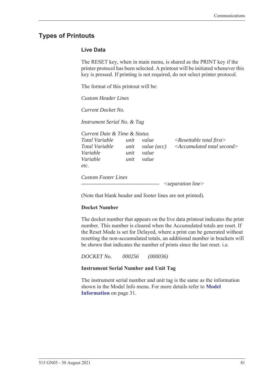# <span id="page-90-1"></span>**Types of Printouts**

#### <span id="page-90-0"></span>**Live Data**

The RESET key, when in main menu, is shared as the PRINT key if the printer protocol has been selected. A printout will be initiated whenever this key is pressed. If printing is not required, do not select printer protocol.

The format of this printout will be:

*Custom Header Lines*

*Current Docket No.* 

*Instrument Serial No. & Tag*

| unit | value | $\langle$ Resettable total first $\rangle$        |
|------|-------|---------------------------------------------------|
|      |       | $\leq$ Accumulated total second $>$               |
| unit | value |                                                   |
| unit | value |                                                   |
|      |       |                                                   |
|      |       | Current Date & Time & Status<br>unit value $(ac)$ |

*Custom Footer Lines ------------------------------------------- <separation line>*

(Note that blank header and footer lines are not printed).

#### **Docket Number**

The docket number that appears on the live data printout indicates the print number. This number is cleared when the Accumulated totals are reset. If the Reset Mode is set for Delayed, where a print can be generated without resetting the non-accumulated totals, an additional number in brackets will be shown that indicates the number of prints since the last reset. i.e.

*DOCKET No. 000256 (000036)*

#### **Instrument Serial Number and Unit Tag**

The instrument serial number and unit tag is the same as the information shown in the Model Info menu. For more details refer to **[Model](#page-40-0)  [Information](#page-40-0)** on page 31.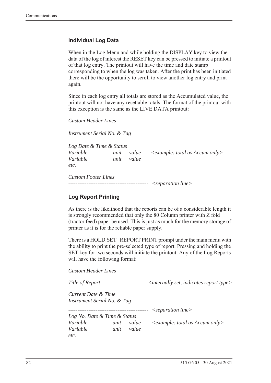#### <span id="page-91-0"></span>**Individual Log Data**

When in the Log Menu and while holding the DISPLAY key to view the data of the log of interest the RESET key can be pressed to initiate a printout of that log entry. The printout will have the time and date stamp corresponding to when the log was taken. After the print has been initiated there will be the opportunity to scroll to view another log entry and print again.

Since in each log entry all totals are stored as the Accumulated value, the printout will not have any resettable totals. The format of the printout with this exception is the same as the LIVE DATA printout:

*Custom Header Lines*

*Instrument Serial No. & Tag*

| Log Date & Time & Status   |      |       |                                     |
|----------------------------|------|-------|-------------------------------------|
| Variable                   | unit | value | $\leq$ example: total as Accum only |
| Variable                   | unit | value |                                     |
| etc.                       |      |       |                                     |
| <b>Custom Footer Lines</b> |      |       |                                     |

*-------------------------------------------- <separation line>*

## <span id="page-91-1"></span>**Log Report Printing**

As there is the likelihood that the reports can be of a considerable length it is strongly recommended that only the 80 Column printer with Z fold (tractor feed) paper be used. This is just as much for the memory storage of printer as it is for the reliable paper supply.

There is a HOLD.SET REPORT PRINT prompt under the main menu with the ability to print the pre-selected type of report. Pressing and holding the SET key for two seconds will initiate the printout. Any of the Log Reports will have the following format:

*Custom Header Lines*

*Title of Report*  $\langle$  *internally set, indicates report type Current Date & Time Instrument Serial No. & Tag -------------------------------------------- <separation line> Log No. Date & Time & Status Variable unit value <example: total as Accum only> Variable unit value etc.*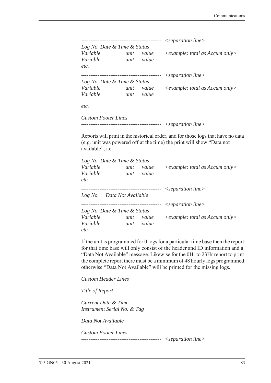|                              |      |       | $\leq$ separation line $>$              |
|------------------------------|------|-------|-----------------------------------------|
| Log No. Date & Time & Status |      |       |                                         |
| Variable                     | unit | value | $\leq$ example: total as Accum only $>$ |
| Variable                     | unit | value |                                         |
| etc.                         |      |       |                                         |
|                              |      |       | $\leq$ separation line $>$              |
| Log No. Date & Time & Status |      |       |                                         |
| Variable                     | unit | value | $\leq$ example: total as Accum only>    |
| Variable                     | unit | value |                                         |
| etc.                         |      |       |                                         |
| <b>Custom Footer Lines</b>   |      |       |                                         |

*-------------------------------------------- <separation line>*

Reports will print in the historical order, and for those logs that have no data (e.g. unit was powered off at the time) the print will show "Data not available", i.e.

| Log No. Date & Time & Status        |      |            |                                      |
|-------------------------------------|------|------------|--------------------------------------|
| Variable                            | unit | value      | $\leq$ example: total as Accum only> |
| Variable                            | unit | value      |                                      |
| etc.                                |      |            |                                      |
|                                     |      |            | $\leq$ separation line $>$           |
| Log No. Data Not Available          |      |            |                                      |
| ----------------------------------- |      | ---------- | $\leq$ separation line $>$           |
| Log No. Date & Time & Status        |      |            |                                      |
| Variable                            | unit | value      | $\leq$ example: total as Accum only> |
| Variable                            | unit | value      |                                      |
| etc.                                |      |            |                                      |

If the unit is programmed for 0 logs for a particular time base then the report for that time base will only consist of the header and ID information and a "Data Not Available" message. Likewise for the 0Hr to 23Hr report to print the complete report there must be a minimum of 48 hourly logs programmed otherwise "Data Not Available" will be printed for the missing logs.

*Custom Header Lines*

*Title of Report*

*Current Date & Time Instrument Serial No. & Tag*

*Data Not Available*

*Custom Footer Lines -------------------------------------------- <separation line>*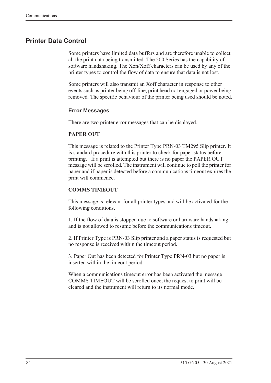# <span id="page-93-0"></span>**Printer Data Control**

Some printers have limited data buffers and are therefore unable to collect all the print data being transmitted. The 500 Series has the capability of software handshaking. The Xon/Xoff characters can be used by any of the printer types to control the flow of data to ensure that data is not lost.

Some printers will also transmit an Xoff character in response to other events such as printer being off-line, print head not engaged or power being removed. The specific behaviour of the printer being used should be noted.

#### <span id="page-93-1"></span>**Error Messages**

There are two printer error messages that can be displayed.

#### **PAPER OUT**

This message is related to the Printer Type PRN-03 TM295 Slip printer. It is standard procedure with this printer to check for paper status before printing. If a print is attempted but there is no paper the PAPER OUT message will be scrolled. The instrument will continue to poll the printer for paper and if paper is detected before a communications timeout expires the print will commence.

#### **COMMS TIMEOUT**

This message is relevant for all printer types and will be activated for the following conditions.

1. If the flow of data is stopped due to software or hardware handshaking and is not allowed to resume before the communications timeout.

2. If Printer Type is PRN-03 Slip printer and a paper status is requested but no response is received within the timeout period.

3. Paper Out has been detected for Printer Type PRN-03 but no paper is inserted within the timeout period.

When a communications timeout error has been activated the message COMMS TIMEOUT will be scrolled once, the request to print will be cleared and the instrument will return to its normal mode.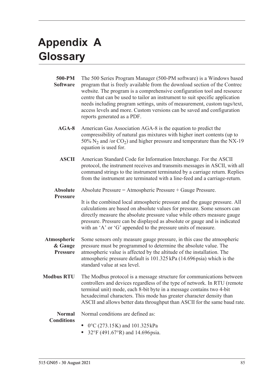# <span id="page-94-1"></span>**Appendix A Glossary**

<span id="page-94-0"></span>

| 500-PM<br><b>Software</b>                 | The 500 Series Program Manager (500-PM software) is a Windows based<br>program that is freely available from the download section of the Contrec<br>website. The program is a comprehensive configuration tool and resource<br>centre that can be used to tailor an instrument to suit specific application<br>needs including program settings, units of measurement, custom tags/text,<br>access levels and more. Custom versions can be saved and configuration<br>reports generated as a PDF. |  |  |  |
|-------------------------------------------|---------------------------------------------------------------------------------------------------------------------------------------------------------------------------------------------------------------------------------------------------------------------------------------------------------------------------------------------------------------------------------------------------------------------------------------------------------------------------------------------------|--|--|--|
| $AGA-8$                                   | American Gas Association AGA-8 is the equation to predict the<br>compressibility of natural gas mixtures with higher inert contents (up to<br>50% $N_2$ and /or CO <sub>2</sub> ) and higher pressure and temperature than the NX-19<br>equation is used for.                                                                                                                                                                                                                                     |  |  |  |
| <b>ASCII</b>                              | American Standard Code for Information Interchange. For the ASCII<br>protocol, the instrument receives and transmits messages in ASCII, with all<br>command strings to the instrument terminated by a carriage return. Replies<br>from the instrument are terminated with a line-feed and a carriage-return.                                                                                                                                                                                      |  |  |  |
| <b>Absolute</b>                           | Absolute Pressure = Atmospheric Pressure + Gauge Pressure.                                                                                                                                                                                                                                                                                                                                                                                                                                        |  |  |  |
| <b>Pressure</b>                           | It is the combined local atmospheric pressure and the gauge pressure. All<br>calculations are based on absolute values for pressure. Some sensors can<br>directly measure the absolute pressure value while others measure gauge<br>pressure. Pressure can be displayed as absolute or gauge and is indicated<br>with an 'A' or 'G' appended to the pressure units of measure.                                                                                                                    |  |  |  |
| Atmospheric<br>& Gauge<br><b>Pressure</b> | Some sensors only measure gauge pressure, in this case the atmospheric<br>pressure must be programmed to determine the absolute value. The<br>atmospheric value is affected by the altitude of the installation. The<br>atmospheric pressure default is 101.325 kPa (14.696 psia) which is the<br>standard value at sea level.                                                                                                                                                                    |  |  |  |
| <b>Modbus RTU</b>                         | The Modbus protocol is a message structure for communications between<br>controllers and devices regardless of the type of network. In RTU (remote<br>terminal unit) mode, each 8-bit byte in a message contains two 4-bit<br>hexadecimal characters. This mode has greater character density than<br>ASCII and allows better data throughput than ASCII for the same baud rate.                                                                                                                  |  |  |  |
| <b>Normal</b>                             | Normal conditions are defined as:                                                                                                                                                                                                                                                                                                                                                                                                                                                                 |  |  |  |
| <b>Conditions</b>                         | $0^{\circ}$ C (273.15K) and 101.325 kPa<br>32°F (491.67°R) and 14.696 psia.                                                                                                                                                                                                                                                                                                                                                                                                                       |  |  |  |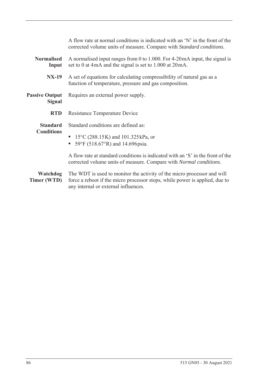|                                        | A flow rate at normal conditions is indicated with an 'N' in the front of the<br>corrected volume units of measure. Compare with Standard conditions.                                          |  |  |  |
|----------------------------------------|------------------------------------------------------------------------------------------------------------------------------------------------------------------------------------------------|--|--|--|
| <b>Normalised</b><br>Input             | A normalised input ranges from 0 to 1.000. For $4-20$ mA input, the signal is<br>set to 0 at 4mA and the signal is set to 1.000 at 20mA.                                                       |  |  |  |
| <b>NX-19</b>                           | A set of equations for calculating compressibility of natural gas as a<br>function of temperature, pressure and gas composition.                                                               |  |  |  |
| <b>Passive Output</b><br><b>Signal</b> | Requires an external power supply.                                                                                                                                                             |  |  |  |
| <b>RTD</b>                             | Resistance Temperature Device                                                                                                                                                                  |  |  |  |
| <b>Standard</b>                        | Standard conditions are defined as:                                                                                                                                                            |  |  |  |
| <b>Conditions</b>                      | • $15^{\circ}$ C (288.15K) and 101.325 kPa, or<br>• 59°F (518.67°R) and 14.696 psia.                                                                                                           |  |  |  |
|                                        | A flow rate at standard conditions is indicated with an 'S' in the front of the<br>corrected volume units of measure. Compare with Normal conditions.                                          |  |  |  |
| Watchdog<br>Timer (WTD)                | The WDT is used to monitor the activity of the micro processor and will<br>force a reboot if the micro processor stops, while power is applied, due to<br>any internal or external influences. |  |  |  |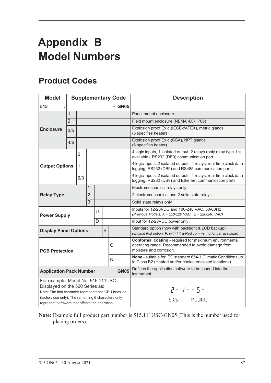# <span id="page-96-1"></span>**Appendix B Model Numbers**

# <span id="page-96-0"></span>**Product Codes**

| <b>Model</b>                                                                                                                                                                          | <b>Supplementary Code</b> |                |   |  |                                                                                                                        | <b>Description</b>            |                                                                                                                             |                                                                                                                                        |
|---------------------------------------------------------------------------------------------------------------------------------------------------------------------------------------|---------------------------|----------------|---|--|------------------------------------------------------------------------------------------------------------------------|-------------------------------|-----------------------------------------------------------------------------------------------------------------------------|----------------------------------------------------------------------------------------------------------------------------------------|
| 515                                                                                                                                                                                   |                           |                |   |  |                                                                                                                        |                               | - GN05                                                                                                                      |                                                                                                                                        |
|                                                                                                                                                                                       | $\mathbf{1}$              |                |   |  |                                                                                                                        |                               | Panel mount enclosure                                                                                                       |                                                                                                                                        |
|                                                                                                                                                                                       | $\overline{2}$            |                |   |  |                                                                                                                        |                               |                                                                                                                             | Field mount enclosure (NEMA 4X / IP66)                                                                                                 |
| <b>Enclosure</b>                                                                                                                                                                      | 3/5                       |                |   |  |                                                                                                                        |                               |                                                                                                                             | Explosion proof Ex d (IECEx/ATEX), metric glands<br>(5 specifies heater)                                                               |
|                                                                                                                                                                                       | 4/6                       |                |   |  |                                                                                                                        |                               |                                                                                                                             | Explosion proof Ex d (CSA), NPT glands<br>(6 specifies heater)                                                                         |
|                                                                                                                                                                                       |                           | 0              |   |  |                                                                                                                        |                               | 4 logic inputs, 1 isolated output, 2 relays (only relay type 1 is<br>available), RS232 (DB9) communication port             |                                                                                                                                        |
| <b>Output Options</b>                                                                                                                                                                 |                           | $\mathbf{1}$   |   |  |                                                                                                                        |                               | 4 logic inputs, 2 isolated outputs, 4 relays, real-time clock data<br>logging, RS232 (DB9) and RS485 communication ports    |                                                                                                                                        |
|                                                                                                                                                                                       |                           | 2/3            |   |  |                                                                                                                        |                               | 4 logic inputs, 2 isolated outputs, 4 relays, real-time clock data<br>logging, RS232 (DB9) and Ethernet communication ports |                                                                                                                                        |
| <b>Relay Type</b>                                                                                                                                                                     |                           |                | 1 |  |                                                                                                                        |                               |                                                                                                                             | Electromechanical relays only                                                                                                          |
|                                                                                                                                                                                       |                           | $\overline{2}$ |   |  |                                                                                                                        |                               | 2 electromechanical and 2 solid state relays                                                                                |                                                                                                                                        |
|                                                                                                                                                                                       |                           | $\overline{3}$ |   |  |                                                                                                                        |                               |                                                                                                                             | Solid state relays only                                                                                                                |
| U<br><b>Power Supply</b>                                                                                                                                                              |                           |                |   |  | Inputs for 12-28VDC and 100-240 VAC, 50-60Hz<br>(Previous Models: $A = 110/120$ VAC, $E = 220/240$ VAC)                |                               |                                                                                                                             |                                                                                                                                        |
|                                                                                                                                                                                       |                           |                | D |  |                                                                                                                        | Input for 12-28VDC power only |                                                                                                                             |                                                                                                                                        |
| S<br><b>Display Panel Options</b>                                                                                                                                                     |                           |                |   |  |                                                                                                                        |                               | Standard option (now with backlight & LCD backup)<br>(original Full option: F, with Infra-Red comms, no longer available)   |                                                                                                                                        |
| C<br><b>PCB Protection</b>                                                                                                                                                            |                           |                |   |  |                                                                                                                        |                               |                                                                                                                             | Conformal coating - required for maximum environmental<br>operating range. Recommended to avoid damage from<br>moisture and corrosion. |
| N                                                                                                                                                                                     |                           |                |   |  | None - suitable for IEC standard 654-1 Climatic Conditions up<br>to Class B2 (Heated and/or cooled enclosed locations) |                               |                                                                                                                             |                                                                                                                                        |
| <b>GN05</b><br><b>Application Pack Number</b>                                                                                                                                         |                           |                |   |  |                                                                                                                        |                               |                                                                                                                             | Defines the application software to be loaded into the<br>instrument                                                                   |
| For example: Model No. 515.111USC<br>Displayed on the 500 Series as:<br>Note: The first character represents the CPU installed<br>(factory use only). The remaining 6 characters only |                           |                |   |  |                                                                                                                        |                               |                                                                                                                             | $2 - 1 - 5 -$                                                                                                                          |
| represent hardware that affects the operation.                                                                                                                                        |                           |                |   |  |                                                                                                                        |                               |                                                                                                                             | MODEL<br>515                                                                                                                           |

**Note:** Example full product part number is 515.111USC-GN05 (This is the number used for placing orders).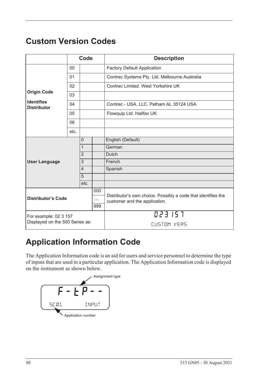# <span id="page-97-1"></span>**Custom Version Codes**

|                                                          |                | Code           |        | <b>Description</b>                                                                             |  |
|----------------------------------------------------------|----------------|----------------|--------|------------------------------------------------------------------------------------------------|--|
|                                                          | 00             |                |        | <b>Factory Default Application</b>                                                             |  |
|                                                          | 01             |                |        | Contrec Systems Pty. Ltd. Melbourne Australia                                                  |  |
|                                                          | 02             |                |        | Contrec Limited. West Yorkshire UK                                                             |  |
| <b>Origin Code</b>                                       | 03             |                |        |                                                                                                |  |
| <b>Identifies</b><br><b>Distributor</b>                  | 04             |                |        | Contrec - USA, LLC. Pelham AL 35124 USA                                                        |  |
|                                                          | 05             |                |        | Flowquip Ltd. Halifax UK                                                                       |  |
|                                                          | 06             |                |        |                                                                                                |  |
|                                                          | etc.           |                |        |                                                                                                |  |
|                                                          |                | $\Omega$       |        | English (Default)                                                                              |  |
|                                                          |                | $\mathbf{1}$   |        | German                                                                                         |  |
|                                                          |                | $\overline{2}$ |        | <b>Dutch</b>                                                                                   |  |
| <b>User Language</b>                                     | 3              |                | French |                                                                                                |  |
|                                                          | $\overline{4}$ |                |        | Spanish                                                                                        |  |
|                                                          |                | 5              |        |                                                                                                |  |
|                                                          |                | etc.           |        |                                                                                                |  |
| 000<br><b>Distributor's Code</b><br>$\cdots$<br>999      |                |                |        | Distributor's own choice. Possibly a code that identifies the<br>customer and the application. |  |
|                                                          |                |                |        |                                                                                                |  |
|                                                          |                |                |        |                                                                                                |  |
| For example: 02 3 157<br>Displayed on the 500 Series as: |                |                |        | 023157                                                                                         |  |
|                                                          |                |                |        | CUSTOM VERS                                                                                    |  |

# **Application Information Code**

The Application Information code is an aid for users and service personnel to determine the type of inputs that are used in a particular application. The Application Information code is displayed on the instrument as shown below.

<span id="page-97-0"></span>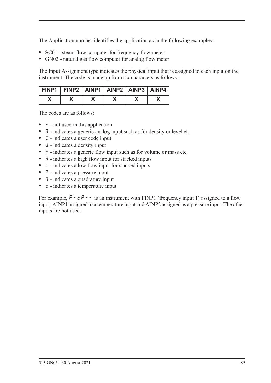The Application number identifies the application as in the following examples:

- **•** SC01 steam flow computer for frequency flow meter
- **•** GN02 natural gas flow computer for analog flow meter

The Input Assignment type indicates the physical input that is assigned to each input on the instrument. The code is made up from six characters as follows:

| FINP1   FINP2   AINP1   AINP2   AINP3   AINP4 |  |  |  |
|-----------------------------------------------|--|--|--|
|                                               |  |  |  |

The codes are as follows:

- - not used in this application
- **A** indicates a generic analog input such as for density or level etc.
- **•** C indicates a user code input
- d indicates a density input
- **•** F indicates a generic flow input such as for volume or mass etc.
- H indicates a high flow input for stacked inputs
- **•** L indicates a low flow input for stacked inputs
- **•** P indicates a pressure input
- **q** indicates a quadrature input
- *k* indicates a temperature input.

For example,  $F - tP - -$  is an instrument with FINP1 (frequency input 1) assigned to a flow input, AINP1 assigned to a temperature input and AINP2 assigned as a pressure input. The other inputs are not used.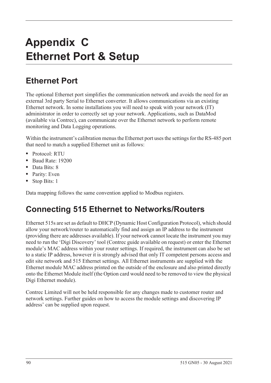# <span id="page-99-0"></span>**Appendix C Ethernet Port & Setup**

# **Ethernet Port**

The optional Ethernet port simplifies the communication network and avoids the need for an external 3rd party Serial to Ethernet converter. It allows communications via an existing Ethernet network. In some installations you will need to speak with your network (IT) administrator in order to correctly set up your network. Applications, such as DataMod (available via Contrec), can communicate over the Ethernet network to perform remote monitoring and Data Logging operations.

Within the instrument's calibration menus the Ethernet port uses the settings for the RS-485 port that need to match a supplied Ethernet unit as follows:

- **•** Protocol: RTU
- **•** Baud Rate: 19200
- **•** Data Bits: 8
- **•** Parity: Even
- **•** Stop Bits: 1

Data mapping follows the same convention applied to Modbus registers.

# **Connecting 515 Ethernet to Networks/Routers**

Ethernet 515s are set as default to DHCP (Dynamic Host Configuration Protocol), which should allow your network/router to automatically find and assign an IP address to the instrument (providing there are addresses available). If your network cannot locate the instrument you may need to run the 'Digi Discovery' tool (Contrec guide available on request) or enter the Ethernet module's MAC address within your router settings. If required, the instrument can also be set to a static IP address, however it is strongly advised that only IT competent persons access and edit site network and 515 Ethernet settings. All Ethernet instruments are supplied with the Ethernet module MAC address printed on the outside of the enclosure and also printed directly onto the Ethernet Module itself (the Option card would need to be removed to view the physical Digi Ethernet module).

Contrec Limited will not be held responsible for any changes made to customer router and network settings. Further guides on how to access the module settings and discovering IP address' can be supplied upon request.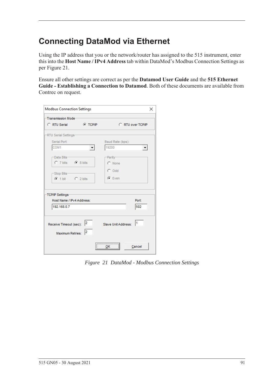# **Connecting DataMod via Ethernet**

Using the IP address that you or the network/router has assigned to the 515 instrument, enter this into the **Host Name / IPv4 Address** tab within DataMod's Modbus Connection Settings as per [Figure 21.](#page-100-0)

Ensure all other settings are correct as per the **Datamod User Guide** and the **515 Ethernet Guide - Establishing a Connection to Datamod**. Both of these documents are available from Contrec on request.

| Transmission Mode-                                            |                      |                     |                      |
|---------------------------------------------------------------|----------------------|---------------------|----------------------|
| C RTU Serial                                                  | <b>C</b> TCP/IP      | C RTU over TCP/IP   |                      |
| -RTU Serial Settings-                                         |                      |                     |                      |
| Serial Port:                                                  |                      | Baud Rate (bps):    |                      |
| COM1                                                          |                      | 19200               | $\blacktriangledown$ |
| -Data Bits-                                                   |                      | -Parity-            |                      |
| C 7 bits C 8 bits                                             |                      | C None              |                      |
|                                                               |                      | $C$ Odd             |                      |
| -Stop Bits-                                                   |                      |                     |                      |
| $C$ 1 bit $C$ 2 bits                                          |                      | $G$ Even            |                      |
|                                                               |                      |                     |                      |
| TCP/IP Settings                                               |                      |                     |                      |
| Host Name / IPv4 Address:                                     |                      |                     | Port:                |
| 192.168.0.7                                                   |                      |                     | 502                  |
|                                                               |                      |                     |                      |
|                                                               |                      |                     | 11                   |
| Receive Timeout (sec): $\begin{vmatrix} 2 \\ 1 \end{vmatrix}$ |                      | Slave Unit Address: |                      |
| Maximum Retries:                                              | $\vert$ <sub>2</sub> |                     |                      |
|                                                               |                      |                     |                      |
|                                                               |                      | <br>$\frac{QK}{2}$  | Cancel               |

<span id="page-100-0"></span>*Figure 21 DataMod - Modbus Connection Settings*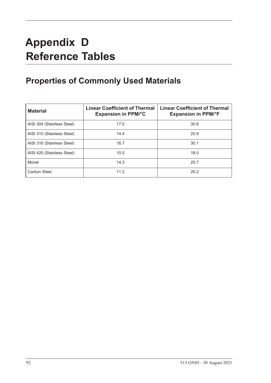# **Appendix D Reference Tables**

# **Properties of Commonly Used Materials**

<span id="page-101-0"></span>

| <b>Material</b>            | <b>Linear Coefficient of Thermal</b><br><b>Expansion in PPM/°C</b> | <b>Linear Coefficient of Thermal</b><br><b>Expansion in PPM/°F</b> |
|----------------------------|--------------------------------------------------------------------|--------------------------------------------------------------------|
| AISI 304 (Stainless Steel) | 17.0                                                               | 30.6                                                               |
| AISI 310 (Stainless Steel) | 14.4                                                               | 25.9                                                               |
| AISI 316 (Stainless Steel) | 16.7                                                               | 30.1                                                               |
| AISI 420 (Stainless Steel) | 10.0                                                               | 18.0                                                               |
| Monel                      | 14.3                                                               | 25.7                                                               |
| Carbon Steel               | 11.2                                                               | 20.2                                                               |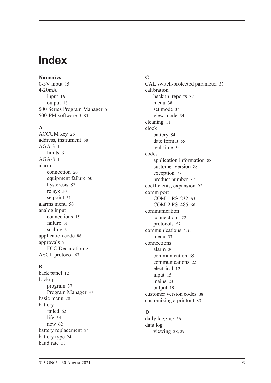# **Index**

**Numerics** 0-5V inpu[t 15](#page-24-0) 4-20mA input [16](#page-25-0) output [18](#page-27-0) 500 Series Program Manage[r 5](#page-14-0) 500-PM software [5,](#page-14-0) [85](#page-94-0)

#### **A**

ACCUM ke[y 26](#page-35-0) address, instrumen[t 68](#page-77-0) AGA-[3 1](#page-10-0) limit[s 6](#page-15-0)  $AGA-8<sub>1</sub>$ alarm connection [20](#page-29-0) equipment failur[e 50](#page-59-0) hysteresi[s 52](#page-61-0) relays [50](#page-59-1) setpoin[t 51](#page-60-0) alarms menu [50](#page-59-2) analog input connection[s 15](#page-24-1) failur[e 61](#page-70-0) scalin[g 3](#page-12-0) application cod[e 88](#page-97-0) approvals [7](#page-16-0) FCC Declaration [8](#page-17-0) ASCII protoco[l 67](#page-76-0)

## **B**

back panel [12](#page-21-0) backup program [37](#page-46-0) Program Manage[r 37](#page-46-1) basic men[u 28](#page-37-0) battery faile[d 62](#page-71-0) lif[e 54](#page-63-1) ne[w 62](#page-71-0) battery replacemen[t 24](#page-33-0) battery typ[e 24](#page-33-1) baud rat[e 53](#page-62-1)

# **C**

CAL switch-protected parameter [33](#page-42-0) calibration backup, reports [37](#page-46-0) menu [38](#page-47-0) set mode [34](#page-43-0) view mode [34](#page-43-1) cleaning [11](#page-20-0) clock batter[y 54](#page-63-1) date format [55](#page-64-0) real-tim[e 54](#page-63-2) codes application information [88](#page-97-0) customer versio[n 88](#page-97-1) exception [77](#page-86-1) product numbe[r 87](#page-96-0) coefficients, expansion [92](#page-101-0) comm port COM-1 RS-232 [65](#page-74-1) COM-2 RS-485 [66](#page-75-1) communication connection[s 22](#page-31-0) protocols [67](#page-76-1) communication[s 4,](#page-13-1) [65](#page-74-2) menu [53](#page-62-2) connections alar[m 20](#page-29-0) communication [65](#page-74-3) communication[s 22](#page-31-0) electrical [12](#page-21-1) input [15](#page-24-2) mains [23](#page-32-0) output [18](#page-27-1) customer version codes [88](#page-97-1) customizing a printout [80](#page-89-1)

## **D**

daily logging [56](#page-65-0) data log viewing [28,](#page-37-1) [29](#page-38-0)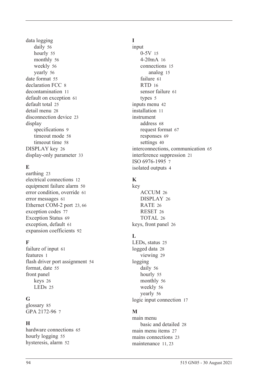data logging daily [56](#page-65-0) hourl[y 55](#page-64-1) monthly [56](#page-65-1) weekl[y 56](#page-65-2) yearly [56](#page-65-3) date format [55](#page-64-0) declaration FCC [8](#page-17-0) decontamination [11](#page-20-0) default on exception [61](#page-70-1) default tota[l 25](#page-34-0) detail men[u 28](#page-37-0) disconnection device [23](#page-32-1) display specifications [9](#page-18-0) timeout mod[e 58](#page-67-0) timeout time [58](#page-67-1) DISPLAY key [26](#page-35-1) display-only parameter [33](#page-42-1)

# **E**

earthin[g 23](#page-32-2) electrical connections [12](#page-21-1) equipment failure alarm [50](#page-59-0) error condition, overrid[e 61](#page-70-2) error message[s 61](#page-70-3) Ethernet COM-2 por[t 23,](#page-32-3) [66](#page-75-2) exception codes [77](#page-86-1) Exception Status [69](#page-78-0) exception, default [61](#page-70-1) expansion coefficient[s 92](#page-101-0)

## **F**

failure of input [61](#page-70-0) features [1](#page-10-2) flash driver port assignmen[t 54](#page-63-3) format, date [55](#page-64-0) front panel keys [26](#page-35-2) LEDs [25](#page-34-1)

## **G**

glossary [85](#page-94-1) GPA 2172-96 [7](#page-16-1)

## **H**

hardware connections [65](#page-74-3) hourly logging [55](#page-64-1) hysteresis, alar[m 52](#page-61-0)

# **I**

input 0-5[V 15](#page-24-0) 4-20mA [16](#page-25-0) connections [15](#page-24-2) analog [15](#page-24-1) failure [61](#page-70-0) RTD [16](#page-25-1) sensor failure [61](#page-70-0) types [5](#page-14-1) inputs menu [42](#page-51-0) installation [11](#page-20-1) instrument address [68](#page-77-0) request forma[t 67](#page-76-2) response[s 69](#page-78-1) setting[s 40](#page-49-1) interconnections, communication [65](#page-74-3) interference suppression [21](#page-30-0) ISO 6976-1995 [7](#page-16-2) isolated output[s 4](#page-13-2)

# **K**

key ACCUM [26](#page-35-0) DISPLA[Y 26](#page-35-1) RATE [26](#page-35-3) RESE[T 26](#page-35-4) TOTAL [26](#page-35-5) keys, front panel [26](#page-35-2)

# **L**

LEDs, status [25](#page-34-1) logged dat[a 28](#page-37-1) viewin[g 29](#page-38-0) logging daily [56](#page-65-0) hourly [55](#page-64-1) monthly [56](#page-65-1) weekl[y 56](#page-65-2) yearly [56](#page-65-3) logic input connection [17](#page-26-0)

# **M**

main menu basic and detailed [28](#page-37-0) main menu item[s 27](#page-36-0) mains connections [23](#page-32-0) maintenanc[e 11,](#page-20-1) [23](#page-32-4)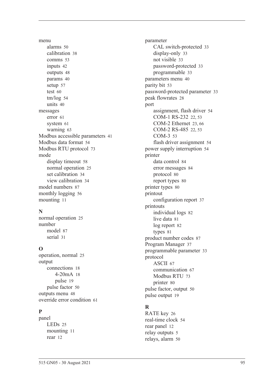menu alarm[s 50](#page-59-2) calibratio[n 38](#page-47-0) comms [53](#page-62-2) input[s 42](#page-51-0) output[s 48](#page-57-0) params [40](#page-49-2) setu[p 57](#page-66-0) test [60](#page-69-0) tm/lo[g 54](#page-63-4) unit[s 40](#page-49-3) messages erro[r 61](#page-70-3) syste[m 61](#page-70-4) warnin[g 63](#page-72-0) Modbus accessible parameters [41](#page-50-0) Modbus data forma[t 54](#page-63-5) Modbus RTU protoco[l 73](#page-82-0) mode display timeou[t 58](#page-67-0) normal operatio[n 25](#page-34-2) set calibration [34](#page-43-0) view calibration [34](#page-43-1) model number[s 87](#page-96-1) monthly logging [56](#page-65-1) mountin[g 11](#page-20-2)

## **N**

normal operatio[n 25](#page-34-2) number mode[l 87](#page-96-1) seria[l 31](#page-40-1)

# **O**

operation, norma[l 25](#page-34-2) output connection[s 18](#page-27-1) 4-20m[A 18](#page-27-0) puls[e 19](#page-28-0) pulse facto[r 50](#page-59-3) outputs men[u 48](#page-57-0) override error condition [61](#page-70-2)

# **P**

panel LED[s 25](#page-34-1) mountin[g 11](#page-20-2) rear [12](#page-21-0)

parameter CAL switch-protected [33](#page-42-0) display-only [33](#page-42-1) not visibl[e 33](#page-42-2) password-protected [33](#page-42-3) programmable [33](#page-42-4) parameters men[u 40](#page-49-2) parity bit [53](#page-62-3) password-protected parameter [33](#page-42-3) peak flowrate[s 28](#page-37-2) port assignment, flash driver [54](#page-63-3) COM-1 RS-232 [22,](#page-31-1) [53](#page-62-4) COM-2 Ethernet [23,](#page-32-3) [66](#page-75-2) COM-2 RS-485 [22,](#page-31-2) [53](#page-62-5) COM-[3 53](#page-62-6) flash driver assignment [54](#page-63-3) power supply interruption [54](#page-63-1) printer data control [84](#page-93-0) error messages [84](#page-93-1) protocol [80](#page-89-2) report types [80](#page-89-3) printer type[s 80](#page-89-4) printout configuration repor[t 37](#page-46-2) printouts individual logs [82](#page-91-0) live data [81](#page-90-0) log report [82](#page-91-1) type[s 81](#page-90-1) product number codes [87](#page-96-0) Program Manager [37](#page-46-1) programmable parameter [33](#page-42-4) protocol ASCI[I 67](#page-76-0) communication [67](#page-76-1) Modbus RT[U 73](#page-82-0) printer [80](#page-89-2) pulse factor, output [50](#page-59-3) pulse output [19](#page-28-0)

# **R**

RATE key [26](#page-35-3) real-time cloc[k 54](#page-63-2) rear panel [12](#page-21-0) relay output[s 5](#page-14-2) relays, alarm [50](#page-59-1)